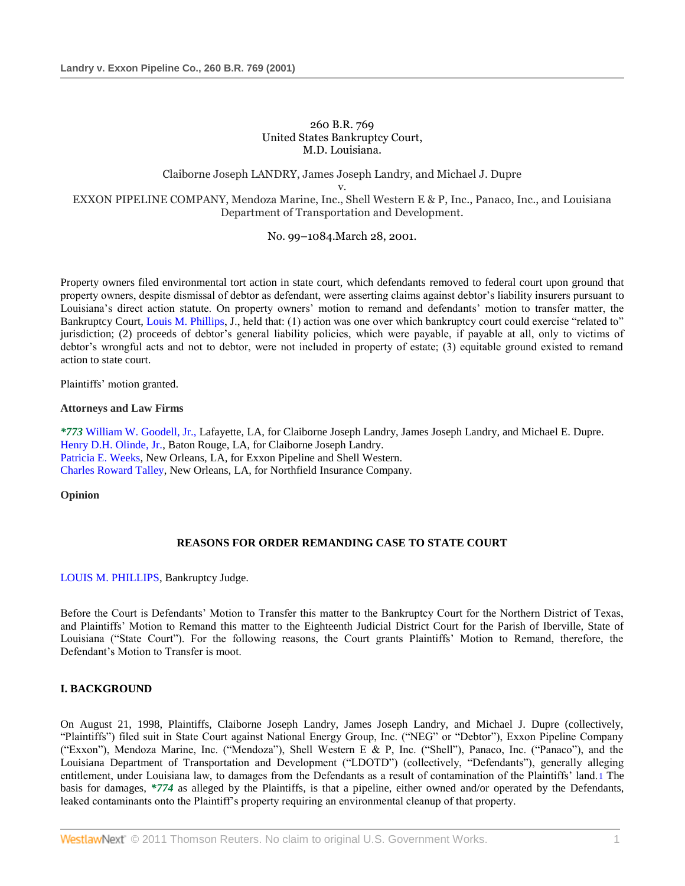## 260 B.R. 769 United States Bankruptcy Court, M.D. Louisiana.

# Claiborne Joseph LANDRY, James Joseph Landry, and Michael J. Dupre v. EXXON PIPELINE COMPANY, Mendoza Marine, Inc., Shell Western E & P, Inc., Panaco, Inc., and Louisiana Department of Transportation and Development.

## No. 99–1084.March 28, 2001.

Property owners filed environmental tort action in state court, which defendants removed to federal court upon ground that property owners, despite dismissal of debtor as defendant, were asserting claims against debtor's liability insurers pursuant to Louisiana's direct action statute. On property owners' motion to remand and defendants' motion to transfer matter, the Bankruptcy Court, [Louis M. Phillips,](http://www.westlaw.com/Link/Document/FullText?findType=h&pubNum=176284&cite=0119243501&originatingDoc=I553831ad6e5211d98778bd0185d69771&refType=RQ&originationContext=document&vr=3.0&rs=cblt1.0&transitionType=DocumentItem&contextData=(sc.Search)) J., held that: (1) action was one over which bankruptcy court could exercise "related to" jurisdiction; (2) proceeds of debtor's general liability policies, which were payable, if payable at all, only to victims of debtor's wrongful acts and not to debtor, were not included in property of estate; (3) equitable ground existed to remand action to state court.

Plaintiffs' motion granted.

## **Attorneys and Law Firms**

*\*773* [William W. Goodell, Jr.,](http://www.westlaw.com/Link/Document/FullText?findType=h&pubNum=176284&cite=0172186101&originatingDoc=I553831ad6e5211d98778bd0185d69771&refType=RQ&originationContext=document&vr=3.0&rs=cblt1.0&transitionType=DocumentItem&contextData=(sc.Search)) Lafayette, LA, for Claiborne Joseph Landry, James Joseph Landry, and Michael E. Dupre. [Henry D.H. Olinde, Jr.,](http://www.westlaw.com/Link/Document/FullText?findType=h&pubNum=176284&cite=0326943001&originatingDoc=I553831ad6e5211d98778bd0185d69771&refType=RQ&originationContext=document&vr=3.0&rs=cblt1.0&transitionType=DocumentItem&contextData=(sc.Search)) Baton Rouge, LA, for Claiborne Joseph Landry. [Patricia E. Weeks,](http://www.westlaw.com/Link/Document/FullText?findType=h&pubNum=176284&cite=0224559801&originatingDoc=I553831ad6e5211d98778bd0185d69771&refType=RQ&originationContext=document&vr=3.0&rs=cblt1.0&transitionType=DocumentItem&contextData=(sc.Search)) New Orleans, LA, for Exxon Pipeline and Shell Western. [Charles Roward Talley,](http://www.westlaw.com/Link/Document/FullText?findType=h&pubNum=176284&cite=0111994801&originatingDoc=I553831ad6e5211d98778bd0185d69771&refType=RQ&originationContext=document&vr=3.0&rs=cblt1.0&transitionType=DocumentItem&contextData=(sc.Search)) New Orleans, LA, for Northfield Insurance Company.

**Opinion**

# **REASONS FOR ORDER REMANDING CASE TO STATE COURT**

## [LOUIS M. PHILLIPS,](http://www.westlaw.com/Link/Document/FullText?findType=h&pubNum=176284&cite=0119243501&originatingDoc=I553831ad6e5211d98778bd0185d69771&refType=RQ&originationContext=document&vr=3.0&rs=cblt1.0&transitionType=DocumentItem&contextData=(sc.Search)) Bankruptcy Judge.

Before the Court is Defendants' Motion to Transfer this matter to the Bankruptcy Court for the Northern District of Texas, and Plaintiffs' Motion to Remand this matter to the Eighteenth Judicial District Court for the Parish of Iberville, State of Louisiana ("State Court"). For the following reasons, the Court grants Plaintiffs' Motion to Remand, therefore, the Defendant's Motion to Transfer is moot.

# **I. BACKGROUND**

On August 21, 1998, Plaintiffs, Claiborne Joseph Landry, James Joseph Landry, and Michael J. Dupre (collectively, "Plaintiffs") filed suit in State Court against National Energy Group, Inc. ("NEG" or "Debtor"), Exxon Pipeline Company ("Exxon"), Mendoza Marine, Inc. ("Mendoza"), Shell Western E & P, Inc. ("Shell"), Panaco, Inc. ("Panaco"), and the Louisiana Department of Transportation and Development ("LDOTD") (collectively, "Defendants"), generally alleging entitlement, under Louisiana law, to damages from the Defendants as a result of contamination of the Plaintiffs' land.1 The basis for damages, *\*774* as alleged by the Plaintiffs, is that a pipeline, either owned and/or operated by the Defendants, leaked contaminants onto the Plaintiff's property requiring an environmental cleanup of that property.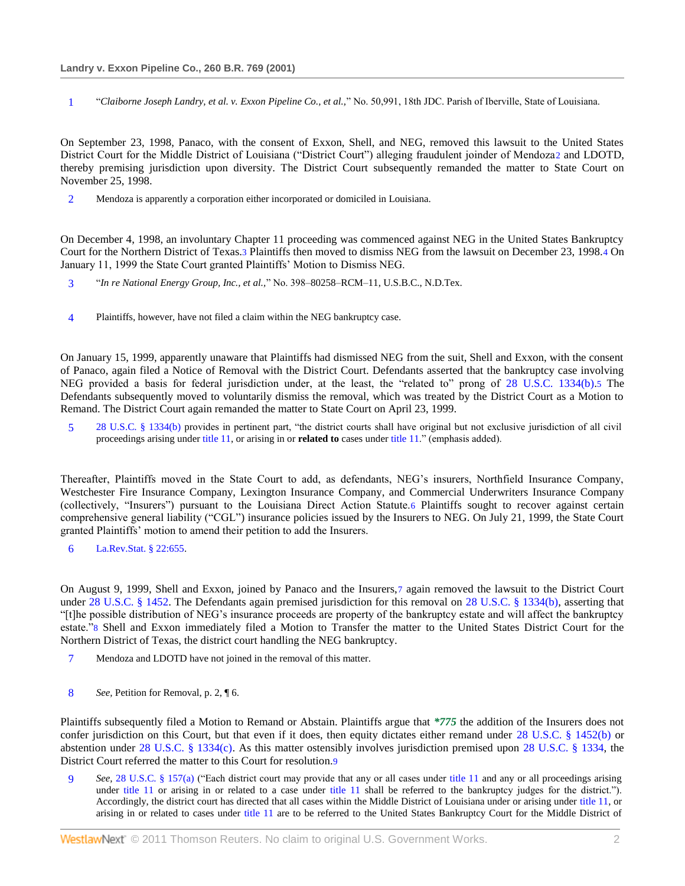1 ―*Claiborne Joseph Landry, et al. v. Exxon Pipeline Co., et al.,*‖ No. 50,991, 18th JDC. Parish of Iberville, State of Louisiana.

On September 23, 1998, Panaco, with the consent of Exxon, Shell, and NEG, removed this lawsuit to the United States District Court for the Middle District of Louisiana ("District Court") alleging fraudulent joinder of Mendoza2 and LDOTD, thereby premising jurisdiction upon diversity. The District Court subsequently remanded the matter to State Court on November 25, 1998.

2 Mendoza is apparently a corporation either incorporated or domiciled in Louisiana.

On December 4, 1998, an involuntary Chapter 11 proceeding was commenced against NEG in the United States Bankruptcy Court for the Northern District of Texas.3 Plaintiffs then moved to dismiss NEG from the lawsuit on December 23, 1998.4 On January 11, 1999 the State Court granted Plaintiffs' Motion to Dismiss NEG.

- 3 ―*In re National Energy Group, Inc., et al.,*‖ No. 398–80258–RCM–11, U.S.B.C., N.D.Tex.
- 4 Plaintiffs, however, have not filed a claim within the NEG bankruptcy case.

On January 15, 1999, apparently unaware that Plaintiffs had dismissed NEG from the suit, Shell and Exxon, with the consent of Panaco, again filed a Notice of Removal with the District Court. Defendants asserted that the bankruptcy case involving NEG provided a basis for federal jurisdiction under, at the least, the "related to" prong of [28 U.S.C. 1334\(b\).](http://www.westlaw.com/Link/Document/FullText?findType=L&pubNum=1000546&cite=28USCAS1334&originatingDoc=I553831ad6e5211d98778bd0185d69771&refType=LQ&originationContext=document&vr=3.0&rs=cblt1.0&transitionType=DocumentItem&contextData=(sc.Search))5 The Defendants subsequently moved to voluntarily dismiss the removal, which was treated by the District Court as a Motion to Remand. The District Court again remanded the matter to State Court on April 23, 1999.

5 [28 U.S.C. § 1334\(b\)](http://www.westlaw.com/Link/Document/FullText?findType=L&pubNum=1000546&cite=28USCAS1334&originatingDoc=I553831ad6e5211d98778bd0185d69771&refType=LQ&originationContext=document&vr=3.0&rs=cblt1.0&transitionType=DocumentItem&contextData=(sc.Search)) provides in pertinent part, "the district courts shall have original but not exclusive jurisdiction of all civil proceedings arising under [title 11,](http://www.westlaw.com/Link/Document/FullText?findType=L&pubNum=1000546&cite=11USCAS541&originatingDoc=I553831ad6e5211d98778bd0185d69771&refType=LQ&originationContext=document&vr=3.0&rs=cblt1.0&transitionType=DocumentItem&contextData=(sc.Search)) or arising in or **related to** cases unde[r title 11.](http://www.westlaw.com/Link/Document/FullText?findType=L&pubNum=1000546&cite=11USCAS541&originatingDoc=I553831ad6e5211d98778bd0185d69771&refType=LQ&originationContext=document&vr=3.0&rs=cblt1.0&transitionType=DocumentItem&contextData=(sc.Search))" (emphasis added).

Thereafter, Plaintiffs moved in the State Court to add, as defendants, NEG's insurers, Northfield Insurance Company, Westchester Fire Insurance Company, Lexington Insurance Company, and Commercial Underwriters Insurance Company (collectively, "Insurers") pursuant to the Louisiana Direct Action Statute.6 Plaintiffs sought to recover against certain comprehensive general liability ("CGL") insurance policies issued by the Insurers to NEG. On July 21, 1999, the State Court granted Plaintiffs' motion to amend their petition to add the Insurers.

6 [La.Rev.Stat. § 22:655.](http://www.westlaw.com/Link/Document/FullText?findType=L&pubNum=1000011&cite=LARS22%3a655&originatingDoc=I553831ad6e5211d98778bd0185d69771&refType=LQ&originationContext=document&vr=3.0&rs=cblt1.0&transitionType=DocumentItem&contextData=(sc.Search))

On August 9, 1999, Shell and Exxon, joined by Panaco and the Insurers,7 again removed the lawsuit to the District Court under [28 U.S.C. § 1452.](http://www.westlaw.com/Link/Document/FullText?findType=L&pubNum=1000546&cite=28USCAS1452&originatingDoc=I553831ad6e5211d98778bd0185d69771&refType=LQ&originationContext=document&vr=3.0&rs=cblt1.0&transitionType=DocumentItem&contextData=(sc.Search)) The Defendants again premised jurisdiction for this removal on [28 U.S.C. § 1334\(b\),](http://www.westlaw.com/Link/Document/FullText?findType=L&pubNum=1000546&cite=28USCAS1334&originatingDoc=I553831ad6e5211d98778bd0185d69771&refType=LQ&originationContext=document&vr=3.0&rs=cblt1.0&transitionType=DocumentItem&contextData=(sc.Search)) asserting that ―[t]he possible distribution of NEG's insurance proceeds are property of the bankruptcy estate and will affect the bankruptcy estate."8 Shell and Exxon immediately filed a Motion to Transfer the matter to the United States District Court for the Northern District of Texas, the district court handling the NEG bankruptcy.

- 7 Mendoza and LDOTD have not joined in the removal of this matter.
- 8 *See,* Petition for Removal, p. 2, ¶ 6.

Plaintiffs subsequently filed a Motion to Remand or Abstain. Plaintiffs argue that *\*775* the addition of the Insurers does not confer jurisdiction on this Court, but that even if it does, then equity dictates either remand under 28 U.S.C.  $\S$  1452(b) or abstention under [28 U.S.C. § 1334\(c\).](http://www.westlaw.com/Link/Document/FullText?findType=L&pubNum=1000546&cite=28USCAS1334&originatingDoc=I553831ad6e5211d98778bd0185d69771&refType=LQ&originationContext=document&vr=3.0&rs=cblt1.0&transitionType=DocumentItem&contextData=(sc.Search)) As this matter ostensibly involves jurisdiction premised upon [28 U.S.C. § 1334,](http://www.westlaw.com/Link/Document/FullText?findType=L&pubNum=1000546&cite=28USCAS1334&originatingDoc=I553831ad6e5211d98778bd0185d69771&refType=LQ&originationContext=document&vr=3.0&rs=cblt1.0&transitionType=DocumentItem&contextData=(sc.Search)) the District Court referred the matter to this Court for resolution.9

9 *See,* [28 U.S.C. § 157\(a\)](http://www.westlaw.com/Link/Document/FullText?findType=L&pubNum=1000546&cite=28USCAS157&originatingDoc=I553831ad6e5211d98778bd0185d69771&refType=LQ&originationContext=document&vr=3.0&rs=cblt1.0&transitionType=DocumentItem&contextData=(sc.Search)) ("Each district court may provide that any or all cases under [title 11](http://www.westlaw.com/Link/Document/FullText?findType=L&pubNum=1000546&cite=11USCAS541&originatingDoc=I553831ad6e5211d98778bd0185d69771&refType=LQ&originationContext=document&vr=3.0&rs=cblt1.0&transitionType=DocumentItem&contextData=(sc.Search)) and any or all proceedings arising under [title 11](http://www.westlaw.com/Link/Document/FullText?findType=L&pubNum=1000546&cite=11USCAS541&originatingDoc=I553831ad6e5211d98778bd0185d69771&refType=LQ&originationContext=document&vr=3.0&rs=cblt1.0&transitionType=DocumentItem&contextData=(sc.Search)) or arising in or related to a case under title 11 shall be referred to the bankruptcy judges for the district."). Accordingly, the district court has directed that all cases within the Middle District of Louisiana under or arising under [title 11,](http://www.westlaw.com/Link/Document/FullText?findType=L&pubNum=1000546&cite=11USCAS541&originatingDoc=I553831ad6e5211d98778bd0185d69771&refType=LQ&originationContext=document&vr=3.0&rs=cblt1.0&transitionType=DocumentItem&contextData=(sc.Search)) or arising in or related to cases under [title 11](http://www.westlaw.com/Link/Document/FullText?findType=L&pubNum=1000546&cite=11USCAS541&originatingDoc=I553831ad6e5211d98778bd0185d69771&refType=LQ&originationContext=document&vr=3.0&rs=cblt1.0&transitionType=DocumentItem&contextData=(sc.Search)) are to be referred to the United States Bankruptcy Court for the Middle District of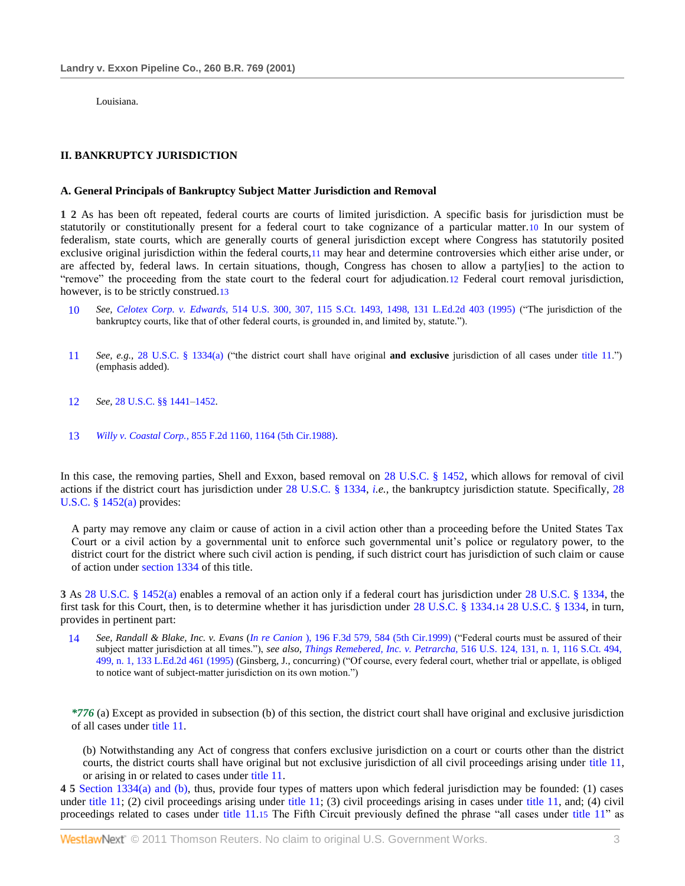Louisiana.

## **II. BANKRUPTCY JURISDICTION**

### **A. General Principals of Bankruptcy Subject Matter Jurisdiction and Removal**

**1 2** As has been oft repeated, federal courts are courts of limited jurisdiction. A specific basis for jurisdiction must be statutorily or constitutionally present for a federal court to take cognizance of a particular matter.10 In our system of federalism, state courts, which are generally courts of general jurisdiction except where Congress has statutorily posited exclusive original jurisdiction within the federal courts,11 may hear and determine controversies which either arise under, or are affected by, federal laws. In certain situations, though, Congress has chosen to allow a party[ies] to the action to "remove" the proceeding from the state court to the federal court for adjudication.12 Federal court removal jurisdiction, however, is to be strictly construed.13

- 10 *See, Celotex Corp. v. Edwards,* [514 U.S. 300, 307, 115 S.Ct. 1493, 1498, 131 L.Ed.2d 403 \(1995\)](http://www.westlaw.com/Link/Document/FullText?findType=Y&serNum=1995091686&pubNum=708&originationContext=document&vr=3.0&rs=cblt1.0&transitionType=DocumentItem&contextData=(sc.Search)#co_pp_sp_708_1498) ("The jurisdiction of the bankruptcy courts, like that of other federal courts, is grounded in, and limited by, statute.").
- 11 See, e.g., [28 U.S.C. § 1334\(a\)](http://www.westlaw.com/Link/Document/FullText?findType=L&pubNum=1000546&cite=28USCAS1334&originatingDoc=I553831ad6e5211d98778bd0185d69771&refType=LQ&originationContext=document&vr=3.0&rs=cblt1.0&transitionType=DocumentItem&contextData=(sc.Search)) ("the district court shall have original **and exclusive** jurisdiction of all cases under [title 11.](http://www.westlaw.com/Link/Document/FullText?findType=L&pubNum=1000546&cite=11USCAS541&originatingDoc=I553831ad6e5211d98778bd0185d69771&refType=LQ&originationContext=document&vr=3.0&rs=cblt1.0&transitionType=DocumentItem&contextData=(sc.Search))") (emphasis added).
- 12 *See,* [28 U.S.C. §§ 1441](http://www.westlaw.com/Link/Document/FullText?findType=L&pubNum=1000546&cite=28USCAS1441&originatingDoc=I553831ad6e5211d98778bd0185d69771&refType=LQ&originationContext=document&vr=3.0&rs=cblt1.0&transitionType=DocumentItem&contextData=(sc.Search))[–1452.](http://www.westlaw.com/Link/Document/FullText?findType=L&pubNum=1000546&cite=28USCAS1452&originatingDoc=I553831ad6e5211d98778bd0185d69771&refType=LQ&originationContext=document&vr=3.0&rs=cblt1.0&transitionType=DocumentItem&contextData=(sc.Search))
- 13 *Willy v. Coastal Corp.,* [855 F.2d 1160, 1164 \(5th Cir.1988\).](http://www.westlaw.com/Link/Document/FullText?findType=Y&serNum=1988115955&pubNum=350&originationContext=document&vr=3.0&rs=cblt1.0&transitionType=DocumentItem&contextData=(sc.Search)#co_pp_sp_350_1164)

In this case, the removing parties, Shell and Exxon, based removal on [28 U.S.C. § 1452,](http://www.westlaw.com/Link/Document/FullText?findType=L&pubNum=1000546&cite=28USCAS1452&originatingDoc=I553831ad6e5211d98778bd0185d69771&refType=LQ&originationContext=document&vr=3.0&rs=cblt1.0&transitionType=DocumentItem&contextData=(sc.Search)) which allows for removal of civil actions if the district court has jurisdiction under [28 U.S.C. § 1334,](http://www.westlaw.com/Link/Document/FullText?findType=L&pubNum=1000546&cite=28USCAS1334&originatingDoc=I553831ad6e5211d98778bd0185d69771&refType=LQ&originationContext=document&vr=3.0&rs=cblt1.0&transitionType=DocumentItem&contextData=(sc.Search)) *[i.](http://www.westlaw.com/Link/Document/FullText?findType=L&pubNum=1000546&cite=28USCAS1&originatingDoc=I553831ad6e5211d98778bd0185d69771&refType=LQ&originationContext=document&vr=3.0&rs=cblt1.0&transitionType=DocumentItem&contextData=(sc.Search))e.,* the bankruptcy jurisdiction statute. Specifically, [28](http://www.westlaw.com/Link/Document/FullText?findType=L&pubNum=1000546&cite=28USCAS1452&originatingDoc=I553831ad6e5211d98778bd0185d69771&refType=LQ&originationContext=document&vr=3.0&rs=cblt1.0&transitionType=DocumentItem&contextData=(sc.Search))  [U.S.C. § 1452\(a\)](http://www.westlaw.com/Link/Document/FullText?findType=L&pubNum=1000546&cite=28USCAS1452&originatingDoc=I553831ad6e5211d98778bd0185d69771&refType=LQ&originationContext=document&vr=3.0&rs=cblt1.0&transitionType=DocumentItem&contextData=(sc.Search)) provides:

A party may remove any claim or cause of action in a civil action other than a proceeding before the United States Tax Court or a civil action by a governmental unit to enforce such governmental unit's police or regulatory power, to the district court for the district where such civil action is pending, if such district court has jurisdiction of such claim or cause of action under [section 1334](http://www.westlaw.com/Link/Document/FullText?findType=L&pubNum=1000546&cite=28USCAS1334&originatingDoc=I553831ad6e5211d98778bd0185d69771&refType=LQ&originationContext=document&vr=3.0&rs=cblt1.0&transitionType=DocumentItem&contextData=(sc.Search)) of this title.

**3** As [28 U.S.C. § 1452\(a\)](http://www.westlaw.com/Link/Document/FullText?findType=L&pubNum=1000546&cite=28USCAS1452&originatingDoc=I553831ad6e5211d98778bd0185d69771&refType=LQ&originationContext=document&vr=3.0&rs=cblt1.0&transitionType=DocumentItem&contextData=(sc.Search)) enables a removal of an action only if a federal court has jurisdiction under [28 U.S.C. § 1334,](http://www.westlaw.com/Link/Document/FullText?findType=L&pubNum=1000546&cite=28USCAS1334&originatingDoc=I553831ad6e5211d98778bd0185d69771&refType=LQ&originationContext=document&vr=3.0&rs=cblt1.0&transitionType=DocumentItem&contextData=(sc.Search)) the first task for this Court, then, is to determine whether it has jurisdiction under [28 U.S.C. § 1334.](http://www.westlaw.com/Link/Document/FullText?findType=L&pubNum=1000546&cite=28USCAS1334&originatingDoc=I553831ad6e5211d98778bd0185d69771&refType=LQ&originationContext=document&vr=3.0&rs=cblt1.0&transitionType=DocumentItem&contextData=(sc.Search))14 [28 U.S.C. § 1334,](http://www.westlaw.com/Link/Document/FullText?findType=L&pubNum=1000546&cite=28USCAS1334&originatingDoc=I553831ad6e5211d98778bd0185d69771&refType=LQ&originationContext=document&vr=3.0&rs=cblt1.0&transitionType=DocumentItem&contextData=(sc.Search)) in turn, provides in pertinent part:

14 *See, Randall & Blake, Inc. v. Evans (In re Canion*[\), 196 F.3d 579, 584 \(5th Cir.1999\)](http://www.westlaw.com/Link/Document/FullText?findType=Y&serNum=1999256702&pubNum=506&originationContext=document&vr=3.0&rs=cblt1.0&transitionType=DocumentItem&contextData=(sc.Search)#co_pp_sp_506_584) ("Federal courts must be assured of their subject matter jurisdiction at all times."), *see also, Things Remebered, Inc. v. Petrarcha*, 516 U.S. 124, 131, n. 1, 116 S.Ct. 494, [499, n. 1, 133 L.Ed.2d 461 \(1995\)](http://www.westlaw.com/Link/Document/FullText?findType=Y&serNum=1995237693&pubNum=708&originationContext=document&vr=3.0&rs=cblt1.0&transitionType=DocumentItem&contextData=(sc.Search)#co_pp_sp_708_499) (Ginsberg, J., concurring) ("Of course, every federal court, whether trial or appellate, is obliged to notice want of subject-matter jurisdiction on its own motion.")

*\*776* (a) Except as provided in subsection (b) of this section, the district court shall have original and exclusive jurisdiction of all cases under [title 11.](http://www.westlaw.com/Link/Document/FullText?findType=L&pubNum=1000546&cite=11USCAS541&originatingDoc=I553831ad6e5211d98778bd0185d69771&refType=LQ&originationContext=document&vr=3.0&rs=cblt1.0&transitionType=DocumentItem&contextData=(sc.Search))

(b) Notwithstanding any Act of congress that confers exclusive jurisdiction on a court or courts other than the district courts, the district courts shall have original but not exclusive jurisdiction of all civil proceedings arising under [title 11,](http://www.westlaw.com/Link/Document/FullText?findType=L&pubNum=1000546&cite=11USCAS541&originatingDoc=I553831ad6e5211d98778bd0185d69771&refType=LQ&originationContext=document&vr=3.0&rs=cblt1.0&transitionType=DocumentItem&contextData=(sc.Search)) or arising in or related to cases under [title 11.](http://www.westlaw.com/Link/Document/FullText?findType=L&pubNum=1000546&cite=11USCAS541&originatingDoc=I553831ad6e5211d98778bd0185d69771&refType=LQ&originationContext=document&vr=3.0&rs=cblt1.0&transitionType=DocumentItem&contextData=(sc.Search))

**4 5** [Section 1334\(a\) and \(b\),](http://www.westlaw.com/Link/Document/FullText?findType=L&pubNum=1000546&cite=28USCAS1334&originatingDoc=I553831ad6e5211d98778bd0185d69771&refType=LQ&originationContext=document&vr=3.0&rs=cblt1.0&transitionType=DocumentItem&contextData=(sc.Search)) thus, provide four types of matters upon which federal jurisdiction may be founded: (1) cases under [title 11;](http://www.westlaw.com/Link/Document/FullText?findType=L&pubNum=1000546&cite=11USCAS541&originatingDoc=I553831ad6e5211d98778bd0185d69771&refType=LQ&originationContext=document&vr=3.0&rs=cblt1.0&transitionType=DocumentItem&contextData=(sc.Search)) (2) civil proceedings arising under title 11; (3) civil proceedings arising in cases under [title 11,](http://www.westlaw.com/Link/Document/FullText?findType=L&pubNum=1000546&cite=11USCAS541&originatingDoc=I553831ad6e5211d98778bd0185d69771&refType=LQ&originationContext=document&vr=3.0&rs=cblt1.0&transitionType=DocumentItem&contextData=(sc.Search)) and; (4) civil proceedings related to cases under [title 11.](http://www.westlaw.com/Link/Document/FullText?findType=L&pubNum=1000546&cite=11USCAS541&originatingDoc=I553831ad6e5211d98778bd0185d69771&refType=LQ&originationContext=document&vr=3.0&rs=cblt1.0&transitionType=DocumentItem&contextData=(sc.Search))15 The Fifth Circuit previously defined the phrase "all cases under title 11" as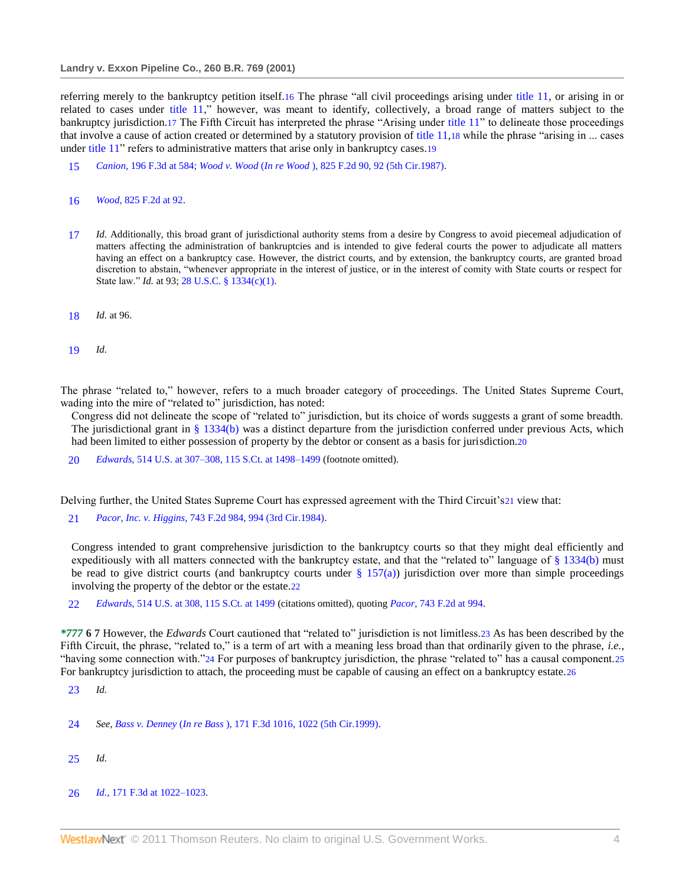referring merely to the bankruptcy petition itself.16 The phrase "all civil proceedings arising under [title 11,](http://www.westlaw.com/Link/Document/FullText?findType=L&pubNum=1000546&cite=11USCAS541&originatingDoc=I553831ad6e5211d98778bd0185d69771&refType=LQ&originationContext=document&vr=3.0&rs=cblt1.0&transitionType=DocumentItem&contextData=(sc.Search)) or arising in or related to cases under [title 11,](http://www.westlaw.com/Link/Document/FullText?findType=L&pubNum=1000546&cite=11USCAS541&originatingDoc=I553831ad6e5211d98778bd0185d69771&refType=LQ&originationContext=document&vr=3.0&rs=cblt1.0&transitionType=DocumentItem&contextData=(sc.Search))" however, was meant to identify, collectively, a broad range of matters subject to the bankruptcy jurisdiction.17 The Fifth Circuit has interpreted the phrase "Arising under title 11" to delineate those proceedings that involve a cause of action created or determined by a statutory provision of title  $11,18$  while the phrase "arising in ... cases under title 11" refers to administrative matters that arise only in bankruptcy cases.19

- 15 *Canion,* [196 F.3d at 584;](http://www.westlaw.com/Link/Document/FullText?findType=Y&serNum=1999256702&pubNum=506&originationContext=document&vr=3.0&rs=cblt1.0&transitionType=DocumentItem&contextData=(sc.Search)#co_pp_sp_506_584) *Wood v. Wood* (*In re Wood* [\), 825 F.2d 90, 92 \(5th Cir.1987\).](http://www.westlaw.com/Link/Document/FullText?findType=Y&serNum=1987100100&pubNum=350&originationContext=document&vr=3.0&rs=cblt1.0&transitionType=DocumentItem&contextData=(sc.Search)#co_pp_sp_350_92)
- 16 *Wood,* [825 F.2d at 92.](http://www.westlaw.com/Link/Document/FullText?findType=Y&serNum=1987100100&pubNum=350&originationContext=document&vr=3.0&rs=cblt1.0&transitionType=DocumentItem&contextData=(sc.Search)#co_pp_sp_350_92)
- 17 *Id.* Additionally, this broad grant of jurisdictional authority stems from a desire by Congress to avoid piecemeal adjudication of matters affecting the administration of bankruptcies and is intended to give federal courts the power to adjudicate all matters having an effect on a bankruptcy case. However, the district courts, and by extension, the bankruptcy courts, are granted broad discretion to abstain, "whenever appropriate in the interest of justice, or in the interest of comity with State courts or respect for State law." *Id.* at 93[; 28 U.S.C. § 1334\(c\)\(1\).](http://www.westlaw.com/Link/Document/FullText?findType=L&pubNum=1000546&cite=28USCAS1334&originatingDoc=I553831ad6e5211d98778bd0185d69771&refType=LQ&originationContext=document&vr=3.0&rs=cblt1.0&transitionType=DocumentItem&contextData=(sc.Search))
- 18 *Id.* at 96.
- 19 *Id.*

The phrase "related to," however, refers to a much broader category of proceedings. The United States Supreme Court, wading into the mire of "related to" jurisdiction, has noted:

Congress did not delineate the scope of "related to" jurisdiction, but its choice of words suggests a grant of some breadth. The jurisdictional grant in  $\S$  1334(b) was a distinct departure from the jurisdiction conferred under previous Acts, which had been limited to either possession of property by the debtor or consent as a basis for jurisdiction.20

20 *Edwards,* [514 U.S. at 307–308, 115 S.Ct. at 1498–1499](http://www.westlaw.com/Link/Document/FullText?findType=Y&serNum=1995091686&pubNum=708&originationContext=document&vr=3.0&rs=cblt1.0&transitionType=DocumentItem&contextData=(sc.Search)#co_pp_sp_708_1498) (footnote omitted).

Delving further, the United States Supreme Court has expressed agreement with the Third Circuit's21 view that:

21 *Pacor, Inc. v. Higgins,* [743 F.2d 984, 994 \(3rd Cir.1984\).](http://www.westlaw.com/Link/Document/FullText?findType=Y&serNum=1984140757&pubNum=350&originationContext=document&vr=3.0&rs=cblt1.0&transitionType=DocumentItem&contextData=(sc.Search)#co_pp_sp_350_994)

Congress intended to grant comprehensive jurisdiction to the bankruptcy courts so that they might deal efficiently and expeditiously with all matters connected with the bankruptcy estate, and that the "related to" language of  $\S$  1334(b) must be read to give district courts (and bankruptcy courts under  $\S$  157(a)) jurisdiction over more than simple proceedings involving the property of the debtor or the estate.22

22 *Edwards,* [514 U.S. at 308, 115 S.Ct. at 1499](http://www.westlaw.com/Link/Document/FullText?findType=Y&serNum=1995091686&pubNum=708&originationContext=document&vr=3.0&rs=cblt1.0&transitionType=DocumentItem&contextData=(sc.Search)#co_pp_sp_708_1499) (citations omitted), quoting *Pacor,* [743 F.2d at 994.](http://www.westlaw.com/Link/Document/FullText?findType=Y&serNum=1984140757&pubNum=350&originationContext=document&vr=3.0&rs=cblt1.0&transitionType=DocumentItem&contextData=(sc.Search)#co_pp_sp_350_994)

*\*777* **6 7** However, the *Edwards* Court cautioned that "related to" jurisdiction is not limitless.23 As has been described by the Fifth Circuit, the phrase, "related to," is a term of art with a meaning less broad than that ordinarily given to the phrase, *i.e.*, "having some connection with."24 For purposes of bankruptcy jurisdiction, the phrase "related to" has a causal component.25 For bankruptcy jurisdiction to attach, the proceeding must be capable of causing an effect on a bankruptcy estate.26

- 23 *Id.*
- 24 *See, Bass v. Denney* (*In re Bass* [\), 171 F.3d 1016, 1022 \(5th Cir.1999\).](http://www.westlaw.com/Link/Document/FullText?findType=Y&serNum=1999091815&pubNum=506&originationContext=document&vr=3.0&rs=cblt1.0&transitionType=DocumentItem&contextData=(sc.Search)#co_pp_sp_506_1022)
- 25 *Id.*
- 26 *Id.,* [171 F.3d at 1022–1023.](http://www.westlaw.com/Link/Document/FullText?findType=Y&serNum=1999091815&pubNum=506&originationContext=document&vr=3.0&rs=cblt1.0&transitionType=DocumentItem&contextData=(sc.Search)#co_pp_sp_506_1022)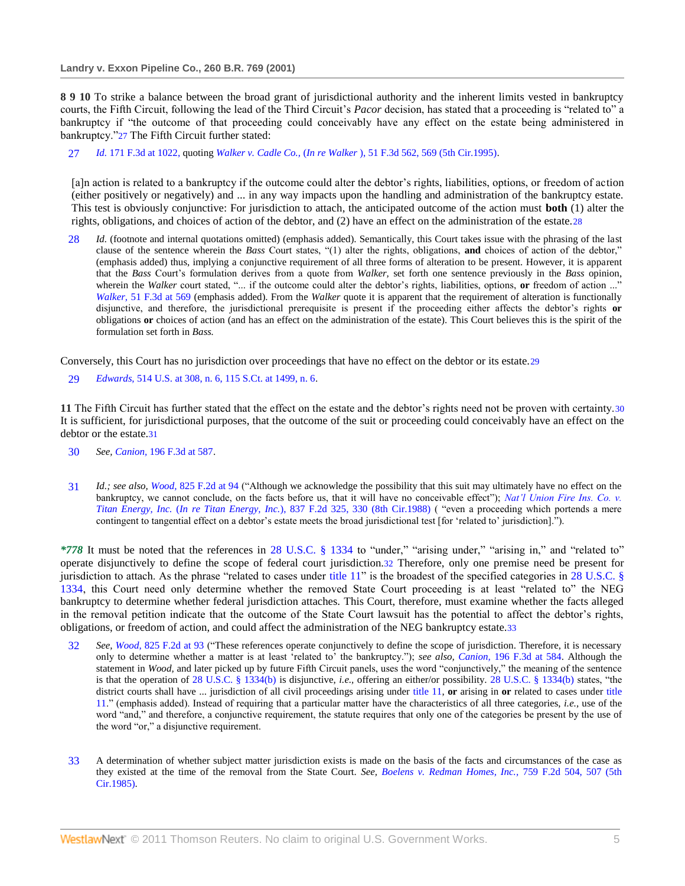**8 9 10** To strike a balance between the broad grant of jurisdictional authority and the inherent limits vested in bankruptcy courts, the Fifth Circuit, following the lead of the Third Circuit's *Pacor* decision, has stated that a proceeding is "related to" a bankruptcy if "the outcome of that proceeding could conceivably have any effect on the estate being administered in bankruptcy."27 The Fifth Circuit further stated:

27 *Id.* [171 F.3d at 1022,](http://www.westlaw.com/Link/Document/FullText?findType=Y&serNum=1999091815&pubNum=506&originationContext=document&vr=3.0&rs=cblt1.0&transitionType=DocumentItem&contextData=(sc.Search)#co_pp_sp_506_1022) quoting *Walker v. Cadle Co.,* (*In re Walker* [\), 51 F.3d 562, 569 \(5th Cir.1995\).](http://www.westlaw.com/Link/Document/FullText?findType=Y&serNum=1995095629&pubNum=506&originationContext=document&vr=3.0&rs=cblt1.0&transitionType=DocumentItem&contextData=(sc.Search)#co_pp_sp_506_569)

[a]n action is related to a bankruptcy if the outcome could alter the debtor's rights, liabilities, options, or freedom of action (either positively or negatively) and ... in any way impacts upon the handling and administration of the bankruptcy estate. This test is obviously conjunctive: For jurisdiction to attach, the anticipated outcome of the action must **both** (1) alter the rights, obligations, and choices of action of the debtor, and (2) have an effect on the administration of the estate.28

28 *Id.* (footnote and internal quotations omitted) (emphasis added). Semantically, this Court takes issue with the phrasing of the last clause of the sentence wherein the *Bass* Court states, "(1) alter the rights, obligations, **and** choices of action of the debtor," (emphasis added) thus, implying a conjunctive requirement of all three forms of alteration to be present. However, it is apparent that the *Bass* Court's formulation derives from a quote from *Walker,* set forth one sentence previously in the *Bass* opinion, wherein the *Walker* court stated, "... if the outcome could alter the debtor's rights, liabilities, options, **or** freedom of action ...' *Walker,* [51 F.3d at 569](http://www.westlaw.com/Link/Document/FullText?findType=Y&serNum=1995095629&pubNum=506&originationContext=document&vr=3.0&rs=cblt1.0&transitionType=DocumentItem&contextData=(sc.Search)#co_pp_sp_506_569) (emphasis added). From the *Walker* quote it is apparent that the requirement of alteration is functionally disjunctive, and therefore, the jurisdictional prerequisite is present if the proceeding either affects the debtor's rights **or** obligations **or** choices of action (and has an effect on the administration of the estate). This Court believes this is the spirit of the formulation set forth in *Bass.*

Conversely, this Court has no jurisdiction over proceedings that have no effect on the debtor or its estate.29

29 *Edwards,* [514 U.S. at 308, n. 6, 115 S.Ct. at 1499, n. 6.](http://www.westlaw.com/Link/Document/FullText?findType=Y&serNum=1995091686&pubNum=708&originationContext=document&vr=3.0&rs=cblt1.0&transitionType=DocumentItem&contextData=(sc.Search)#co_pp_sp_708_1499)

**11** The Fifth Circuit has further stated that the effect on the estate and the debtor's rights need not be proven with certainty.30 It is sufficient, for jurisdictional purposes, that the outcome of the suit or proceeding could conceivably have an effect on the debtor or the estate.31

- 30 *See, Canion,* [196 F.3d at 587.](http://www.westlaw.com/Link/Document/FullText?findType=Y&serNum=1999256702&pubNum=506&originationContext=document&vr=3.0&rs=cblt1.0&transitionType=DocumentItem&contextData=(sc.Search)#co_pp_sp_506_587)
- 31 *Id.; see also, Wood, [825 F.2d at 94](http://www.westlaw.com/Link/Document/FullText?findType=Y&serNum=1987100100&pubNum=350&originationContext=document&vr=3.0&rs=cblt1.0&transitionType=DocumentItem&contextData=(sc.Search)#co_pp_sp_350_94) (*"Although we acknowledge the possibility that this suit may ultimately have no effect on the bankruptcy, we cannot conclude, on the facts before us, that it will have no conceivable effect"); *Nat'l Union Fire Ins. Co. v. Titan Energy, Inc.* (*[In re Titan Energy, Inc.](http://www.westlaw.com/Link/Document/FullText?findType=Y&serNum=1988010578&pubNum=350&originationContext=document&vr=3.0&rs=cblt1.0&transitionType=DocumentItem&contextData=(sc.Search)#co_pp_sp_350_330)*), 837 F.2d 325, 330 (8th Cir.1988) ( "even a proceeding which portends a mere contingent to tangential effect on a debtor's estate meets the broad jurisdictional test [for 'related to' jurisdiction].").

*\*778* It must be noted that the references in [28 U.S.C. § 1334](http://www.westlaw.com/Link/Document/FullText?findType=L&pubNum=1000546&cite=28USCAS1334&originatingDoc=I553831ad6e5211d98778bd0185d69771&refType=LQ&originationContext=document&vr=3.0&rs=cblt1.0&transitionType=DocumentItem&contextData=(sc.Search)) to "under," "arising under," "arising in," and "related to" operate disjunctively to define the scope of federal court jurisdiction.32 Therefore, only one premise need be present for jurisdiction to attach. As the phrase "related to cases under title  $11$ " is the broadest of the specified categories in 28 U.S.C.  $\S$ [1334,](http://www.westlaw.com/Link/Document/FullText?findType=L&pubNum=1000546&cite=28USCAS1334&originatingDoc=I553831ad6e5211d98778bd0185d69771&refType=LQ&originationContext=document&vr=3.0&rs=cblt1.0&transitionType=DocumentItem&contextData=(sc.Search)) this Court need only determine whether the removed State Court proceeding is at least "related to" the NEG bankruptcy to determine whether federal jurisdiction attaches. This Court, therefore, must examine whether the facts alleged in the removal petition indicate that the outcome of the State Court lawsuit has the potential to affect the debtor's rights, obligations, or freedom of action, and could affect the administration of the NEG bankruptcy estate.33

- 32 See, Wood, [825 F.2d at 93](http://www.westlaw.com/Link/Document/FullText?findType=Y&serNum=1987100100&pubNum=350&originationContext=document&vr=3.0&rs=cblt1.0&transitionType=DocumentItem&contextData=(sc.Search)#co_pp_sp_350_93) ("These references operate conjunctively to define the scope of jurisdiction. Therefore, it is necessary only to determine whether a matter is at least 'related to' the bankruptcy."); *see also, Canion*, [196 F.3d at 584.](http://www.westlaw.com/Link/Document/FullText?findType=Y&serNum=1999256702&pubNum=506&originationContext=document&vr=3.0&rs=cblt1.0&transitionType=DocumentItem&contextData=(sc.Search)#co_pp_sp_506_584) Although the statement in *Wood*, and later picked up by future Fifth Circuit panels, uses the word "conjunctively," the meaning of the sentence is that the operation of [28 U.S.C. § 1334\(b\)](http://www.westlaw.com/Link/Document/FullText?findType=L&pubNum=1000546&cite=28USCAS1334&originatingDoc=I553831ad6e5211d98778bd0185d69771&refType=LQ&originationContext=document&vr=3.0&rs=cblt1.0&transitionType=DocumentItem&contextData=(sc.Search)) is disjunctive, *i.e.*, offering an either/or possibility. 28 U.S.C. § 1334(b) states, "the district courts shall have ... jurisdiction of all civil proceedings arising under [title 11,](http://www.westlaw.com/Link/Document/FullText?findType=L&pubNum=1000546&cite=11USCAS541&originatingDoc=I553831ad6e5211d98778bd0185d69771&refType=LQ&originationContext=document&vr=3.0&rs=cblt1.0&transitionType=DocumentItem&contextData=(sc.Search)) **or** arising in **or** related to cases under [title](http://www.westlaw.com/Link/Document/FullText?findType=L&pubNum=1000546&cite=11USCAS541&originatingDoc=I553831ad6e5211d98778bd0185d69771&refType=LQ&originationContext=document&vr=3.0&rs=cblt1.0&transitionType=DocumentItem&contextData=(sc.Search))  [11.](http://www.westlaw.com/Link/Document/FullText?findType=L&pubNum=1000546&cite=11USCAS541&originatingDoc=I553831ad6e5211d98778bd0185d69771&refType=LQ&originationContext=document&vr=3.0&rs=cblt1.0&transitionType=DocumentItem&contextData=(sc.Search))‖ (emphasis added). Instead of requiring that a particular matter have the characteristics of all three categories, *i.e.,* use of the word "and," and therefore, a conjunctive requirement, the statute requires that only one of the categories be present by the use of the word "or," a disjunctive requirement.
- 33 A determination of whether subject matter jurisdiction exists is made on the basis of the facts and circumstances of the case as they existed at the time of the removal from the State Court. *See, [Boelens v. Redman Homes, Inc.,](http://www.westlaw.com/Link/Document/FullText?findType=Y&serNum=1985120490&pubNum=350&originationContext=document&vr=3.0&rs=cblt1.0&transitionType=DocumentItem&contextData=(sc.Search)#co_pp_sp_350_507)* 759 F.2d 504, 507 (5th [Cir.1985\).](http://www.westlaw.com/Link/Document/FullText?findType=Y&serNum=1985120490&pubNum=350&originationContext=document&vr=3.0&rs=cblt1.0&transitionType=DocumentItem&contextData=(sc.Search)#co_pp_sp_350_507)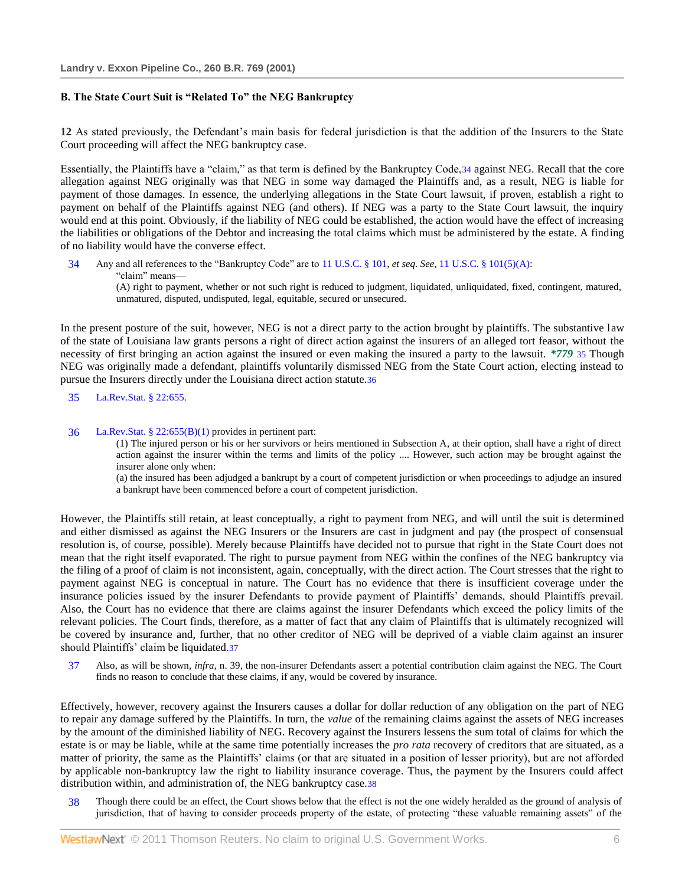## **B. The State Court Suit is "Related To" the NEG Bankruptcy**

**12** As stated previously, the Defendant's main basis for federal jurisdiction is that the addition of the Insurers to the State Court proceeding will affect the NEG bankruptcy case.

Essentially, the Plaintiffs have a "claim," as that term is defined by the Bankruptcy Code, 34 against NEG. Recall that the core allegation against NEG originally was that NEG in some way damaged the Plaintiffs and, as a result, NEG is liable for payment of those damages. In essence, the underlying allegations in the State Court lawsuit, if proven, establish a right to payment on behalf of the Plaintiffs against NEG (and others). If NEG was a party to the State Court lawsuit, the inquiry would end at this point. Obviously, if the liability of NEG could be established, the action would have the effect of increasing the liabilities or obligations of the Debtor and increasing the total claims which must be administered by the estate. A finding of no liability would have the converse effect.

34 Any and all references to the "Bankruptcy Code" are to [11 U.S.C. § 101,](http://www.westlaw.com/Link/Document/FullText?findType=L&pubNum=1000546&cite=11USCAS101&originatingDoc=I553831ad6e5211d98778bd0185d69771&refType=LQ&originationContext=document&vr=3.0&rs=cblt1.0&transitionType=DocumentItem&contextData=(sc.Search)) *et seq. See*, [11 U.S.C. § 101\(5\)\(A\):](http://www.westlaw.com/Link/Document/FullText?findType=L&pubNum=1000546&cite=11USCAS101&originatingDoc=I553831ad6e5211d98778bd0185d69771&refType=LQ&originationContext=document&vr=3.0&rs=cblt1.0&transitionType=DocumentItem&contextData=(sc.Search)) ―claim‖ means— (A) right to payment, whether or not such right is reduced to judgment, liquidated, unliquidated, fixed, contingent, matured,

unmatured, disputed, undisputed, legal, equitable, secured or unsecured.

In the present posture of the suit, however, NEG is not a direct party to the action brought by plaintiffs. The substantive law of the state of Louisiana law grants persons a right of direct action against the insurers of an alleged tort feasor, without the necessity of first bringing an action against the insured or even making the insured a party to the lawsuit. *\*779* 35 Though NEG was originally made a defendant, plaintiffs voluntarily dismissed NEG from the State Court action, electing instead to pursue the Insurers directly under the Louisiana direct action statute.36

35 [La.Rev.Stat. § 22:655.](http://www.westlaw.com/Link/Document/FullText?findType=L&pubNum=1000011&cite=LARS22%3a655&originatingDoc=I553831ad6e5211d98778bd0185d69771&refType=LQ&originationContext=document&vr=3.0&rs=cblt1.0&transitionType=DocumentItem&contextData=(sc.Search))

## 36 [La.Rev.Stat. § 22:655\(B\)\(1\)](http://www.westlaw.com/Link/Document/FullText?findType=L&pubNum=1000011&cite=LARS22%3a655&originatingDoc=I553831ad6e5211d98778bd0185d69771&refType=LQ&originationContext=document&vr=3.0&rs=cblt1.0&transitionType=DocumentItem&contextData=(sc.Search)) provides in pertinent part:

(1) The injured person or his or her survivors or heirs mentioned in Subsection A, at their option, shall have a right of direct action against the insurer within the terms and limits of the policy .... However, such action may be brought against the insurer alone only when:

(a) the insured has been adjudged a bankrupt by a court of competent jurisdiction or when proceedings to adjudge an insured a bankrupt have been commenced before a court of competent jurisdiction.

However, the Plaintiffs still retain, at least conceptually, a right to payment from NEG, and will until the suit is determined and either dismissed as against the NEG Insurers or the Insurers are cast in judgment and pay (the prospect of consensual resolution is, of course, possible). Merely because Plaintiffs have decided not to pursue that right in the State Court does not mean that the right itself evaporated. The right to pursue payment from NEG within the confines of the NEG bankruptcy via the filing of a proof of claim is not inconsistent, again, conceptually, with the direct action. The Court stresses that the right to payment against NEG is conceptual in nature. The Court has no evidence that there is insufficient coverage under the insurance policies issued by the insurer Defendants to provide payment of Plaintiffs' demands, should Plaintiffs prevail. Also, the Court has no evidence that there are claims against the insurer Defendants which exceed the policy limits of the relevant policies. The Court finds, therefore, as a matter of fact that any claim of Plaintiffs that is ultimately recognized will be covered by insurance and, further, that no other creditor of NEG will be deprived of a viable claim against an insurer should Plaintiffs' claim be liquidated.37

37 Also, as will be shown, *infra,* n. 39, the non-insurer Defendants assert a potential contribution claim against the NEG. The Court finds no reason to conclude that these claims, if any, would be covered by insurance.

Effectively, however, recovery against the Insurers causes a dollar for dollar reduction of any obligation on the part of NEG to repair any damage suffered by the Plaintiffs. In turn, the *value* of the remaining claims against the assets of NEG increases by the amount of the diminished liability of NEG. Recovery against the Insurers lessens the sum total of claims for which the estate is or may be liable, while at the same time potentially increases the *pro rata* recovery of creditors that are situated, as a matter of priority, the same as the Plaintiffs' claims (or that are situated in a position of lesser priority), but are not afforded by applicable non-bankruptcy law the right to liability insurance coverage. Thus, the payment by the Insurers could affect distribution within, and administration of, the NEG bankruptcy case.38

38 Though there could be an effect, the Court shows below that the effect is not the one widely heralded as the ground of analysis of jurisdiction, that of having to consider proceeds property of the estate, of protecting "these valuable remaining assets" of the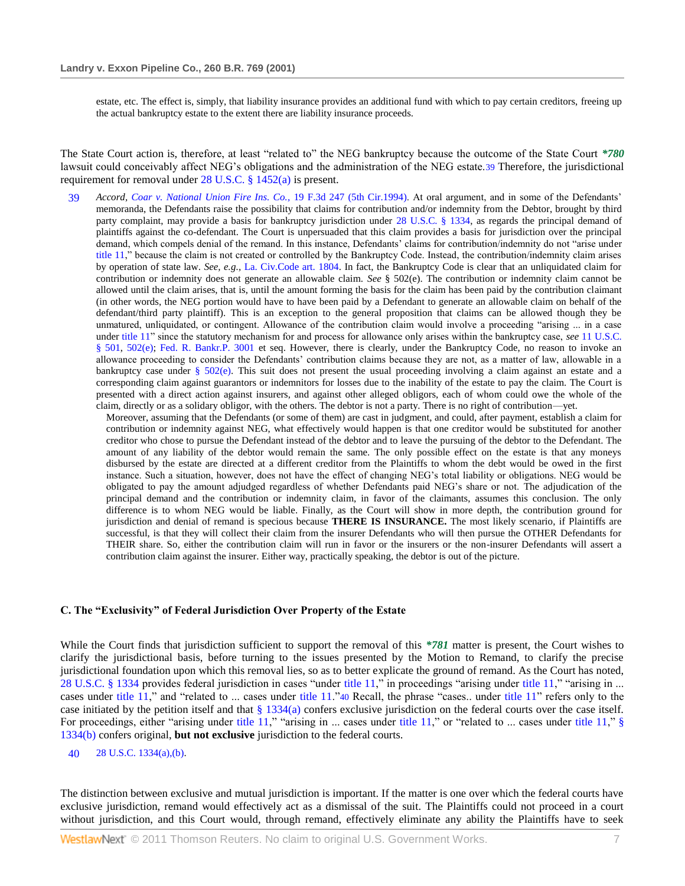estate, etc. The effect is, simply, that liability insurance provides an additional fund with which to pay certain creditors, freeing up the actual bankruptcy estate to the extent there are liability insurance proceeds.

The State Court action is, therefore, at least "related to" the NEG bankruptcy because the outcome of the State Court *\*780* lawsuit could conceivably affect NEG's obligations and the administration of the NEG estate.39 Therefore, the jurisdictional requirement for removal under [28 U.S.C. § 1452\(a\)](http://www.westlaw.com/Link/Document/FullText?findType=L&pubNum=1000546&cite=28USCAS1452&originatingDoc=I553831ad6e5211d98778bd0185d69771&refType=LQ&originationContext=document&vr=3.0&rs=cblt1.0&transitionType=DocumentItem&contextData=(sc.Search)) is present.

39 *Accord, [Coar v. National Union Fire Ins. Co.,](http://www.westlaw.com/Link/Document/FullText?findType=Y&serNum=1994080821&pubNum=506&originationContext=document&vr=3.0&rs=cblt1.0&transitionType=DocumentItem&contextData=(sc.Search))* 19 F.3d 247 (5th Cir.1994). At oral argument, and in some of the Defendants' memoranda, the Defendants raise the possibility that claims for contribution and/or indemnity from the Debtor, brought by third party complaint, may provide a basis for bankruptcy jurisdiction under [28 U.S.C. § 1334,](http://www.westlaw.com/Link/Document/FullText?findType=L&pubNum=1000546&cite=28USCAS1334&originatingDoc=I553831ad6e5211d98778bd0185d69771&refType=LQ&originationContext=document&vr=3.0&rs=cblt1.0&transitionType=DocumentItem&contextData=(sc.Search)) as regards the principal demand of plaintiffs against the co-defendant. The Court is unpersuaded that this claim provides a basis for jurisdiction over the principal demand, which compels denial of the remand. In this instance, Defendants' claims for contribution/indemnity do not "arise under [title 11,](http://www.westlaw.com/Link/Document/FullText?findType=L&pubNum=1000546&cite=11USCAS101&originatingDoc=I553831ad6e5211d98778bd0185d69771&refType=LQ&originationContext=document&vr=3.0&rs=cblt1.0&transitionType=DocumentItem&contextData=(sc.Search))" because the claim is not created or controlled by the Bankruptcy Code. Instead, the contribution/indemnity claim arises by operation of state law. *See, e.g.,* [La. Civ.Code art. 1804.](http://www.westlaw.com/Link/Document/FullText?findType=L&pubNum=1000012&cite=LACIART1804&originatingDoc=I553831ad6e5211d98778bd0185d69771&refType=LQ&originationContext=document&vr=3.0&rs=cblt1.0&transitionType=DocumentItem&contextData=(sc.Search)) In fact, the Bankruptcy Code is clear that an unliquidated claim for contribution or indemnity does not generate an allowable claim. *See* § 502(e). The contribution or indemnity claim cannot be allowed until the claim arises, that is, until the amount forming the basis for the claim has been paid by the contribution claimant (in other words, the NEG portion would have to have been paid by a Defendant to generate an allowable claim on behalf of the defendant/third party plaintiff). This is an exception to the general proposition that claims can be allowed though they be unmatured, unliquidated, or contingent. Allowance of the contribution claim would involve a proceeding "arising ... in a case under title 11<sup>"</sup> since the statutory mechanism for and process for allowance only arises within the bankruptcy case, *see* 11 U.S.C. § [501,](http://www.westlaw.com/Link/Document/FullText?findType=L&pubNum=1000546&cite=11USCAS501&originatingDoc=I553831ad6e5211d98778bd0185d69771&refType=LQ&originationContext=document&vr=3.0&rs=cblt1.0&transitionType=DocumentItem&contextData=(sc.Search)) [502\(e\);](http://www.westlaw.com/Link/Document/FullText?findType=L&pubNum=1000546&cite=11USCAS502&originatingDoc=I553831ad6e5211d98778bd0185d69771&refType=LQ&originationContext=document&vr=3.0&rs=cblt1.0&transitionType=DocumentItem&contextData=(sc.Search)) [Fed. R. Bankr.P. 3001](http://www.westlaw.com/Link/Document/FullText?findType=L&pubNum=1004365&cite=USFRBPR3001&originatingDoc=I553831ad6e5211d98778bd0185d69771&refType=LQ&originationContext=document&vr=3.0&rs=cblt1.0&transitionType=DocumentItem&contextData=(sc.Search)) et seq. However, there is clearly, under the Bankruptcy Code, no reason to invoke an allowance proceeding to consider the Defendants' contribution claims because they are not, as a matter of law, allowable in a bankruptcy case under [§ 502\(e\).](http://www.westlaw.com/Link/Document/FullText?findType=L&pubNum=1000546&cite=11USCAS502&originatingDoc=I553831ad6e5211d98778bd0185d69771&refType=LQ&originationContext=document&vr=3.0&rs=cblt1.0&transitionType=DocumentItem&contextData=(sc.Search)) This suit does not present the usual proceeding involving a claim against an estate and a corresponding claim against guarantors or indemnitors for losses due to the inability of the estate to pay the claim. The Court is presented with a direct action against insurers, and against other alleged obligors, each of whom could owe the whole of the claim, directly or as a solidary obligor, with the others. The debtor is not a party. There is no right of contribution—yet.

Moreover, assuming that the Defendants (or some of them) are cast in judgment, and could, after payment, establish a claim for contribution or indemnity against NEG, what effectively would happen is that one creditor would be substituted for another creditor who chose to pursue the Defendant instead of the debtor and to leave the pursuing of the debtor to the Defendant. The amount of any liability of the debtor would remain the same. The only possible effect on the estate is that any moneys disbursed by the estate are directed at a different creditor from the Plaintiffs to whom the debt would be owed in the first instance. Such a situation, however, does not have the effect of changing NEG's total liability or obligations. NEG would be obligated to pay the amount adjudged regardless of whether Defendants paid NEG's share or not. The adjudication of the principal demand and the contribution or indemnity claim, in favor of the claimants, assumes this conclusion. The only difference is to whom NEG would be liable. Finally, as the Court will show in more depth, the contribution ground for jurisdiction and denial of remand is specious because **THERE IS INSURANCE.** The most likely scenario, if Plaintiffs are successful, is that they will collect their claim from the insurer Defendants who will then pursue the OTHER Defendants for THEIR share. So, either the contribution claim will run in favor or the insurers or the non-insurer Defendants will assert a contribution claim against the insurer. Either way, practically speaking, the debtor is out of the picture.

#### **C. The "Exclusivity" of Federal Jurisdiction Over Property of the Estate**

While the Court finds that jurisdiction sufficient to support the removal of this *\*781* matter is present, the Court wishes to clarify the jurisdictional basis, before turning to the issues presented by the Motion to Remand, to clarify the precise jurisdictional foundation upon which this removal lies, so as to better explicate the ground of remand. As the Court has noted, [28 U.S.C. § 1334](http://www.westlaw.com/Link/Document/FullText?findType=L&pubNum=1000546&cite=28USCAS1334&originatingDoc=I553831ad6e5211d98778bd0185d69771&refType=LQ&originationContext=document&vr=3.0&rs=cblt1.0&transitionType=DocumentItem&contextData=(sc.Search)) provides federal jurisdiction in cases "under [title 11,](http://www.westlaw.com/Link/Document/FullText?findType=L&pubNum=1000546&cite=11USCAS502&originatingDoc=I553831ad6e5211d98778bd0185d69771&refType=LQ&originationContext=document&vr=3.0&rs=cblt1.0&transitionType=DocumentItem&contextData=(sc.Search))" in proceedings "arising under title 11," "arising in ... cases under [title 11,](http://www.westlaw.com/Link/Document/FullText?findType=L&pubNum=1000546&cite=11USCAS502&originatingDoc=I553831ad6e5211d98778bd0185d69771&refType=LQ&originationContext=document&vr=3.0&rs=cblt1.0&transitionType=DocumentItem&contextData=(sc.Search))" and "related to ... cases under [title 11.](http://www.westlaw.com/Link/Document/FullText?findType=L&pubNum=1000546&cite=11USCAS502&originatingDoc=I553831ad6e5211d98778bd0185d69771&refType=LQ&originationContext=document&vr=3.0&rs=cblt1.0&transitionType=DocumentItem&contextData=(sc.Search))"40 Recall, the phrase "cases.. under title 11" refers only to the case initiated by the petition itself and that [§ 1334\(a\)](http://www.westlaw.com/Link/Document/FullText?findType=L&pubNum=1000546&cite=28USCAS1334&originatingDoc=I553831ad6e5211d98778bd0185d69771&refType=LQ&originationContext=document&vr=3.0&rs=cblt1.0&transitionType=DocumentItem&contextData=(sc.Search)) confers exclusive jurisdiction on the federal courts over the case itself. For proceedings, either "arising under [title 11,](http://www.westlaw.com/Link/Document/FullText?findType=L&pubNum=1000546&cite=11USCAS502&originatingDoc=I553831ad6e5211d98778bd0185d69771&refType=LQ&originationContext=document&vr=3.0&rs=cblt1.0&transitionType=DocumentItem&contextData=(sc.Search))" "arising in ... cases under title 11," or "related to ... cases under title 11," § [1334\(b\)](http://www.westlaw.com/Link/Document/FullText?findType=L&pubNum=1000546&cite=28USCAS1334&originatingDoc=I553831ad6e5211d98778bd0185d69771&refType=LQ&originationContext=document&vr=3.0&rs=cblt1.0&transitionType=DocumentItem&contextData=(sc.Search)) confers original, **but not exclusive** jurisdiction to the federal courts.

40 [28 U.S.C. 1334\(a\),\(b\).](http://www.westlaw.com/Link/Document/FullText?findType=L&pubNum=1000546&cite=28USCAS1334&originatingDoc=I553831ad6e5211d98778bd0185d69771&refType=LQ&originationContext=document&vr=3.0&rs=cblt1.0&transitionType=DocumentItem&contextData=(sc.Search))

The distinction between exclusive and mutual jurisdiction is important. If the matter is one over which the federal courts have exclusive jurisdiction, remand would effectively act as a dismissal of the suit. The Plaintiffs could not proceed in a court without jurisdiction, and this Court would, through remand, effectively eliminate any ability the Plaintiffs have to seek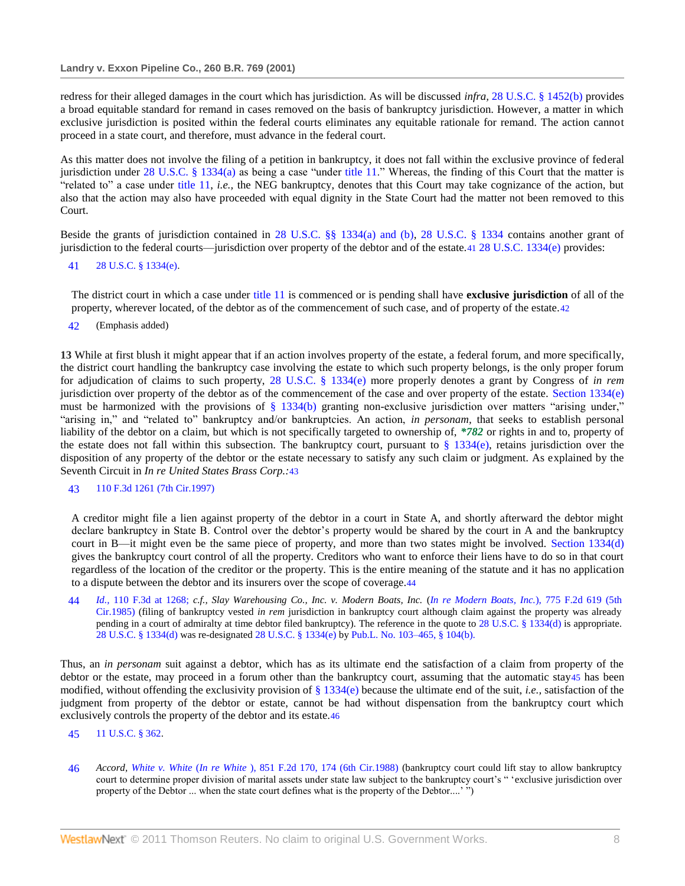redress for their alleged damages in the court which has jurisdiction. As will be discussed *infra,* [28 U.S.C. § 1452\(b\)](http://www.westlaw.com/Link/Document/FullText?findType=L&pubNum=1000546&cite=28USCAS1452&originatingDoc=I553831ad6e5211d98778bd0185d69771&refType=LQ&originationContext=document&vr=3.0&rs=cblt1.0&transitionType=DocumentItem&contextData=(sc.Search)) provides a broad equitable standard for remand in cases removed on the basis of bankruptcy jurisdiction. However, a matter in which exclusive jurisdiction is posited within the federal courts eliminates any equitable rationale for remand. The action cannot proceed in a state court, and therefore, must advance in the federal court.

As this matter does not involve the filing of a petition in bankruptcy, it does not fall within the exclusive province of federal jurisdiction under  $28$  U.S.C. § 1334(a) as being a case "under [title 11.](http://www.westlaw.com/Link/Document/FullText?findType=L&pubNum=1000546&cite=11USCAS502&originatingDoc=I553831ad6e5211d98778bd0185d69771&refType=LQ&originationContext=document&vr=3.0&rs=cblt1.0&transitionType=DocumentItem&contextData=(sc.Search))" Whereas, the finding of this Court that the matter is "related to" a case under [title 11,](http://www.westlaw.com/Link/Document/FullText?findType=L&pubNum=1000546&cite=11USCAS502&originatingDoc=I553831ad6e5211d98778bd0185d69771&refType=LQ&originationContext=document&vr=3.0&rs=cblt1.0&transitionType=DocumentItem&contextData=(sc.Search)) *i.e.*, the NEG bankruptcy, denotes that this Court may take cognizance of the action, but also that the action may also have proceeded with equal dignity in the State Court had the matter not been removed to this Court.

Beside the grants of jurisdiction contained in 28 U.S.C. §§ [1334\(a\) and \(b\), 28 U.S.C. § 1334](http://www.westlaw.com/Link/Document/FullText?findType=L&pubNum=1000546&cite=28USCAS1334&originatingDoc=I553831ad6e5211d98778bd0185d69771&refType=LQ&originationContext=document&vr=3.0&rs=cblt1.0&transitionType=DocumentItem&contextData=(sc.Search)) contains another grant of jurisdiction to the federal courts—jurisdiction over property of the debtor and of the estate.41 [28 U.S.C. 1334\(e\)](http://www.westlaw.com/Link/Document/FullText?findType=L&pubNum=1000546&cite=28USCAS1334&originatingDoc=I553831ad6e5211d98778bd0185d69771&refType=LQ&originationContext=document&vr=3.0&rs=cblt1.0&transitionType=DocumentItem&contextData=(sc.Search)) provides:

### 41 [28 U.S.C. § 1334\(e\).](http://www.westlaw.com/Link/Document/FullText?findType=L&pubNum=1000546&cite=28USCAS1334&originatingDoc=I553831ad6e5211d98778bd0185d69771&refType=LQ&originationContext=document&vr=3.0&rs=cblt1.0&transitionType=DocumentItem&contextData=(sc.Search))

The district court in which a case under [title 11](http://www.westlaw.com/Link/Document/FullText?findType=L&pubNum=1000546&cite=11USCAS502&originatingDoc=I553831ad6e5211d98778bd0185d69771&refType=LQ&originationContext=document&vr=3.0&rs=cblt1.0&transitionType=DocumentItem&contextData=(sc.Search)) is commenced or is pending shall have **exclusive jurisdiction** of all of the property, wherever located, of the debtor as of the commencement of such case, and of property of the estate.42

42 (Emphasis added)

**13** While at first blush it might appear that if an action involves property of the estate, a federal forum, and more specifically, the district court handling the bankruptcy case involving the estate to which such property belongs, is the only proper forum for adjudication of claims to such property, [28 U.S.C. § 1334\(e\)](http://www.westlaw.com/Link/Document/FullText?findType=L&pubNum=1000546&cite=28USCAS1334&originatingDoc=I553831ad6e5211d98778bd0185d69771&refType=LQ&originationContext=document&vr=3.0&rs=cblt1.0&transitionType=DocumentItem&contextData=(sc.Search)) more properly denotes a grant by Congress of *in rem* jurisdiction over property of the debtor as of the commencement of the case and over property of the estate. [Section 1334\(e\)](http://www.westlaw.com/Link/Document/FullText?findType=L&pubNum=1000546&cite=28USCAS1334&originatingDoc=I553831ad6e5211d98778bd0185d69771&refType=LQ&originationContext=document&vr=3.0&rs=cblt1.0&transitionType=DocumentItem&contextData=(sc.Search)) must be harmonized with the provisions of  $\S$  1334(b) granting non-exclusive jurisdiction over matters "arising under," "arising in," and "related to" bankruptcy and/or bankruptcies. An action, *in personam*, that seeks to establish personal liability of the debtor on a claim, but which is not specifically targeted to ownership of, *\*782* or rights in and to, property of the estate does not fall within this subsection. The bankruptcy court, pursuant to  $\S 1334(e)$ , retains jurisdiction over the disposition of any property of the debtor or the estate necessary to satisfy any such claim or judgment. As explained by the Seventh Circuit in *In re United States Brass Corp.:*43

# 43 [110 F.3d 1261 \(7th Cir.1997\)](http://www.westlaw.com/Link/Document/FullText?findType=Y&serNum=1997081906&pubNum=506&originationContext=document&vr=3.0&rs=cblt1.0&transitionType=DocumentItem&contextData=(sc.Search))

A creditor might file a lien against property of the debtor in a court in State A, and shortly afterward the debtor might declare bankruptcy in State B. Control over the debtor's property would be shared by the court in A and the bankruptcy court in B—it might even be the same piece of property, and more than two states might be involved. [Section 1334\(d\)](http://www.westlaw.com/Link/Document/FullText?findType=L&pubNum=1000546&cite=28USCAS1334&originatingDoc=I553831ad6e5211d98778bd0185d69771&refType=LQ&originationContext=document&vr=3.0&rs=cblt1.0&transitionType=DocumentItem&contextData=(sc.Search)) gives the bankruptcy court control of all the property. Creditors who want to enforce their liens have to do so in that court regardless of the location of the creditor or the property. This is the entire meaning of the statute and it has no application to a dispute between the debtor and its insurers over the scope of coverage.44

44 *Id.,* [110 F.3d at 1268;](http://www.westlaw.com/Link/Document/FullText?findType=Y&serNum=1997081906&pubNum=506&originationContext=document&vr=3.0&rs=cblt1.0&transitionType=DocumentItem&contextData=(sc.Search)#co_pp_sp_506_1268) *c.f., Slay Warehousing Co., Inc. v. Modern Boats, Inc.* (*[In re Modern Boats, Inc.](http://www.westlaw.com/Link/Document/FullText?findType=Y&serNum=1985153226&pubNum=350&originationContext=document&vr=3.0&rs=cblt1.0&transitionType=DocumentItem&contextData=(sc.Search))*), 775 F.2d 619 (5th [Cir.1985\)](http://www.westlaw.com/Link/Document/FullText?findType=Y&serNum=1985153226&pubNum=350&originationContext=document&vr=3.0&rs=cblt1.0&transitionType=DocumentItem&contextData=(sc.Search)) (filing of bankruptcy vested *in rem* jurisdiction in bankruptcy court although claim against the property was already pending in a court of admiralty at time debtor filed bankruptcy). The reference in the quote to [28 U.S.C. § 1334\(d\)](http://www.westlaw.com/Link/Document/FullText?findType=L&pubNum=1000546&cite=28USCAS1334&originatingDoc=I553831ad6e5211d98778bd0185d69771&refType=LQ&originationContext=document&vr=3.0&rs=cblt1.0&transitionType=DocumentItem&contextData=(sc.Search)) is appropriate. [28 U.S.C. § 1334\(d\)](http://www.westlaw.com/Link/Document/FullText?findType=L&pubNum=1000546&cite=28USCAS1334&originatingDoc=I553831ad6e5211d98778bd0185d69771&refType=LQ&originationContext=document&vr=3.0&rs=cblt1.0&transitionType=DocumentItem&contextData=(sc.Search)) was re-designated [28 U.S.C. § 1334\(e\)](http://www.westlaw.com/Link/Document/FullText?findType=L&pubNum=1000546&cite=28USCAS1334&originatingDoc=I553831ad6e5211d98778bd0185d69771&refType=LQ&originationContext=document&vr=3.0&rs=cblt1.0&transitionType=DocumentItem&contextData=(sc.Search)) b[y Pub.L. No. 103–465, § 104\(b\).](http://www.westlaw.com/Link/Document/FullText?findType=l&pubNum=1077005&cite=UUID(I2D43BA12A5-034CC0A6DD8-E4127BF3611)&originationContext=document&vr=3.0&rs=cblt1.0&transitionType=DocumentItem&contextData=(sc.Search))

Thus, an *in personam* suit against a debtor, which has as its ultimate end the satisfaction of a claim from property of the debtor or the estate, may proceed in a forum other than the bankruptcy court, assuming that the automatic stay45 has been modified, without offending the exclusivity provision of [§ 1334\(e\)](http://www.westlaw.com/Link/Document/FullText?findType=L&pubNum=1000546&cite=28USCAS1334&originatingDoc=I553831ad6e5211d98778bd0185d69771&refType=LQ&originationContext=document&vr=3.0&rs=cblt1.0&transitionType=DocumentItem&contextData=(sc.Search)) because the ultimate end of the suit, *i.e.*, satisfaction of the judgment from property of the debtor or estate, cannot be had without dispensation from the bankruptcy court which exclusively controls the property of the debtor and its estate.46

- 45 [11 U.S.C. § 362.](http://www.westlaw.com/Link/Document/FullText?findType=L&pubNum=1000546&cite=11USCAS362&originatingDoc=I553831ad6e5211d98778bd0185d69771&refType=LQ&originationContext=document&vr=3.0&rs=cblt1.0&transitionType=DocumentItem&contextData=(sc.Search))
- 46 *Accord, White v. White* (*In re White* [\), 851 F.2d 170, 174 \(6th Cir.1988\)](http://www.westlaw.com/Link/Document/FullText?findType=Y&serNum=1988090037&pubNum=350&originationContext=document&vr=3.0&rs=cblt1.0&transitionType=DocumentItem&contextData=(sc.Search)#co_pp_sp_350_174) (bankruptcy court could lift stay to allow bankruptcy court to determine proper division of marital assets under state law subject to the bankruptcy court's "exclusive jurisdiction over property of the Debtor ... when the state court defines what is the property of the Debtor....' ")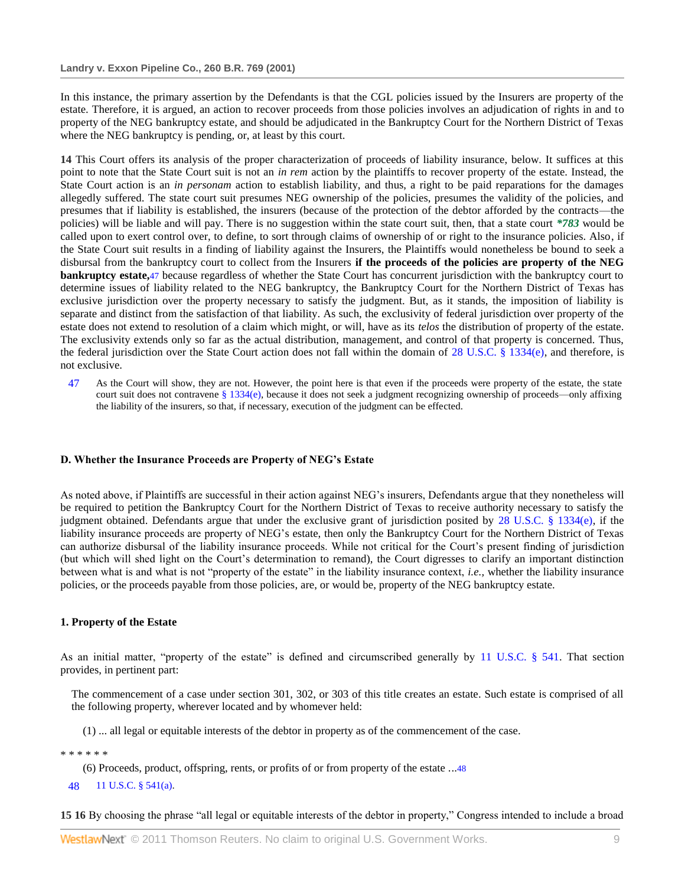In this instance, the primary assertion by the Defendants is that the CGL policies issued by the Insurers are property of the estate. Therefore, it is argued, an action to recover proceeds from those policies involves an adjudication of rights in and to property of the NEG bankruptcy estate, and should be adjudicated in the Bankruptcy Court for the Northern District of Texas where the NEG bankruptcy is pending, or, at least by this court.

**14** This Court offers its analysis of the proper characterization of proceeds of liability insurance, below. It suffices at this point to note that the State Court suit is not an *in rem* action by the plaintiffs to recover property of the estate. Instead, the State Court action is an *in personam* action to establish liability, and thus, a right to be paid reparations for the damages allegedly suffered. The state court suit presumes NEG ownership of the policies, presumes the validity of the policies, and presumes that if liability is established, the insurers (because of the protection of the debtor afforded by the contracts—the policies) will be liable and will pay. There is no suggestion within the state court suit, then, that a state court *\*783* would be called upon to exert control over, to define, to sort through claims of ownership of or right to the insurance policies. Also, if the State Court suit results in a finding of liability against the Insurers, the Plaintiffs would nonetheless be bound to seek a disbursal from the bankruptcy court to collect from the Insurers **if the proceeds of the policies are property of the NEG bankruptcy estate,**47 because regardless of whether the State Court has concurrent jurisdiction with the bankruptcy court to determine issues of liability related to the NEG bankruptcy, the Bankruptcy Court for the Northern District of Texas has exclusive jurisdiction over the property necessary to satisfy the judgment. But, as it stands, the imposition of liability is separate and distinct from the satisfaction of that liability. As such, the exclusivity of federal jurisdiction over property of the estate does not extend to resolution of a claim which might, or will, have as its *telos* the distribution of property of the estate. The exclusivity extends only so far as the actual distribution, management, and control of that property is concerned. Thus, the federal jurisdiction over the State Court action does not fall within the domain of [28 U.S.C. § 1334\(e\),](http://www.westlaw.com/Link/Document/FullText?findType=L&pubNum=1000546&cite=28USCAS1334&originatingDoc=I553831ad6e5211d98778bd0185d69771&refType=LQ&originationContext=document&vr=3.0&rs=cblt1.0&transitionType=DocumentItem&contextData=(sc.Search)) and therefore, is not exclusive.

47 As the Court will show, they are not. However, the point here is that even if the proceeds were property of the estate, the state court suit does not contravene  $\S 1334(e)$ , because it does not seek a judgment recognizing ownership of proceeds—only affixing the liability of the insurers, so that, if necessary, execution of the judgment can be effected.

### **D. Whether the Insurance Proceeds are Property of NEG's Estate**

As noted above, if Plaintiffs are successful in their action against NEG's insurers, Defendants argue that they nonetheless will be required to petition the Bankruptcy Court for the Northern District of Texas to receive authority necessary to satisfy the judgment obtained. Defendants argue that under the exclusive grant of jurisdiction posited by [28 U.S.C. § 1334\(e\),](http://www.westlaw.com/Link/Document/FullText?findType=L&pubNum=1000546&cite=28USCAS1334&originatingDoc=I553831ad6e5211d98778bd0185d69771&refType=LQ&originationContext=document&vr=3.0&rs=cblt1.0&transitionType=DocumentItem&contextData=(sc.Search)) if the liability insurance proceeds are property of NEG's estate, then only the Bankruptcy Court for the Northern District of Texas can authorize disbursal of the liability insurance proceeds. While not critical for the Court's present finding of jurisdiction (but which will shed light on the Court's determination to remand), the Court digresses to clarify an important distinction between what is and what is not "property of the estate" in the liability insurance context, *i.e.*, whether the liability insurance policies, or the proceeds payable from those policies, are, or would be, property of the NEG bankruptcy estate.

## **1. Property of the Estate**

As an initial matter, "property of the estate" is defined and circumscribed generally by [11 U.S.C. § 541.](http://www.westlaw.com/Link/Document/FullText?findType=L&pubNum=1000546&cite=11USCAS541&originatingDoc=I553831ad6e5211d98778bd0185d69771&refType=LQ&originationContext=document&vr=3.0&rs=cblt1.0&transitionType=DocumentItem&contextData=(sc.Search)) That section provides, in pertinent part:

The commencement of a case under section 301, 302, or 303 of this title creates an estate. Such estate is comprised of all the following property, wherever located and by whomever held:

(1) ... all legal or equitable interests of the debtor in property as of the commencement of the case.

\* \* \* \* \* \*

- (6) Proceeds, product, offspring, rents, or profits of or from property of the estate ...48
- 48 [11 U.S.C. § 541\(a\).](http://www.westlaw.com/Link/Document/FullText?findType=L&pubNum=1000546&cite=11USCAS541&originatingDoc=I553831ad6e5211d98778bd0185d69771&refType=LQ&originationContext=document&vr=3.0&rs=cblt1.0&transitionType=DocumentItem&contextData=(sc.Search))

**15 16** By choosing the phrase "all legal or equitable interests of the debtor in property," Congress intended to include a broad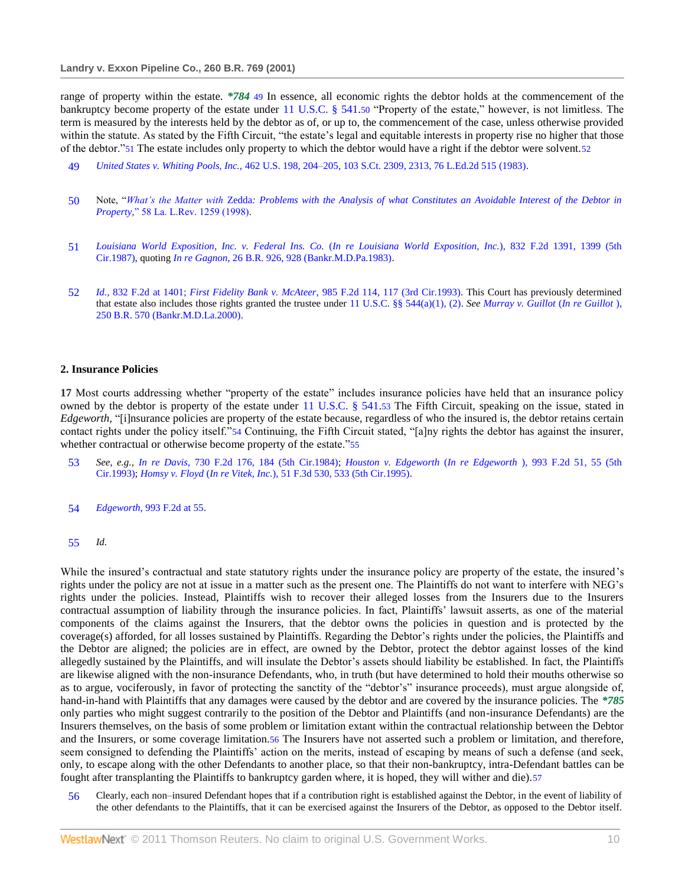range of property within the estate. *\*784* 49 In essence, all economic rights the debtor holds at the commencement of the bankruptcy become property of the estate under  $11$  U.S.C. § 541.50 "Property of the estate," however, is not limitless. The term is measured by the interests held by the debtor as of, or up to, the commencement of the case, unless otherwise provided within the statute. As stated by the Fifth Circuit, "the estate's legal and equitable interests in property rise no higher that those of the debtor."51 The estate includes only property to which the debtor would have a right if the debtor were solvent.52

- 49 *United States v. Whiting Pools, Inc.,* [462 U.S. 198, 204–205, 103 S.Ct. 2309, 2313, 76 L.Ed.2d 515 \(1983\).](http://www.westlaw.com/Link/Document/FullText?findType=Y&serNum=1983126671&pubNum=708&originationContext=document&vr=3.0&rs=cblt1.0&transitionType=DocumentItem&contextData=(sc.Search)#co_pp_sp_708_2313)
- 50 Note, ―*What's the Matter with* Zedda*[: Problems with the Analysis of what Constitutes an Avoidable Interest of the Debtor in](http://www.westlaw.com/Link/Document/FullText?findType=Y&serNum=0110204993&pubNum=1181&originationContext=document&vr=3.0&rs=cblt1.0&transitionType=DocumentItem&contextData=(sc.Search))  Property,*" 58 La. L.Rev. 1259 (1998).
- 51 *[Louisiana World Exposition, Inc. v. Federal Ins. Co.](http://www.westlaw.com/Link/Document/FullText?findType=Y&serNum=1987141447&pubNum=350&originationContext=document&vr=3.0&rs=cblt1.0&transitionType=DocumentItem&contextData=(sc.Search)#co_pp_sp_350_1399)* (*In re Louisiana World Exposition, Inc.*), 832 F.2d 1391, 1399 (5th [Cir.1987\),](http://www.westlaw.com/Link/Document/FullText?findType=Y&serNum=1987141447&pubNum=350&originationContext=document&vr=3.0&rs=cblt1.0&transitionType=DocumentItem&contextData=(sc.Search)#co_pp_sp_350_1399) quoting *In re Gagnon,* [26 B.R. 926, 928 \(Bankr.M.D.Pa.1983\).](http://www.westlaw.com/Link/Document/FullText?findType=Y&serNum=1983107040&pubNum=164&originationContext=document&vr=3.0&rs=cblt1.0&transitionType=DocumentItem&contextData=(sc.Search)#co_pp_sp_164_928)
- 52 *Id.,* [832 F.2d at 1401;](http://www.westlaw.com/Link/Document/FullText?findType=Y&serNum=1987141447&pubNum=350&originationContext=document&vr=3.0&rs=cblt1.0&transitionType=DocumentItem&contextData=(sc.Search)#co_pp_sp_350_1401) *First Fidelity Bank v. McAteer,* [985 F.2d 114, 117 \(3rd Cir.1993\).](http://www.westlaw.com/Link/Document/FullText?findType=Y&serNum=1993042595&pubNum=350&originationContext=document&vr=3.0&rs=cblt1.0&transitionType=DocumentItem&contextData=(sc.Search)#co_pp_sp_350_117) This Court has previously determined that estate also includes those rights granted the trustee under [11 U.S.C. §§ 544\(a\)\(1\), \(2\).](http://www.westlaw.com/Link/Document/FullText?findType=L&pubNum=1000546&cite=11USCAS544&originatingDoc=I553831ad6e5211d98778bd0185d69771&refType=LQ&originationContext=document&vr=3.0&rs=cblt1.0&transitionType=DocumentItem&contextData=(sc.Search)) *See [Murray v. Guillot](http://www.westlaw.com/Link/Document/FullText?findType=Y&serNum=2000390710&pubNum=164&originationContext=document&vr=3.0&rs=cblt1.0&transitionType=DocumentItem&contextData=(sc.Search))* (*In re Guillot* ), [250 B.R. 570 \(Bankr.M.D.La.2000\).](http://www.westlaw.com/Link/Document/FullText?findType=Y&serNum=2000390710&pubNum=164&originationContext=document&vr=3.0&rs=cblt1.0&transitionType=DocumentItem&contextData=(sc.Search))

### **2. Insurance Policies**

**17** Most courts addressing whether "property of the estate" includes insurance policies have held that an insurance policy owned by the debtor is property of the estate under [11 U.S.C. § 541.](http://www.westlaw.com/Link/Document/FullText?findType=L&pubNum=1000546&cite=11USCAS541&originatingDoc=I553831ad6e5211d98778bd0185d69771&refType=LQ&originationContext=document&vr=3.0&rs=cblt1.0&transitionType=DocumentItem&contextData=(sc.Search))53 The Fifth Circuit, speaking on the issue, stated in *Edgeworth*, "[i]nsurance policies are property of the estate because, regardless of who the insured is, the debtor retains certain contact rights under the policy itself."54 Continuing, the Fifth Circuit stated, "[a]ny rights the debtor has against the insurer, whether contractual or otherwise become property of the estate."55

- 53 *See, e.g., In re Davis,* [730 F.2d 176, 184 \(5th Cir.1984\);](http://www.westlaw.com/Link/Document/FullText?findType=Y&serNum=1984117099&pubNum=350&originationContext=document&vr=3.0&rs=cblt1.0&transitionType=DocumentItem&contextData=(sc.Search)#co_pp_sp_350_184) *Houston v. Edgeworth* (*In re Edgeworth* [\), 993 F.2d 51, 55 \(5th](http://www.westlaw.com/Link/Document/FullText?findType=Y&serNum=1993113955&pubNum=350&originationContext=document&vr=3.0&rs=cblt1.0&transitionType=DocumentItem&contextData=(sc.Search)#co_pp_sp_350_55)  [Cir.1993\);](http://www.westlaw.com/Link/Document/FullText?findType=Y&serNum=1993113955&pubNum=350&originationContext=document&vr=3.0&rs=cblt1.0&transitionType=DocumentItem&contextData=(sc.Search)#co_pp_sp_350_55) *Homsy v. Floyd* (*In re Vitek, Inc.*[\), 51 F.3d 530, 533 \(5th Cir.1995\).](http://www.westlaw.com/Link/Document/FullText?findType=Y&serNum=1995096434&pubNum=506&originationContext=document&vr=3.0&rs=cblt1.0&transitionType=DocumentItem&contextData=(sc.Search)#co_pp_sp_506_533)
- 54 *Edgeworth,* [993 F.2d at 55.](http://www.westlaw.com/Link/Document/FullText?findType=Y&serNum=1993113955&pubNum=350&originationContext=document&vr=3.0&rs=cblt1.0&transitionType=DocumentItem&contextData=(sc.Search)#co_pp_sp_350_55)
- 55 *Id.*

While the insured's contractual and state statutory rights under the insurance policy are property of the estate, the insured's rights under the policy are not at issue in a matter such as the present one. The Plaintiffs do not want to interfere with NEG's rights under the policies. Instead, Plaintiffs wish to recover their alleged losses from the Insurers due to the Insurers contractual assumption of liability through the insurance policies. In fact, Plaintiffs' lawsuit asserts, as one of the material components of the claims against the Insurers, that the debtor owns the policies in question and is protected by the coverage(s) afforded, for all losses sustained by Plaintiffs. Regarding the Debtor's rights under the policies, the Plaintiffs and the Debtor are aligned; the policies are in effect, are owned by the Debtor, protect the debtor against losses of the kind allegedly sustained by the Plaintiffs, and will insulate the Debtor's assets should liability be established. In fact, the Plaintiffs are likewise aligned with the non-insurance Defendants, who, in truth (but have determined to hold their mouths otherwise so as to argue, vociferously, in favor of protecting the sanctity of the "debtor's" insurance proceeds), must argue alongside of, hand-in-hand with Plaintiffs that any damages were caused by the debtor and are covered by the insurance policies. The *\*785* only parties who might suggest contrarily to the position of the Debtor and Plaintiffs (and non-insurance Defendants) are the Insurers themselves, on the basis of some problem or limitation extant within the contractual relationship between the Debtor and the Insurers, or some coverage limitation.56 The Insurers have not asserted such a problem or limitation, and therefore, seem consigned to defending the Plaintiffs' action on the merits, instead of escaping by means of such a defense (and seek, only, to escape along with the other Defendants to another place, so that their non-bankruptcy, intra-Defendant battles can be fought after transplanting the Plaintiffs to bankruptcy garden where, it is hoped, they will wither and die).57

56 Clearly, each non–insured Defendant hopes that if a contribution right is established against the Debtor, in the event of liability of the other defendants to the Plaintiffs, that it can be exercised against the Insurers of the Debtor, as opposed to the Debtor itself.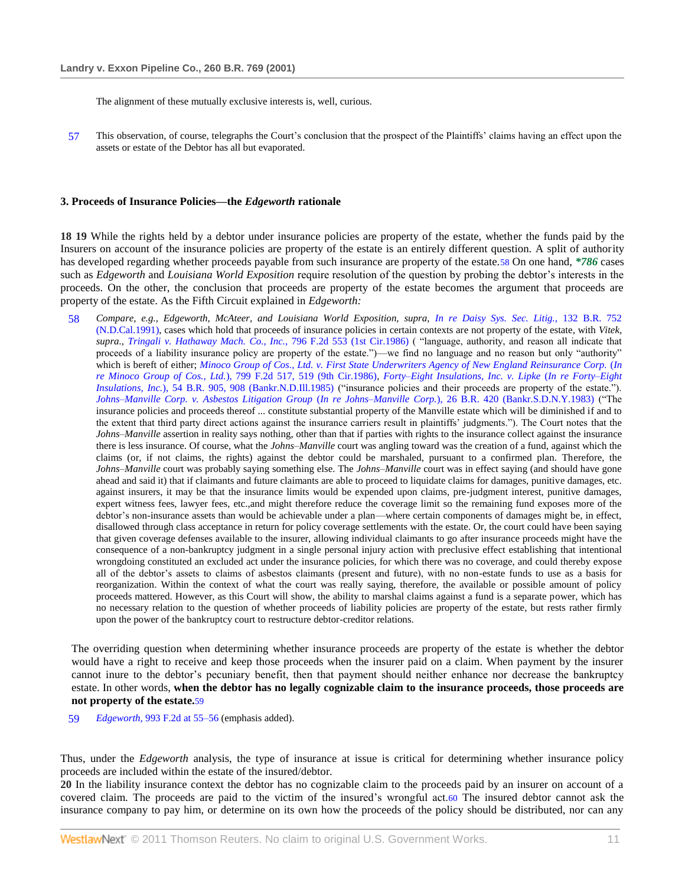The alignment of these mutually exclusive interests is, well, curious.

57 This observation, of course, telegraphs the Court's conclusion that the prospect of the Plaintiffs' claims having an effect upon the assets or estate of the Debtor has all but evaporated.

### **3. Proceeds of Insurance Policies—the** *Edgeworth* **rationale**

**18 19** While the rights held by a debtor under insurance policies are property of the estate, whether the funds paid by the Insurers on account of the insurance policies are property of the estate is an entirely different question. A split of authority has developed regarding whether proceeds payable from such insurance are property of the estate.58 On one hand, *\*786* cases such as *Edgeworth* and *Louisiana World Exposition* require resolution of the question by probing the debtor's interests in the proceeds. On the other, the conclusion that proceeds are property of the estate becomes the argument that proceeds are property of the estate. As the Fifth Circuit explained in *Edgeworth:*

58 *Compare, e.g., Edgeworth, McAteer, and Louisiana World Exposition, supra, [In re Daisy Sys. Sec. Litig.,](http://www.westlaw.com/Link/Document/FullText?findType=Y&serNum=1991177304&pubNum=164&originationContext=document&vr=3.0&rs=cblt1.0&transitionType=DocumentItem&contextData=(sc.Search))* 132 B.R. 752 [\(N.D.Cal.1991\),](http://www.westlaw.com/Link/Document/FullText?findType=Y&serNum=1991177304&pubNum=164&originationContext=document&vr=3.0&rs=cblt1.0&transitionType=DocumentItem&contextData=(sc.Search)) cases which hold that proceeds of insurance policies in certain contexts are not property of the estate, with *Vitek,*  supra., *Tringali v. Hathaway Mach. Co., Inc.,* 796 F.2d 553 (1st Cir.1986) ( "language, authority, and reason all indicate that proceeds of a liability insurance policy are property of the estate.")—we find no language and no reason but only "authority" which is bereft of either; *[Minoco Group of Cos., Ltd. v. First State Underwriters Agency of New England Reinsurance Corp.](http://www.westlaw.com/Link/Document/FullText?findType=Y&serNum=1986145573&pubNum=350&originationContext=document&vr=3.0&rs=cblt1.0&transitionType=DocumentItem&contextData=(sc.Search)#co_pp_sp_350_519)* (*In re Minoco Group of Cos., Ltd.*[\), 799 F.2d 517, 519 \(9th Cir.1986\),](http://www.westlaw.com/Link/Document/FullText?findType=Y&serNum=1986145573&pubNum=350&originationContext=document&vr=3.0&rs=cblt1.0&transitionType=DocumentItem&contextData=(sc.Search)#co_pp_sp_350_519) *[Forty–Eight Insulations, Inc. v. Lipke](http://www.westlaw.com/Link/Document/FullText?findType=Y&serNum=1985156897&pubNum=164&originationContext=document&vr=3.0&rs=cblt1.0&transitionType=DocumentItem&contextData=(sc.Search)#co_pp_sp_164_908)* (*In re Forty–Eight Insulations, Inc.*[\), 54 B.R. 905, 908 \(Bankr.N.D.Ill.1985\)](http://www.westlaw.com/Link/Document/FullText?findType=Y&serNum=1985156897&pubNum=164&originationContext=document&vr=3.0&rs=cblt1.0&transitionType=DocumentItem&contextData=(sc.Search)#co_pp_sp_164_908) ("insurance policies and their proceeds are property of the estate."). *[Johns–Manville Corp. v. Asbestos Litigation Group](http://www.westlaw.com/Link/Document/FullText?findType=Y&serNum=1983103057&pubNum=164&originationContext=document&vr=3.0&rs=cblt1.0&transitionType=DocumentItem&contextData=(sc.Search)) (In re Johns–Manville Corp.*), 26 B.R. 420 (Bankr.S.D.N.Y.1983) ("The insurance policies and proceeds thereof ... constitute substantial property of the Manville estate which will be diminished if and to the extent that third party direct actions against the insurance carriers result in plaintiffs' judgments."). The Court notes that the *Johns–Manville* assertion in reality says nothing, other than that if parties with rights to the insurance collect against the insurance there is less insurance. Of course, what the *Johns–Manville* court was angling toward was the creation of a fund, against which the claims (or, if not claims, the rights) against the debtor could be marshaled, pursuant to a confirmed plan. Therefore, the *Johns–Manville* court was probably saying something else. The *Johns–Manville* court was in effect saying (and should have gone ahead and said it) that if claimants and future claimants are able to proceed to liquidate claims for damages, punitive damages, etc. against insurers, it may be that the insurance limits would be expended upon claims, pre-judgment interest, punitive damages, expert witness fees, lawyer fees, etc.,and might therefore reduce the coverage limit so the remaining fund exposes more of the debtor's non-insurance assets than would be achievable under a plan—where certain components of damages might be, in effect, disallowed through class acceptance in return for policy coverage settlements with the estate. Or, the court could have been saying that given coverage defenses available to the insurer, allowing individual claimants to go after insurance proceeds might have the consequence of a non-bankruptcy judgment in a single personal injury action with preclusive effect establishing that intentional wrongdoing constituted an excluded act under the insurance policies, for which there was no coverage, and could thereby expose all of the debtor's assets to claims of asbestos claimants (present and future), with no non-estate funds to use as a basis for reorganization. Within the context of what the court was really saying, therefore, the available or possible amount of policy proceeds mattered. However, as this Court will show, the ability to marshal claims against a fund is a separate power, which has no necessary relation to the question of whether proceeds of liability policies are property of the estate, but rests rather firmly upon the power of the bankruptcy court to restructure debtor-creditor relations.

The overriding question when determining whether insurance proceeds are property of the estate is whether the debtor would have a right to receive and keep those proceeds when the insurer paid on a claim. When payment by the insurer cannot inure to the debtor's pecuniary benefit, then that payment should neither enhance nor decrease the bankruptcy estate. In other words, **when the debtor has no legally cognizable claim to the insurance proceeds, those proceeds are not property of the estate.**59

### 59 *Edgeworth,* [993 F.2d at 55–56](http://www.westlaw.com/Link/Document/FullText?findType=Y&serNum=1993113955&pubNum=350&originationContext=document&vr=3.0&rs=cblt1.0&transitionType=DocumentItem&contextData=(sc.Search)#co_pp_sp_350_55) (emphasis added).

Thus, under the *Edgeworth* analysis, the type of insurance at issue is critical for determining whether insurance policy proceeds are included within the estate of the insured/debtor.

**20** In the liability insurance context the debtor has no cognizable claim to the proceeds paid by an insurer on account of a covered claim. The proceeds are paid to the victim of the insured's wrongful act.60 The insured debtor cannot ask the insurance company to pay him, or determine on its own how the proceeds of the policy should be distributed, nor can any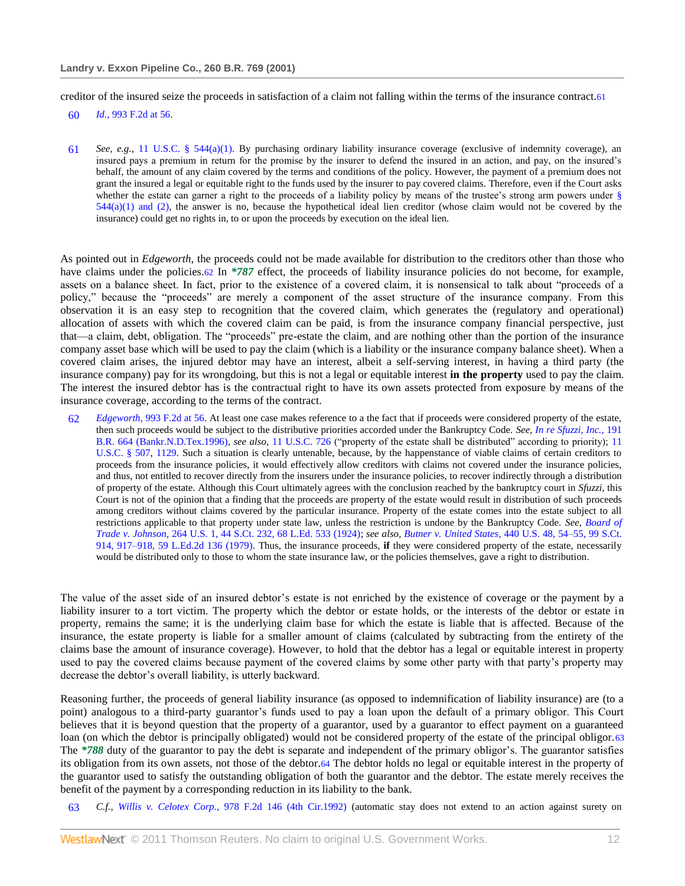creditor of the insured seize the proceeds in satisfaction of a claim not falling within the terms of the insurance contract.61

60 *Id.,* [993 F.2d at 56.](http://www.westlaw.com/Link/Document/FullText?findType=Y&serNum=1993113955&pubNum=350&originationContext=document&vr=3.0&rs=cblt1.0&transitionType=DocumentItem&contextData=(sc.Search)#co_pp_sp_350_56)

61 *See, e.g.,* [11 U.S.C. § 544\(a\)\(1\).](http://www.westlaw.com/Link/Document/FullText?findType=L&pubNum=1000546&cite=11USCAS544&originatingDoc=I553831ad6e5211d98778bd0185d69771&refType=LQ&originationContext=document&vr=3.0&rs=cblt1.0&transitionType=DocumentItem&contextData=(sc.Search)) By purchasing ordinary liability insurance coverage (exclusive of indemnity coverage), an insured pays a premium in return for the promise by the insurer to defend the insured in an action, and pay, on the insured's behalf, the amount of any claim covered by the terms and conditions of the policy. However, the payment of a premium does not grant the insured a legal or equitable right to the funds used by the insurer to pay covered claims. Therefore, even if the Court asks whether the estate can garner a right to the proceeds of a liability policy by means of the trustee's strong arm powers under §  $544(a)(1)$  and (2), the answer is no, because the hypothetical ideal lien creditor (whose claim would not be covered by the insurance) could get no rights in, to or upon the proceeds by execution on the ideal lien.

As pointed out in *Edgeworth,* the proceeds could not be made available for distribution to the creditors other than those who have claims under the policies.62 In *\*787* effect, the proceeds of liability insurance policies do not become, for example, assets on a balance sheet. In fact, prior to the existence of a covered claim, it is nonsensical to talk about "proceeds of a policy," because the "proceeds" are merely a component of the asset structure of the insurance company. From this observation it is an easy step to recognition that the covered claim, which generates the (regulatory and operational) allocation of assets with which the covered claim can be paid, is from the insurance company financial perspective, just that—a claim, debt, obligation. The "proceeds" pre-estate the claim, and are nothing other than the portion of the insurance company asset base which will be used to pay the claim (which is a liability or the insurance company balance sheet). When a covered claim arises, the injured debtor may have an interest, albeit a self-serving interest, in having a third party (the insurance company) pay for its wrongdoing, but this is not a legal or equitable interest **in the property** used to pay the claim. The interest the insured debtor has is the contractual right to have its own assets protected from exposure by means of the insurance coverage, according to the terms of the contract.

62 *Edgeworth,* [993 F.2d at 56.](http://www.westlaw.com/Link/Document/FullText?findType=Y&serNum=1993113955&pubNum=350&originationContext=document&vr=3.0&rs=cblt1.0&transitionType=DocumentItem&contextData=(sc.Search)#co_pp_sp_350_56) At least one case makes reference to a the fact that if proceeds were considered property of the estate, then such proceeds would be subject to the distributive priorities accorded under the Bankruptcy Code. *See[, In re Sfuzzi, Inc.,](http://www.westlaw.com/Link/Document/FullText?findType=Y&serNum=1996048846&pubNum=164&originationContext=document&vr=3.0&rs=cblt1.0&transitionType=DocumentItem&contextData=(sc.Search))* 191 [B.R. 664 \(Bankr.N.D.Tex.1996\),](http://www.westlaw.com/Link/Document/FullText?findType=Y&serNum=1996048846&pubNum=164&originationContext=document&vr=3.0&rs=cblt1.0&transitionType=DocumentItem&contextData=(sc.Search)) see also, [11 U.S.C. 726](http://www.westlaw.com/Link/Document/FullText?findType=L&pubNum=1000546&cite=11USCAS726&originatingDoc=I553831ad6e5211d98778bd0185d69771&refType=LQ&originationContext=document&vr=3.0&rs=cblt1.0&transitionType=DocumentItem&contextData=(sc.Search)) ("property of the estate shall be distributed" according to priority); 11 [U.S.C. § 507,](http://www.westlaw.com/Link/Document/FullText?findType=L&pubNum=1000546&cite=11USCAS507&originatingDoc=I553831ad6e5211d98778bd0185d69771&refType=LQ&originationContext=document&vr=3.0&rs=cblt1.0&transitionType=DocumentItem&contextData=(sc.Search)) [1129.](http://www.westlaw.com/Link/Document/FullText?findType=L&pubNum=1000546&cite=11USCAS1129&originatingDoc=I553831ad6e5211d98778bd0185d69771&refType=LQ&originationContext=document&vr=3.0&rs=cblt1.0&transitionType=DocumentItem&contextData=(sc.Search)) Such a situation is clearly untenable, because, by the happenstance of viable claims of certain creditors to proceeds from the insurance policies, it would effectively allow creditors with claims not covered under the insurance policies, and thus, not entitled to recover directly from the insurers under the insurance policies, to recover indirectly through a distribution of property of the estate. Although this Court ultimately agrees with the conclusion reached by the bankruptcy court in *Sfuzzi,* this Court is not of the opinion that a finding that the proceeds are property of the estate would result in distribution of such proceeds among creditors without claims covered by the particular insurance. Property of the estate comes into the estate subject to all restrictions applicable to that property under state law, unless the restriction is undone by the Bankruptcy Code. *See, [Board of](http://www.westlaw.com/Link/Document/FullText?findType=Y&serNum=1924120594&pubNum=708&originationContext=document&vr=3.0&rs=cblt1.0&transitionType=DocumentItem&contextData=(sc.Search))  Trade v. Johnson,* [264 U.S. 1, 44 S.Ct. 232, 68 L.Ed. 533 \(1924\);](http://www.westlaw.com/Link/Document/FullText?findType=Y&serNum=1924120594&pubNum=708&originationContext=document&vr=3.0&rs=cblt1.0&transitionType=DocumentItem&contextData=(sc.Search)) *see also, Butner v. United States,* [440 U.S. 48, 54–55, 99 S.Ct.](http://www.westlaw.com/Link/Document/FullText?findType=Y&serNum=1979108028&pubNum=708&originationContext=document&vr=3.0&rs=cblt1.0&transitionType=DocumentItem&contextData=(sc.Search)#co_pp_sp_708_917)  [914, 917–918, 59 L.Ed.2d 136 \(1979\).](http://www.westlaw.com/Link/Document/FullText?findType=Y&serNum=1979108028&pubNum=708&originationContext=document&vr=3.0&rs=cblt1.0&transitionType=DocumentItem&contextData=(sc.Search)#co_pp_sp_708_917) Thus, the insurance proceeds, **if** they were considered property of the estate, necessarily would be distributed only to those to whom the state insurance law, or the policies themselves, gave a right to distribution.

The value of the asset side of an insured debtor's estate is not enriched by the existence of coverage or the payment by a liability insurer to a tort victim. The property which the debtor or estate holds, or the interests of the debtor or estate in property, remains the same; it is the underlying claim base for which the estate is liable that is affected. Because of the insurance, the estate property is liable for a smaller amount of claims (calculated by subtracting from the entirety of the claims base the amount of insurance coverage). However, to hold that the debtor has a legal or equitable interest in property used to pay the covered claims because payment of the covered claims by some other party with that party's property may decrease the debtor's overall liability, is utterly backward.

Reasoning further, the proceeds of general liability insurance (as opposed to indemnification of liability insurance) are (to a point) analogous to a third-party guarantor's funds used to pay a loan upon the default of a primary obligor. This Court believes that it is beyond question that the property of a guarantor, used by a guarantor to effect payment on a guaranteed loan (on which the debtor is principally obligated) would not be considered property of the estate of the principal obligor.63 The *\*788* duty of the guarantor to pay the debt is separate and independent of the primary obligor's. The guarantor satisfies its obligation from its own assets, not those of the debtor.64 The debtor holds no legal or equitable interest in the property of the guarantor used to satisfy the outstanding obligation of both the guarantor and the debtor. The estate merely receives the benefit of the payment by a corresponding reduction in its liability to the bank.

63 *C.f., Willis v. Celotex Corp.,* [978 F.2d 146 \(4th Cir.1992\)](http://www.westlaw.com/Link/Document/FullText?findType=Y&serNum=1992183630&pubNum=350&originationContext=document&vr=3.0&rs=cblt1.0&transitionType=DocumentItem&contextData=(sc.Search)) (automatic stay does not extend to an action against surety on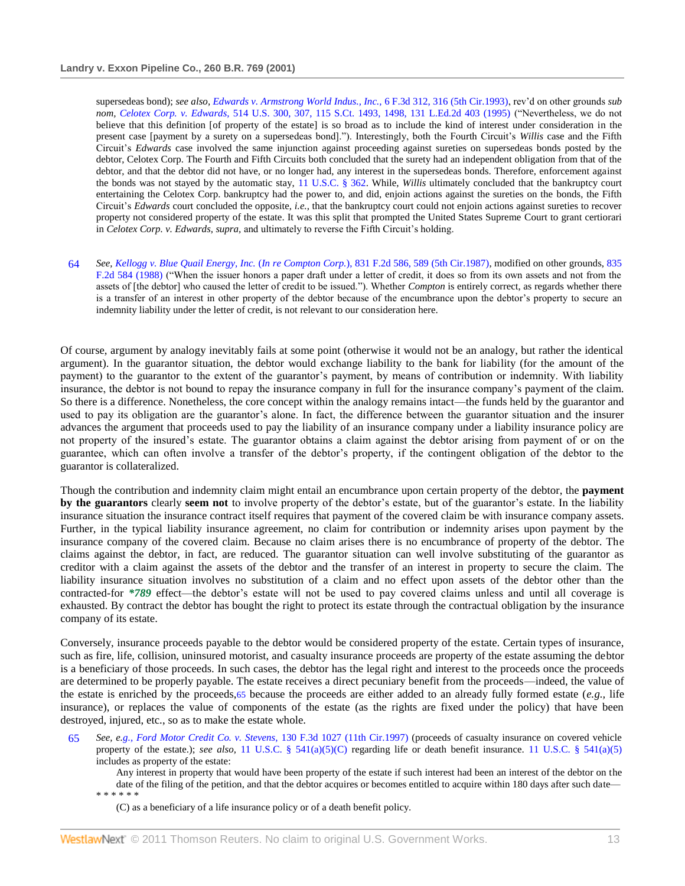supersedeas bond); *see also[, Edwards v. Armstrong World Indus., Inc.,](http://www.westlaw.com/Link/Document/FullText?findType=Y&serNum=1993201990&pubNum=506&originationContext=document&vr=3.0&rs=cblt1.0&transitionType=DocumentItem&contextData=(sc.Search)#co_pp_sp_506_316)* 6 F.3d 312, 316 (5th Cir.1993), rev'd on other grounds *sub nom, Celotex Corp. v. Edwards,* [514 U.S. 300, 307, 115 S.Ct. 1493, 1498, 131 L.Ed.2d 403 \(1995\)](http://www.westlaw.com/Link/Document/FullText?findType=Y&serNum=1995091686&pubNum=708&originationContext=document&vr=3.0&rs=cblt1.0&transitionType=DocumentItem&contextData=(sc.Search)#co_pp_sp_708_1498) ("Nevertheless, we do not believe that this definition [of property of the estate] is so broad as to include the kind of interest under consideration in the present case [payment by a surety on a supersedeas bond]."). Interestingly, both the Fourth Circuit's Willis case and the Fifth Circuit's *Edwards* case involved the same injunction against proceeding against sureties on supersedeas bonds posted by the debtor, Celotex Corp. The Fourth and Fifth Circuits both concluded that the surety had an independent obligation from that of the debtor, and that the debtor did not have, or no longer had, any interest in the supersedeas bonds. Therefore, enforcement against the bonds was not stayed by the automatic stay, [11 U.S.C. § 362.](http://www.westlaw.com/Link/Document/FullText?findType=L&pubNum=1000546&cite=11USCAS362&originatingDoc=I553831ad6e5211d98778bd0185d69771&refType=LQ&originationContext=document&vr=3.0&rs=cblt1.0&transitionType=DocumentItem&contextData=(sc.Search)) While, *Willis* ultimately concluded that the bankruptcy court entertaining the Celotex Corp. bankruptcy had the power to, and did, enjoin actions against the sureties on the bonds, the Fifth Circuit's *Edwards* court concluded the opposite, *i.e.,* that the bankruptcy court could not enjoin actions against sureties to recover property not considered property of the estate. It was this split that prompted the United States Supreme Court to grant certiorari in *Celotex Corp. v. Edwards, supra,* and ultimately to reverse the Fifth Circuit's holding.

64 *See, Kellogg v. Blue Quail Energy, Inc.* (*In re Compton Corp.*[\), 831 F.2d 586, 589 \(5th Cir.1987\),](http://www.westlaw.com/Link/Document/FullText?findType=Y&serNum=1987132427&pubNum=350&originationContext=document&vr=3.0&rs=cblt1.0&transitionType=DocumentItem&contextData=(sc.Search)#co_pp_sp_350_589) modified on other grounds[, 835](http://www.westlaw.com/Link/Document/FullText?findType=Y&serNum=1987159021&pubNum=350&originationContext=document&vr=3.0&rs=cblt1.0&transitionType=DocumentItem&contextData=(sc.Search))  [F.2d 584 \(1988\)](http://www.westlaw.com/Link/Document/FullText?findType=Y&serNum=1987159021&pubNum=350&originationContext=document&vr=3.0&rs=cblt1.0&transitionType=DocumentItem&contextData=(sc.Search)) ("When the issuer honors a paper draft under a letter of credit, it does so from its own assets and not from the assets of [the debtor] who caused the letter of credit to be issued."). Whether *Compton* is entirely correct, as regards whether there is a transfer of an interest in other property of the debtor because of the encumbrance upon the debtor's property to secure an indemnity liability under the letter of credit, is not relevant to our consideration here.

Of course, argument by analogy inevitably fails at some point (otherwise it would not be an analogy, but rather the identical argument). In the guarantor situation, the debtor would exchange liability to the bank for liability (for the amount of the payment) to the guarantor to the extent of the guarantor's payment, by means of contribution or indemnity. With liability insurance, the debtor is not bound to repay the insurance company in full for the insurance company's payment of the claim. So there is a difference. Nonetheless, the core concept within the analogy remains intact—the funds held by the guarantor and used to pay its obligation are the guarantor's alone. In fact, the difference between the guarantor situation and the insurer advances the argument that proceeds used to pay the liability of an insurance company under a liability insurance policy are not property of the insured's estate. The guarantor obtains a claim against the debtor arising from payment of or on the guarantee, which can often involve a transfer of the debtor's property, if the contingent obligation of the debtor to the guarantor is collateralized.

Though the contribution and indemnity claim might entail an encumbrance upon certain property of the debtor, the **payment by the guarantors** clearly **seem not** to involve property of the debtor's estate, but of the guarantor's estate. In the liability insurance situation the insurance contract itself requires that payment of the covered claim be with insurance company assets. Further, in the typical liability insurance agreement, no claim for contribution or indemnity arises upon payment by the insurance company of the covered claim. Because no claim arises there is no encumbrance of property of the debtor. The claims against the debtor, in fact, are reduced. The guarantor situation can well involve substituting of the guarantor as creditor with a claim against the assets of the debtor and the transfer of an interest in property to secure the claim. The liability insurance situation involves no substitution of a claim and no effect upon assets of the debtor other than the contracted-for *\*789* effect—the debtor's estate will not be used to pay covered claims unless and until all coverage is exhausted. By contract the debtor has bought the right to protect its estate through the contractual obligation by the insurance company of its estate.

Conversely, insurance proceeds payable to the debtor would be considered property of the estate. Certain types of insurance, such as fire, life, collision, uninsured motorist, and casualty insurance proceeds are property of the estate assuming the debtor is a beneficiary of those proceeds. In such cases, the debtor has the legal right and interest to the proceeds once the proceeds are determined to be properly payable. The estate receives a direct pecuniary benefit from the proceeds—indeed, the value of the estate is enriched by the proceeds,65 because the proceeds are either added to an already fully formed estate (*e.g.,* life insurance), or replaces the value of components of the estate (as the rights are fixed under the policy) that have been destroyed, injured, etc., so as to make the estate whole.

65 *See, e[.g., Ford Motor Credit Co. v. Stevens,](http://www.westlaw.com/Link/Document/FullText?findType=Y&serNum=1997242359&pubNum=506&originationContext=document&vr=3.0&rs=cblt1.0&transitionType=DocumentItem&contextData=(sc.Search))* 130 F.3d 1027 (11th Cir.1997) (proceeds of casualty insurance on covered vehicle property of the estate.); *see also*, [11 U.S.C. § 541\(a\)\(5\)\(C\)](http://www.westlaw.com/Link/Document/FullText?findType=L&pubNum=1000546&cite=11USCAS541&originatingDoc=I553831ad6e5211d98778bd0185d69771&refType=LQ&originationContext=document&vr=3.0&rs=cblt1.0&transitionType=DocumentItem&contextData=(sc.Search)) regarding life or death benefit insurance. [11 U.S.C. § 541\(a\)\(5\)](http://www.westlaw.com/Link/Document/FullText?findType=L&pubNum=1000546&cite=11USCAS541&originatingDoc=I553831ad6e5211d98778bd0185d69771&refType=LQ&originationContext=document&vr=3.0&rs=cblt1.0&transitionType=DocumentItem&contextData=(sc.Search)) includes as property of the estate:

Any interest in property that would have been property of the estate if such interest had been an interest of the debtor on the date of the filing of the petition, and that the debtor acquires or becomes entitled to acquire within 180 days after such date— \* \* \* \* \* \*

(C) as a beneficiary of a life insurance policy or of a death benefit policy.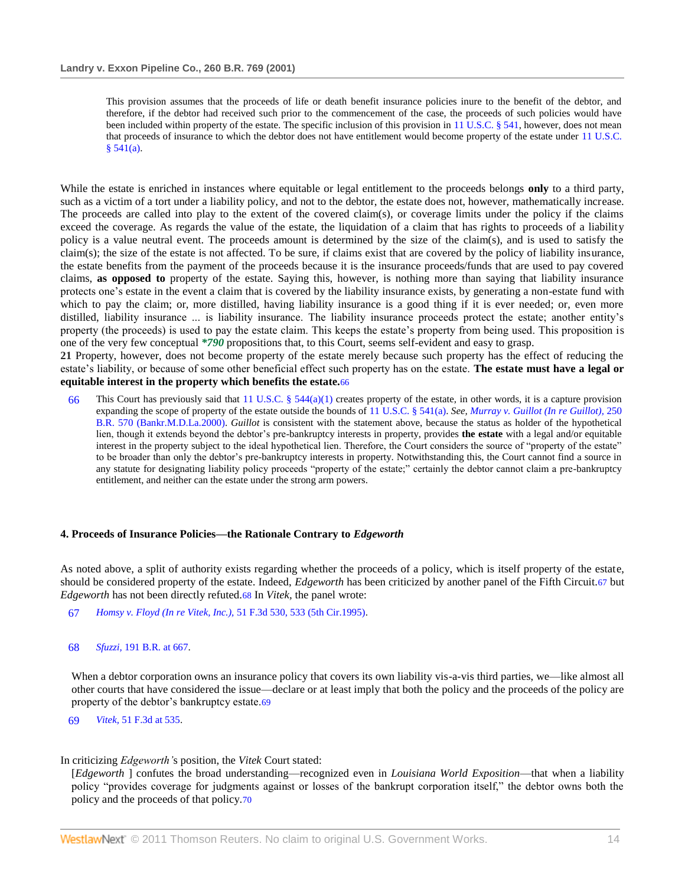This provision assumes that the proceeds of life or death benefit insurance policies inure to the benefit of the debtor, and therefore, if the debtor had received such prior to the commencement of the case, the proceeds of such policies would have been included within property of the estate. The specific inclusion of this provision in [11 U.S.C. § 541,](http://www.westlaw.com/Link/Document/FullText?findType=L&pubNum=1000546&cite=11USCAS541&originatingDoc=I553831ad6e5211d98778bd0185d69771&refType=LQ&originationContext=document&vr=3.0&rs=cblt1.0&transitionType=DocumentItem&contextData=(sc.Search)) however, does not mean that proceeds of insurance to which the debtor does not have entitlement would become property of the estate under [11 U.S.C.](http://www.westlaw.com/Link/Document/FullText?findType=L&pubNum=1000546&cite=11USCAS541&originatingDoc=I553831ad6e5211d98778bd0185d69771&refType=LQ&originationContext=document&vr=3.0&rs=cblt1.0&transitionType=DocumentItem&contextData=(sc.Search))   $§ 541(a).$ 

While the estate is enriched in instances where equitable or legal entitlement to the proceeds belongs **only** to a third party, such as a victim of a tort under a liability policy, and not to the debtor, the estate does not, however, mathematically increase. The proceeds are called into play to the extent of the covered claim(s), or coverage limits under the policy if the claims exceed the coverage. As regards the value of the estate, the liquidation of a claim that has rights to proceeds of a liability policy is a value neutral event. The proceeds amount is determined by the size of the claim(s), and is used to satisfy the claim(s); the size of the estate is not affected. To be sure, if claims exist that are covered by the policy of liability insurance, the estate benefits from the payment of the proceeds because it is the insurance proceeds/funds that are used to pay covered claims, **as opposed to** property of the estate. Saying this, however, is nothing more than saying that liability insurance protects one's estate in the event a claim that is covered by the liability insurance exists, by generating a non-estate fund with which to pay the claim; or, more distilled, having liability insurance is a good thing if it is ever needed; or, even more distilled, liability insurance ... is liability insurance. The liability insurance proceeds protect the estate; another entity's property (the proceeds) is used to pay the estate claim. This keeps the estate's property from being used. This proposition is one of the very few conceptual *\*790* propositions that, to this Court, seems self-evident and easy to grasp.

**21** Property, however, does not become property of the estate merely because such property has the effect of reducing the estate's liability, or because of some other beneficial effect such property has on the estate. **The estate must have a legal or equitable interest in the property which benefits the estate.**66

66 This Court has previously said that [11 U.S.C. § 544\(a\)\(1\)](http://www.westlaw.com/Link/Document/FullText?findType=L&pubNum=1000546&cite=11USCAS544&originatingDoc=I553831ad6e5211d98778bd0185d69771&refType=LQ&originationContext=document&vr=3.0&rs=cblt1.0&transitionType=DocumentItem&contextData=(sc.Search)) creates property of the estate, in other words, it is a capture provision expanding the scope of property of the estate outside the bounds of [11 U.S.C. § 541\(a\).](http://www.westlaw.com/Link/Document/FullText?findType=L&pubNum=1000546&cite=11USCAS541&originatingDoc=I553831ad6e5211d98778bd0185d69771&refType=LQ&originationContext=document&vr=3.0&rs=cblt1.0&transitionType=DocumentItem&contextData=(sc.Search)) *See[, Murray v. Guillot \(In re Guillot\),](http://www.westlaw.com/Link/Document/FullText?findType=Y&serNum=2000390710&pubNum=164&originationContext=document&vr=3.0&rs=cblt1.0&transitionType=DocumentItem&contextData=(sc.Search))* 250 [B.R. 570 \(Bankr.M.D.La.2000\).](http://www.westlaw.com/Link/Document/FullText?findType=Y&serNum=2000390710&pubNum=164&originationContext=document&vr=3.0&rs=cblt1.0&transitionType=DocumentItem&contextData=(sc.Search)) *Guillot* is consistent with the statement above, because the status as holder of the hypothetical lien, though it extends beyond the debtor's pre-bankruptcy interests in property, provides **the estate** with a legal and/or equitable interest in the property subject to the ideal hypothetical lien. Therefore, the Court considers the source of "property of the estate" to be broader than only the debtor's pre-bankruptcy interests in property. Notwithstanding this, the Court cannot find a source in any statute for designating liability policy proceeds "property of the estate;" certainly the debtor cannot claim a pre-bankruptcy entitlement, and neither can the estate under the strong arm powers.

### **4. Proceeds of Insurance Policies—the Rationale Contrary to** *Edgeworth*

As noted above, a split of authority exists regarding whether the proceeds of a policy, which is itself property of the estate, should be considered property of the estate. Indeed, *Edgeworth* has been criticized by another panel of the Fifth Circuit.67 but *Edgeworth* has not been directly refuted.68 In *Vitek,* the panel wrote:

- 67 *[Homsy v. Floyd \(In re Vitek, Inc.\),](http://www.westlaw.com/Link/Document/FullText?findType=Y&serNum=1995096434&pubNum=506&originationContext=document&vr=3.0&rs=cblt1.0&transitionType=DocumentItem&contextData=(sc.Search)#co_pp_sp_506_533)* 51 F.3d 530, 533 (5th Cir.1995).
- 68 *Sfuzzi,* [191 B.R. at 667.](http://www.westlaw.com/Link/Document/FullText?findType=Y&serNum=1996048846&pubNum=164&originationContext=document&vr=3.0&rs=cblt1.0&transitionType=DocumentItem&contextData=(sc.Search)#co_pp_sp_164_667)

When a debtor corporation owns an insurance policy that covers its own liability vis-a-vis third parties, we—like almost all other courts that have considered the issue—declare or at least imply that both the policy and the proceeds of the policy are property of the debtor's bankruptcy estate.69

69 *Vitek,* [51 F.3d at 535.](http://www.westlaw.com/Link/Document/FullText?findType=Y&serNum=1995096434&pubNum=506&originationContext=document&vr=3.0&rs=cblt1.0&transitionType=DocumentItem&contextData=(sc.Search)#co_pp_sp_506_535)

### In criticizing *Edgeworth'*s position, the *Vitek* Court stated:

[*Edgeworth* ] confutes the broad understanding—recognized even in *Louisiana World Exposition*—that when a liability policy "provides coverage for judgments against or losses of the bankrupt corporation itself," the debtor owns both the policy and the proceeds of that policy.70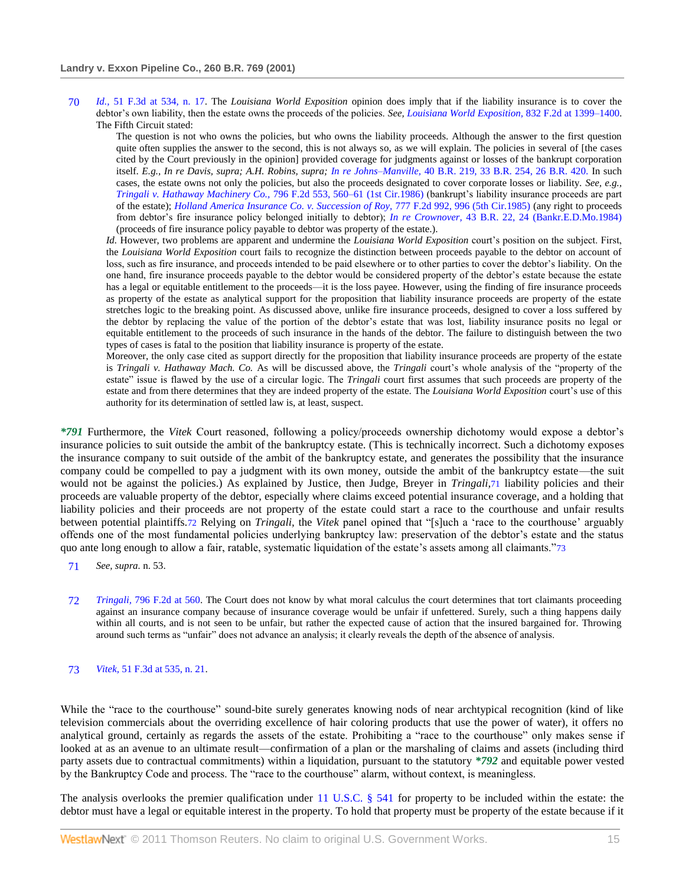70 *Id.,* [51 F.3d at 534, n. 17.](http://www.westlaw.com/Link/Document/FullText?findType=Y&serNum=1995096434&pubNum=506&originationContext=document&vr=3.0&rs=cblt1.0&transitionType=DocumentItem&contextData=(sc.Search)#co_pp_sp_506_534) The *Louisiana World Exposition* opinion does imply that if the liability insurance is to cover the debtor's own liability, then the estate owns the proceeds of the policies. *See, [Louisiana World Exposition,](http://www.westlaw.com/Link/Document/FullText?findType=Y&serNum=1987141447&pubNum=350&originationContext=document&vr=3.0&rs=cblt1.0&transitionType=DocumentItem&contextData=(sc.Search)#co_pp_sp_350_1399)* 832 F.2d at 1399–1400. The Fifth Circuit stated:

The question is not who owns the policies, but who owns the liability proceeds. Although the answer to the first question quite often supplies the answer to the second, this is not always so, as we will explain. The policies in several of [the cases cited by the Court previously in the opinion] provided coverage for judgments against or losses of the bankrupt corporation itself. *E.g., In re Davis, supra; A.H. Robins, supra; In re Johns–Manville,* [40 B.R. 219, 33 B.R. 254, 26 B.R. 420.](http://www.westlaw.com/Link/Document/FullText?findType=Y&serNum=1984122329&pubNum=164&originationContext=document&vr=3.0&rs=cblt1.0&transitionType=DocumentItem&contextData=(sc.Search)) In such cases, the estate owns not only the policies, but also the proceeds designated to cover corporate losses or liability. *See, e.g., [Tringali v. Hathaway Machinery Co.,](http://www.westlaw.com/Link/Document/FullText?findType=Y&serNum=1986133842&pubNum=350&originationContext=document&vr=3.0&rs=cblt1.0&transitionType=DocumentItem&contextData=(sc.Search)#co_pp_sp_350_560)* 796 F.2d 553, 560–61 (1st Cir.1986) (bankrupt's liability insurance proceeds are part of the estate); *[Holland America Insurance Co. v. Succession of Roy,](http://www.westlaw.com/Link/Document/FullText?findType=Y&serNum=1985158776&pubNum=350&originationContext=document&vr=3.0&rs=cblt1.0&transitionType=DocumentItem&contextData=(sc.Search)#co_pp_sp_350_996)* 777 F.2d 992, 996 (5th Cir.1985) (any right to proceeds from debtor's fire insurance policy belonged initially to debtor); *In re Crownover,* [43 B.R. 22, 24 \(Bankr.E.D.Mo.1984\)](http://www.westlaw.com/Link/Document/FullText?findType=Y&serNum=1984146554&pubNum=164&originationContext=document&vr=3.0&rs=cblt1.0&transitionType=DocumentItem&contextData=(sc.Search)#co_pp_sp_164_24) (proceeds of fire insurance policy payable to debtor was property of the estate.).

*Id.* However, two problems are apparent and undermine the *Louisiana World Exposition* court's position on the subject. First, the *Louisiana World Exposition* court fails to recognize the distinction between proceeds payable to the debtor on account of loss, such as fire insurance, and proceeds intended to be paid elsewhere or to other parties to cover the debtor's liability. On the one hand, fire insurance proceeds payable to the debtor would be considered property of the debtor's estate because the estate has a legal or equitable entitlement to the proceeds—it is the loss payee. However, using the finding of fire insurance proceeds as property of the estate as analytical support for the proposition that liability insurance proceeds are property of the estate stretches logic to the breaking point. As discussed above, unlike fire insurance proceeds, designed to cover a loss suffered by the debtor by replacing the value of the portion of the debtor's estate that was lost, liability insurance posits no legal or equitable entitlement to the proceeds of such insurance in the hands of the debtor. The failure to distinguish between the two types of cases is fatal to the position that liability insurance is property of the estate.

Moreover, the only case cited as support directly for the proposition that liability insurance proceeds are property of the estate is *Tringali v. Hathaway Mach. Co.* As will be discussed above, the *Tringali* court's whole analysis of the "property of the estate" issue is flawed by the use of a circular logic. The *Tringali* court first assumes that such proceeds are property of the estate and from there determines that they are indeed property of the estate. The *Louisiana World Exposition* court's use of this authority for its determination of settled law is, at least, suspect.

*\*791* Furthermore, the *Vitek* Court reasoned, following a policy/proceeds ownership dichotomy would expose a debtor's insurance policies to suit outside the ambit of the bankruptcy estate. (This is technically incorrect. Such a dichotomy exposes the insurance company to suit outside of the ambit of the bankruptcy estate, and generates the possibility that the insurance company could be compelled to pay a judgment with its own money, outside the ambit of the bankruptcy estate—the suit would not be against the policies.) As explained by Justice, then Judge, Breyer in *Tringali,*71 liability policies and their proceeds are valuable property of the debtor, especially where claims exceed potential insurance coverage, and a holding that liability policies and their proceeds are not property of the estate could start a race to the courthouse and unfair results between potential plaintiffs.72 Relying on *Tringali*, the *Vitek* panel opined that "[s]uch a 'race to the courthouse' arguably offends one of the most fundamental policies underlying bankruptcy law: preservation of the debtor's estate and the status quo ante long enough to allow a fair, ratable, systematic liquidation of the estate's assets among all claimants."73

- 71 *See, supra.* n. 53.
- 72 *Tringali,* [796 F.2d at 560.](http://www.westlaw.com/Link/Document/FullText?findType=Y&serNum=1986133842&pubNum=350&originationContext=document&vr=3.0&rs=cblt1.0&transitionType=DocumentItem&contextData=(sc.Search)#co_pp_sp_350_560) The Court does not know by what moral calculus the court determines that tort claimants proceeding against an insurance company because of insurance coverage would be unfair if unfettered. Surely, such a thing happens daily within all courts, and is not seen to be unfair, but rather the expected cause of action that the insured bargained for. Throwing around such terms as "unfair" does not advance an analysis; it clearly reveals the depth of the absence of analysis.

#### 73 *Vitek,* [51 F.3d at 535, n. 21.](http://www.westlaw.com/Link/Document/FullText?findType=Y&serNum=1995096434&pubNum=506&originationContext=document&vr=3.0&rs=cblt1.0&transitionType=DocumentItem&contextData=(sc.Search)#co_pp_sp_506_535)

While the "race to the courthouse" sound-bite surely generates knowing nods of near archtypical recognition (kind of like television commercials about the overriding excellence of hair coloring products that use the power of water), it offers no analytical ground, certainly as regards the assets of the estate. Prohibiting a "race to the courthouse" only makes sense if looked at as an avenue to an ultimate result—confirmation of a plan or the marshaling of claims and assets (including third party assets due to contractual commitments) within a liquidation, pursuant to the statutory *\*792* and equitable power vested by the Bankruptcy Code and process. The "race to the courthouse" alarm, without context, is meaningless.

The analysis overlooks the premier qualification under [11 U.S.C. § 541](http://www.westlaw.com/Link/Document/FullText?findType=L&pubNum=1000546&cite=11USCAS541&originatingDoc=I553831ad6e5211d98778bd0185d69771&refType=LQ&originationContext=document&vr=3.0&rs=cblt1.0&transitionType=DocumentItem&contextData=(sc.Search)) for property to be included within the estate: the debtor must have a legal or equitable interest in the property. To hold that property must be property of the estate because if it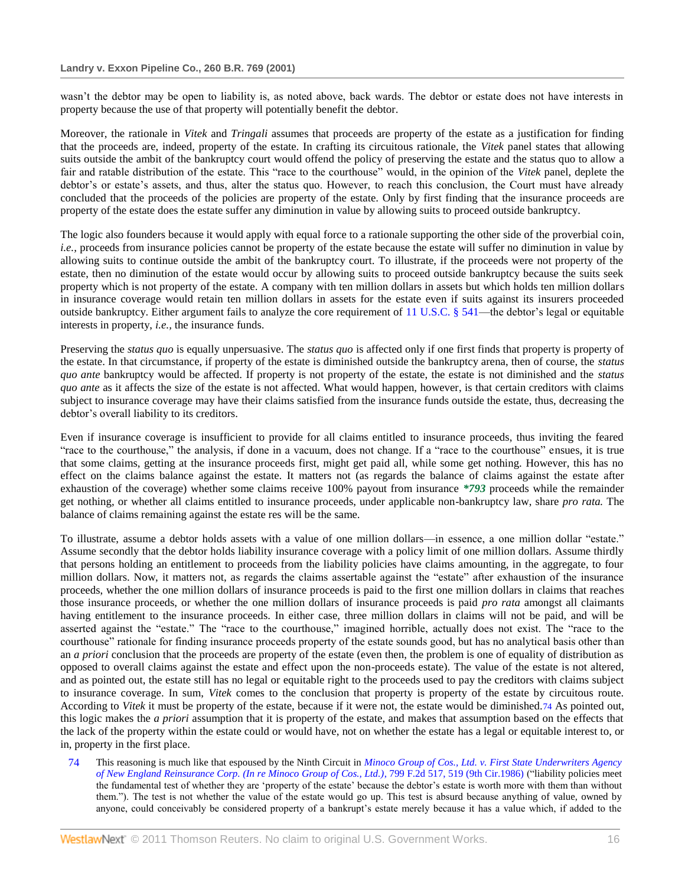wasn't the debtor may be open to liability is, as noted above, back wards. The debtor or estate does not have interests in property because the use of that property will potentially benefit the debtor.

Moreover, the rationale in *Vitek* and *Tringali* assumes that proceeds are property of the estate as a justification for finding that the proceeds are, indeed, property of the estate. In crafting its circuitous rationale, the *Vitek* panel states that allowing suits outside the ambit of the bankruptcy court would offend the policy of preserving the estate and the status quo to allow a fair and ratable distribution of the estate. This "race to the courthouse" would, in the opinion of the Vitek panel, deplete the debtor's or estate's assets, and thus, alter the status quo. However, to reach this conclusion, the Court must have already concluded that the proceeds of the policies are property of the estate. Only by first finding that the insurance proceeds are property of the estate does the estate suffer any diminution in value by allowing suits to proceed outside bankruptcy.

The logic also founders because it would apply with equal force to a rationale supporting the other side of the proverbial coin, *i.e.,* proceeds from insurance policies cannot be property of the estate because the estate will suffer no diminution in value by allowing suits to continue outside the ambit of the bankruptcy court. To illustrate, if the proceeds were not property of the estate, then no diminution of the estate would occur by allowing suits to proceed outside bankruptcy because the suits seek property which is not property of the estate. A company with ten million dollars in assets but which holds ten million dollars in insurance coverage would retain ten million dollars in assets for the estate even if suits against its insurers proceeded outside bankruptcy. Either argument fails to analyze the core requirement of  $11 \text{ U.S.C.}$  § 541—the debtor's legal or equitable interests in property, *i.e.,* the insurance funds.

Preserving the *status quo* is equally unpersuasive. The *status quo* is affected only if one first finds that property is property of the estate. In that circumstance, if property of the estate is diminished outside the bankruptcy arena, then of course, the *status quo ante* bankruptcy would be affected. If property is not property of the estate, the estate is not diminished and the *status quo ante* as it affects the size of the estate is not affected. What would happen, however, is that certain creditors with claims subject to insurance coverage may have their claims satisfied from the insurance funds outside the estate, thus, decreasing the debtor's overall liability to its creditors.

Even if insurance coverage is insufficient to provide for all claims entitled to insurance proceeds, thus inviting the feared "race to the courthouse," the analysis, if done in a vacuum, does not change. If a "race to the courthouse" ensues, it is true that some claims, getting at the insurance proceeds first, might get paid all, while some get nothing. However, this has no effect on the claims balance against the estate. It matters not (as regards the balance of claims against the estate after exhaustion of the coverage) whether some claims receive 100% payout from insurance *\*793* proceeds while the remainder get nothing, or whether all claims entitled to insurance proceeds, under applicable non-bankruptcy law, share *pro rata.* The balance of claims remaining against the estate res will be the same.

To illustrate, assume a debtor holds assets with a value of one million dollars—in essence, a one million dollar "estate." Assume secondly that the debtor holds liability insurance coverage with a policy limit of one million dollars. Assume thirdly that persons holding an entitlement to proceeds from the liability policies have claims amounting, in the aggregate, to four million dollars. Now, it matters not, as regards the claims assertable against the "estate" after exhaustion of the insurance proceeds, whether the one million dollars of insurance proceeds is paid to the first one million dollars in claims that reaches those insurance proceeds, or whether the one million dollars of insurance proceeds is paid *pro rata* amongst all claimants having entitlement to the insurance proceeds. In either case, three million dollars in claims will not be paid, and will be asserted against the "estate." The "race to the courthouse," imagined horrible, actually does not exist. The "race to the courthouse" rationale for finding insurance proceeds property of the estate sounds good, but has no analytical basis other than an *a priori* conclusion that the proceeds are property of the estate (even then, the problem is one of equality of distribution as opposed to overall claims against the estate and effect upon the non-proceeds estate). The value of the estate is not altered, and as pointed out, the estate still has no legal or equitable right to the proceeds used to pay the creditors with claims subject to insurance coverage. In sum, *Vitek* comes to the conclusion that property is property of the estate by circuitous route. According to *Vitek* it must be property of the estate, because if it were not, the estate would be diminished.74 As pointed out, this logic makes the *a priori* assumption that it is property of the estate, and makes that assumption based on the effects that the lack of the property within the estate could or would have, not on whether the estate has a legal or equitable interest to, or in, property in the first place.

74 This reasoning is much like that espoused by the Ninth Circuit in *[Minoco Group of Cos., Ltd. v. First State Underwriters Agency](http://www.westlaw.com/Link/Document/FullText?findType=Y&serNum=1986145573&pubNum=350&originationContext=document&vr=3.0&rs=cblt1.0&transitionType=DocumentItem&contextData=(sc.Search)#co_pp_sp_350_519)  [of New England Reinsurance Corp. \(In re Minoco Group of Cos., Ltd.\)](http://www.westlaw.com/Link/Document/FullText?findType=Y&serNum=1986145573&pubNum=350&originationContext=document&vr=3.0&rs=cblt1.0&transitionType=DocumentItem&contextData=(sc.Search)#co_pp_sp_350_519), 799 F.2d 517, 519 (9th Cir.1986) ("liability policies meet* the fundamental test of whether they are ‗property of the estate' because the debtor's estate is worth more with them than without them.‖). The test is not whether the value of the estate would go up. This test is absurd because anything of value, owned by anyone, could conceivably be considered property of a bankrupt's estate merely because it has a value which, if added to the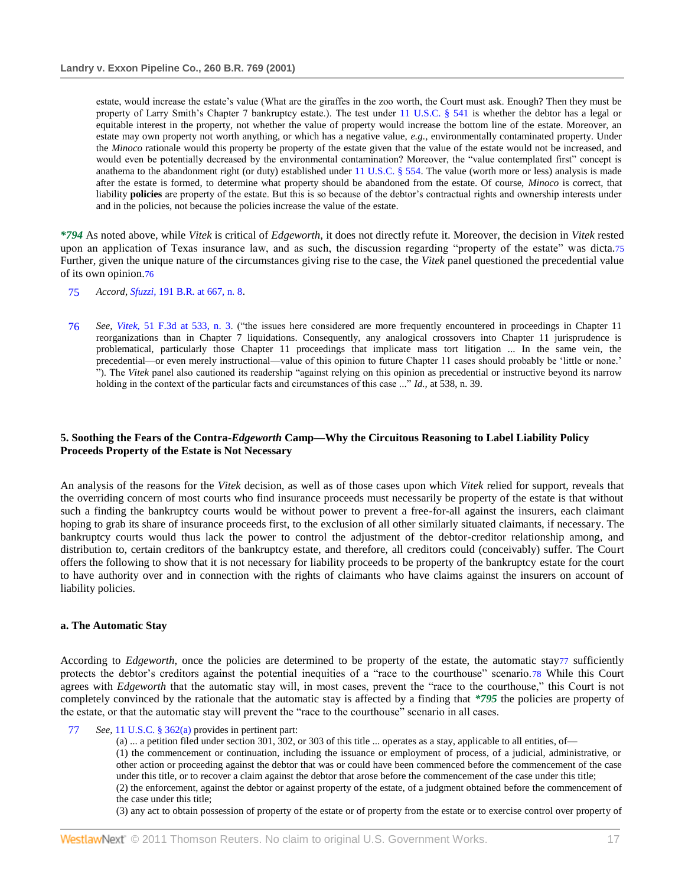estate, would increase the estate's value (What are the giraffes in the zoo worth, the Court must ask. Enough? Then they must be property of Larry Smith's Chapter 7 bankruptcy estate.). The test under [11 U.S.C. § 541](http://www.westlaw.com/Link/Document/FullText?findType=L&pubNum=1000546&cite=11USCAS541&originatingDoc=I553831ad6e5211d98778bd0185d69771&refType=LQ&originationContext=document&vr=3.0&rs=cblt1.0&transitionType=DocumentItem&contextData=(sc.Search)) is whether the debtor has a legal or equitable interest in the property, not whether the value of property would increase the bottom line of the estate. Moreover, an estate may own property not worth anything, or which has a negative value, *e.g.,* environmentally contaminated property. Under the *Minoco* rationale would this property be property of the estate given that the value of the estate would not be increased, and would even be potentially decreased by the environmental contamination? Moreover, the "value contemplated first" concept is anathema to the abandonment right (or duty) established under  $11 \text{ U.S.C.}$  § 554. The value (worth more or less) analysis is made after the estate is formed, to determine what property should be abandoned from the estate. Of course, *Minoco* is correct, that liability **policies** are property of the estate. But this is so because of the debtor's contractual rights and ownership interests under and in the policies, not because the policies increase the value of the estate.

*\*794* As noted above, while *Vitek* is critical of *Edgeworth,* it does not directly refute it. Moreover, the decision in *Vitek* rested upon an application of Texas insurance law, and as such, the discussion regarding "property of the estate" was dicta.75 Further, given the unique nature of the circumstances giving rise to the case, the *Vitek* panel questioned the precedential value of its own opinion.76

- 75 *Accord, Sfuzzi,* [191 B.R. at 667, n. 8.](http://www.westlaw.com/Link/Document/FullText?findType=Y&serNum=1996048846&pubNum=164&originationContext=document&vr=3.0&rs=cblt1.0&transitionType=DocumentItem&contextData=(sc.Search)#co_pp_sp_164_667)
- 76 *See, Vitek*, [51 F.3d at 533, n. 3.](http://www.westlaw.com/Link/Document/FullText?findType=Y&serNum=1995096434&pubNum=506&originationContext=document&vr=3.0&rs=cblt1.0&transitionType=DocumentItem&contextData=(sc.Search)#co_pp_sp_506_533) ("the issues here considered are more frequently encountered in proceedings in Chapter 11 reorganizations than in Chapter 7 liquidations. Consequently, any analogical crossovers into Chapter 11 jurisprudence is problematical, particularly those Chapter 11 proceedings that implicate mass tort litigation ... In the same vein, the precedential—or even merely instructional—value of this opinion to future Chapter 11 cases should probably be 'little or none.' "). The *Vitek* panel also cautioned its readership "against relying on this opinion as precedential or instructive beyond its narrow holding in the context of the particular facts and circumstances of this case ..." *Id.*, at 538, n. 39.

# **5. Soothing the Fears of the Contra-***Edgeworth* **Camp—Why the Circuitous Reasoning to Label Liability Policy Proceeds Property of the Estate is Not Necessary**

An analysis of the reasons for the *Vitek* decision, as well as of those cases upon which *Vitek* relied for support, reveals that the overriding concern of most courts who find insurance proceeds must necessarily be property of the estate is that without such a finding the bankruptcy courts would be without power to prevent a free-for-all against the insurers, each claimant hoping to grab its share of insurance proceeds first, to the exclusion of all other similarly situated claimants, if necessary. The bankruptcy courts would thus lack the power to control the adjustment of the debtor-creditor relationship among, and distribution to, certain creditors of the bankruptcy estate, and therefore, all creditors could (conceivably) suffer. The Court offers the following to show that it is not necessary for liability proceeds to be property of the bankruptcy estate for the court to have authority over and in connection with the rights of claimants who have claims against the insurers on account of liability policies.

## **a. The Automatic Stay**

According to *Edgeworth*, once the policies are determined to be property of the estate, the automatic stay77 sufficiently protects the debtor's creditors against the potential inequities of a "race to the courthouse" scenario.78 While this Court agrees with *Edgeworth* that the automatic stay will, in most cases, prevent the "race to the courthouse," this Court is not completely convinced by the rationale that the automatic stay is affected by a finding that *\*795* the policies are property of the estate, or that the automatic stay will prevent the "race to the courthouse" scenario in all cases.

- 77 *See,* [11 U.S.C. § 362\(a\)](http://www.westlaw.com/Link/Document/FullText?findType=L&pubNum=1000546&cite=11USCAS362&originatingDoc=I553831ad6e5211d98778bd0185d69771&refType=LQ&originationContext=document&vr=3.0&rs=cblt1.0&transitionType=DocumentItem&contextData=(sc.Search)) provides in pertinent part:
	- (a) ... a petition filed under section 301, 302, or 303 of this title ... operates as a stay, applicable to all entities, of—

(1) the commencement or continuation, including the issuance or employment of process, of a judicial, administrative, or other action or proceeding against the debtor that was or could have been commenced before the commencement of the case under this title, or to recover a claim against the debtor that arose before the commencement of the case under this title;

(2) the enforcement, against the debtor or against property of the estate, of a judgment obtained before the commencement of the case under this title;

(3) any act to obtain possession of property of the estate or of property from the estate or to exercise control over property of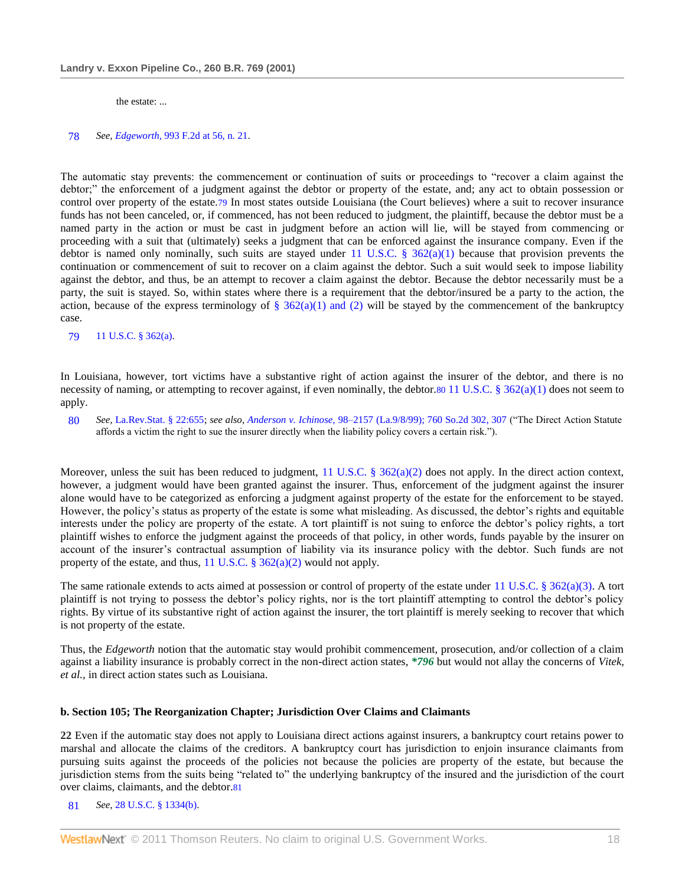the estate: ...

#### 78 *See, Edgeworth,* [993 F.2d at 56, n. 21.](http://www.westlaw.com/Link/Document/FullText?findType=Y&serNum=1993113955&pubNum=350&originationContext=document&vr=3.0&rs=cblt1.0&transitionType=DocumentItem&contextData=(sc.Search)#co_pp_sp_350_56)

The automatic stay prevents: the commencement or continuation of suits or proceedings to "recover a claim against the debtor;" the enforcement of a judgment against the debtor or property of the estate, and; any act to obtain possession or control over property of the estate.79 In most states outside Louisiana (the Court believes) where a suit to recover insurance funds has not been canceled, or, if commenced, has not been reduced to judgment, the plaintiff, because the debtor must be a named party in the action or must be cast in judgment before an action will lie, will be stayed from commencing or proceeding with a suit that (ultimately) seeks a judgment that can be enforced against the insurance company. Even if the debtor is named only nominally, such suits are stayed under [11 U.S.C. § 362\(a\)\(1\)](http://www.westlaw.com/Link/Document/FullText?findType=L&pubNum=1000546&cite=11USCAS362&originatingDoc=I553831ad6e5211d98778bd0185d69771&refType=LQ&originationContext=document&vr=3.0&rs=cblt1.0&transitionType=DocumentItem&contextData=(sc.Search)) because that provision prevents the continuation or commencement of suit to recover on a claim against the debtor. Such a suit would seek to impose liability against the debtor, and thus, be an attempt to recover a claim against the debtor. Because the debtor necessarily must be a party, the suit is stayed. So, within states where there is a requirement that the debtor/insured be a party to the action, the action, because of the express terminology of  $\S 362(a)(1)$  and (2) will be stayed by the commencement of the bankruptcy case.

79 [11 U.S.C. § 362\(a\).](http://www.westlaw.com/Link/Document/FullText?findType=L&pubNum=1000546&cite=11USCAS362&originatingDoc=I553831ad6e5211d98778bd0185d69771&refType=LQ&originationContext=document&vr=3.0&rs=cblt1.0&transitionType=DocumentItem&contextData=(sc.Search))

In Louisiana, however, tort victims have a substantive right of action against the insurer of the debtor, and there is no necessity of naming, or attempting to recover against, if even nominally, the debtor.80 [11 U.S.C. § 362\(a\)\(1\)](http://www.westlaw.com/Link/Document/FullText?findType=L&pubNum=1000546&cite=11USCAS362&originatingDoc=I553831ad6e5211d98778bd0185d69771&refType=LQ&originationContext=document&vr=3.0&rs=cblt1.0&transitionType=DocumentItem&contextData=(sc.Search)) does not seem to apply.

80 See, [La.Rev.Stat. § 22:655;](http://www.westlaw.com/Link/Document/FullText?findType=L&pubNum=1000011&cite=LARS22%3a655&originatingDoc=I553831ad6e5211d98778bd0185d69771&refType=LQ&originationContext=document&vr=3.0&rs=cblt1.0&transitionType=DocumentItem&contextData=(sc.Search)) see also, Anderson v. Ichinose, 98-2157 (La.9/8/99); 760 So.2d 302, 307 ("The Direct Action Statute affords a victim the right to sue the insurer directly when the liability policy covers a certain risk.‖).

Moreover, unless the suit has been reduced to judgment, [11 U.S.C. § 362\(a\)\(2\)](http://www.westlaw.com/Link/Document/FullText?findType=L&pubNum=1000546&cite=11USCAS362&originatingDoc=I553831ad6e5211d98778bd0185d69771&refType=LQ&originationContext=document&vr=3.0&rs=cblt1.0&transitionType=DocumentItem&contextData=(sc.Search)) does not apply. In the direct action context, however, a judgment would have been granted against the insurer. Thus, enforcement of the judgment against the insurer alone would have to be categorized as enforcing a judgment against property of the estate for the enforcement to be stayed. However, the policy's status as property of the estate is some what misleading. As discussed, the debtor's rights and equitable interests under the policy are property of the estate. A tort plaintiff is not suing to enforce the debtor's policy rights, a tort plaintiff wishes to enforce the judgment against the proceeds of that policy, in other words, funds payable by the insurer on account of the insurer's contractual assumption of liability via its insurance policy with the debtor. Such funds are not property of the estate, and thus, 11 U.S.C.  $\S 362(a)(2)$  would not apply.

The same rationale extends to acts aimed at possession or control of property of the estate under [11 U.S.C. § 362\(a\)\(3\).](http://www.westlaw.com/Link/Document/FullText?findType=L&pubNum=1000546&cite=11USCAS362&originatingDoc=I553831ad6e5211d98778bd0185d69771&refType=LQ&originationContext=document&vr=3.0&rs=cblt1.0&transitionType=DocumentItem&contextData=(sc.Search)) A tort plaintiff is not trying to possess the debtor's policy rights, nor is the tort plaintiff attempting to control the debtor's policy rights. By virtue of its substantive right of action against the insurer, the tort plaintiff is merely seeking to recover that which is not property of the estate.

Thus, the *Edgeworth* notion that the automatic stay would prohibit commencement, prosecution, and/or collection of a claim against a liability insurance is probably correct in the non-direct action states, *\*796* but would not allay the concerns of *Vitek, et al.,* in direct action states such as Louisiana.

### **b. Section 105; The Reorganization Chapter; Jurisdiction Over Claims and Claimants**

**22** Even if the automatic stay does not apply to Louisiana direct actions against insurers, a bankruptcy court retains power to marshal and allocate the claims of the creditors. A bankruptcy court has jurisdiction to enjoin insurance claimants from pursuing suits against the proceeds of the policies not because the policies are property of the estate, but because the jurisdiction stems from the suits being "related to" the underlying bankruptcy of the insured and the jurisdiction of the court over claims, claimants, and the debtor.81

81 *See,* [28 U.S.C. § 1334\(b\).](http://www.westlaw.com/Link/Document/FullText?findType=L&pubNum=1000546&cite=28USCAS1334&originatingDoc=I553831ad6e5211d98778bd0185d69771&refType=LQ&originationContext=document&vr=3.0&rs=cblt1.0&transitionType=DocumentItem&contextData=(sc.Search))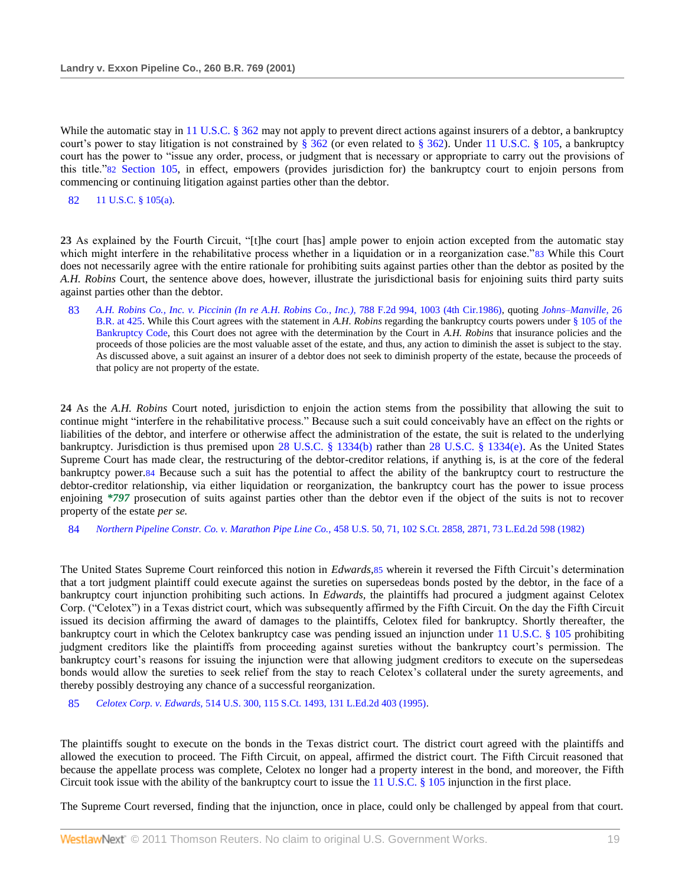While the automatic stay i[n 11 U.S.C. § 362](http://www.westlaw.com/Link/Document/FullText?findType=L&pubNum=1000546&cite=11USCAS362&originatingDoc=I553831ad6e5211d98778bd0185d69771&refType=LQ&originationContext=document&vr=3.0&rs=cblt1.0&transitionType=DocumentItem&contextData=(sc.Search)) may not apply to prevent direct actions against insurers of a debtor, a bankruptcy court's power to stay litigation is not constrained by [§ 362](http://www.westlaw.com/Link/Document/FullText?findType=L&pubNum=1000546&cite=11USCAS362&originatingDoc=I553831ad6e5211d98778bd0185d69771&refType=LQ&originationContext=document&vr=3.0&rs=cblt1.0&transitionType=DocumentItem&contextData=(sc.Search)) (or even related to [§ 362\)](http://www.westlaw.com/Link/Document/FullText?findType=L&pubNum=1000546&cite=11USCAS362&originatingDoc=I553831ad6e5211d98778bd0185d69771&refType=LQ&originationContext=document&vr=3.0&rs=cblt1.0&transitionType=DocumentItem&contextData=(sc.Search)). Under [11 U.S.C. § 105,](http://www.westlaw.com/Link/Document/FullText?findType=L&pubNum=1000546&cite=11USCAS105&originatingDoc=I553831ad6e5211d98778bd0185d69771&refType=LQ&originationContext=document&vr=3.0&rs=cblt1.0&transitionType=DocumentItem&contextData=(sc.Search)) a bankruptcy court has the power to "issue any order, process, or judgment that is necessary or appropriate to carry out the provisions of this title."82 [Section 105,](http://www.westlaw.com/Link/Document/FullText?findType=L&pubNum=1000546&cite=11USCAS105&originatingDoc=I553831ad6e5211d98778bd0185d69771&refType=LQ&originationContext=document&vr=3.0&rs=cblt1.0&transitionType=DocumentItem&contextData=(sc.Search)) in effect, empowers (provides jurisdiction for) the bankruptcy court to enjoin persons from commencing or continuing litigation against parties other than the debtor.

82 [11 U.S.C. § 105\(a\).](http://www.westlaw.com/Link/Document/FullText?findType=L&pubNum=1000546&cite=11USCAS105&originatingDoc=I553831ad6e5211d98778bd0185d69771&refType=LQ&originationContext=document&vr=3.0&rs=cblt1.0&transitionType=DocumentItem&contextData=(sc.Search))

23 As explained by the Fourth Circuit, "[t]he court [has] ample power to enjoin action excepted from the automatic stay which might interfere in the rehabilitative process whether in a liquidation or in a reorganization case."83 While this Court does not necessarily agree with the entire rationale for prohibiting suits against parties other than the debtor as posited by the *A.H. Robins* Court, the sentence above does, however, illustrate the jurisdictional basis for enjoining suits third party suits against parties other than the debtor.

83 *[A.H. Robins Co., Inc. v. Piccinin \(In re A.H. Robins Co., Inc.\),](http://www.westlaw.com/Link/Document/FullText?findType=Y&serNum=1986120194&pubNum=350&originationContext=document&vr=3.0&rs=cblt1.0&transitionType=DocumentItem&contextData=(sc.Search)#co_pp_sp_350_1003)* 788 F.2d 994, 1003 (4th Cir.1986), quoting *[Johns–Manville,](http://www.westlaw.com/Link/Document/FullText?findType=Y&serNum=1983103057&pubNum=164&originationContext=document&vr=3.0&rs=cblt1.0&transitionType=DocumentItem&contextData=(sc.Search)#co_pp_sp_164_425)* 26 [B.R. at 425.](http://www.westlaw.com/Link/Document/FullText?findType=Y&serNum=1983103057&pubNum=164&originationContext=document&vr=3.0&rs=cblt1.0&transitionType=DocumentItem&contextData=(sc.Search)#co_pp_sp_164_425) While this Court agrees with the statement in *A.H. Robins* regarding the bankruptcy courts powers unde[r § 105 of the](http://www.westlaw.com/Link/Document/FullText?findType=L&pubNum=1000546&cite=11USCAS105&originatingDoc=I553831ad6e5211d98778bd0185d69771&refType=LQ&originationContext=document&vr=3.0&rs=cblt1.0&transitionType=DocumentItem&contextData=(sc.Search))  [Bankruptcy Code,](http://www.westlaw.com/Link/Document/FullText?findType=L&pubNum=1000546&cite=11USCAS105&originatingDoc=I553831ad6e5211d98778bd0185d69771&refType=LQ&originationContext=document&vr=3.0&rs=cblt1.0&transitionType=DocumentItem&contextData=(sc.Search)) this Court does not agree with the determination by the Court in *A.H. Robins* that insurance policies and the proceeds of those policies are the most valuable asset of the estate, and thus, any action to diminish the asset is subject to the stay. As discussed above, a suit against an insurer of a debtor does not seek to diminish property of the estate, because the proceeds of that policy are not property of the estate.

**24** As the *A.H. Robins* Court noted, jurisdiction to enjoin the action stems from the possibility that allowing the suit to continue might "interfere in the rehabilitative process." Because such a suit could conceivably have an effect on the rights or liabilities of the debtor, and interfere or otherwise affect the administration of the estate, the suit is related to the underlying bankruptcy. Jurisdiction is thus premised upon [28 U.S.C. § 1334\(b\)](http://www.westlaw.com/Link/Document/FullText?findType=L&pubNum=1000546&cite=28USCAS1334&originatingDoc=I553831ad6e5211d98778bd0185d69771&refType=LQ&originationContext=document&vr=3.0&rs=cblt1.0&transitionType=DocumentItem&contextData=(sc.Search)) rather than [28 U.S.C. § 1334\(e\).](http://www.westlaw.com/Link/Document/FullText?findType=L&pubNum=1000546&cite=28USCAS1334&originatingDoc=I553831ad6e5211d98778bd0185d69771&refType=LQ&originationContext=document&vr=3.0&rs=cblt1.0&transitionType=DocumentItem&contextData=(sc.Search)) As the United States Supreme Court has made clear, the restructuring of the debtor-creditor relations, if anything is, is at the core of the federal bankruptcy power.84 Because such a suit has the potential to affect the ability of the bankruptcy court to restructure the debtor-creditor relationship, via either liquidation or reorganization, the bankruptcy court has the power to issue process enjoining *\*797* prosecution of suits against parties other than the debtor even if the object of the suits is not to recover property of the estate *per se.*

84 *Northern Pipeline Constr. Co. v. Marathon Pipe Line Co.,* [458 U.S. 50, 71, 102 S.Ct. 2858, 2871, 73 L.Ed.2d 598 \(1982\)](http://www.westlaw.com/Link/Document/FullText?findType=Y&serNum=1982129077&pubNum=708&originationContext=document&vr=3.0&rs=cblt1.0&transitionType=DocumentItem&contextData=(sc.Search)#co_pp_sp_708_2871)

The United States Supreme Court reinforced this notion in *Edwards,*85 wherein it reversed the Fifth Circuit's determination that a tort judgment plaintiff could execute against the sureties on supersedeas bonds posted by the debtor, in the face of a bankruptcy court injunction prohibiting such actions. In *Edwards,* the plaintiffs had procured a judgment against Celotex Corp. ("Celotex") in a Texas district court, which was subsequently affirmed by the Fifth Circuit. On the day the Fifth Circuit issued its decision affirming the award of damages to the plaintiffs, Celotex filed for bankruptcy. Shortly thereafter, the bankruptcy court in which the Celotex bankruptcy case was pending issued an injunction under [11 U.S.C. § 105](http://www.westlaw.com/Link/Document/FullText?findType=L&pubNum=1000546&cite=11USCAS105&originatingDoc=I553831ad6e5211d98778bd0185d69771&refType=LQ&originationContext=document&vr=3.0&rs=cblt1.0&transitionType=DocumentItem&contextData=(sc.Search)) prohibiting judgment creditors like the plaintiffs from proceeding against sureties without the bankruptcy court's permission. The bankruptcy court's reasons for issuing the injunction were that allowing judgment creditors to execute on the supersedeas bonds would allow the sureties to seek relief from the stay to reach Celotex's collateral under the surety agreements, and thereby possibly destroying any chance of a successful reorganization.

85 *Celotex Corp. v. Edwards,* [514 U.S. 300, 115 S.Ct. 1493, 131 L.Ed.2d 403 \(1995\).](http://www.westlaw.com/Link/Document/FullText?findType=Y&serNum=1995091686&pubNum=708&originationContext=document&vr=3.0&rs=cblt1.0&transitionType=DocumentItem&contextData=(sc.Search))

The plaintiffs sought to execute on the bonds in the Texas district court. The district court agreed with the plaintiffs and allowed the execution to proceed. The Fifth Circuit, on appeal, affirmed the district court. The Fifth Circuit reasoned that because the appellate process was complete, Celotex no longer had a property interest in the bond, and moreover, the Fifth Circuit took issue with the ability of the bankruptcy court to issue the  $11 \text{ U.S.C.} \text{ § } 105 \text{ injunction in the first place.}$ 

The Supreme Court reversed, finding that the injunction, once in place, could only be challenged by appeal from that court.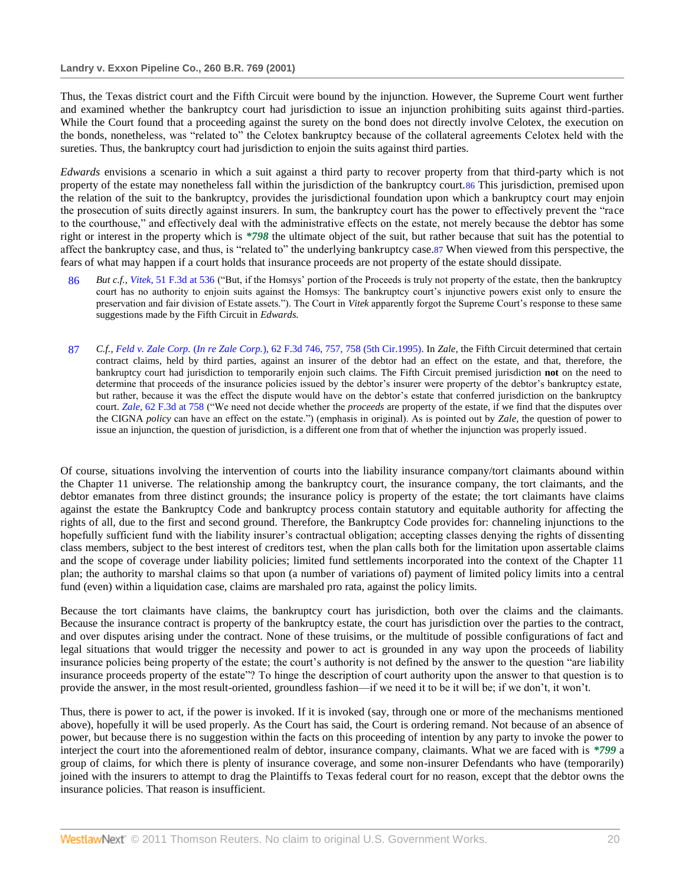Thus, the Texas district court and the Fifth Circuit were bound by the injunction. However, the Supreme Court went further and examined whether the bankruptcy court had jurisdiction to issue an injunction prohibiting suits against third-parties. While the Court found that a proceeding against the surety on the bond does not directly involve Celotex, the execution on the bonds, nonetheless, was "related to" the Celotex bankruptcy because of the collateral agreements Celotex held with the sureties. Thus, the bankruptcy court had jurisdiction to enjoin the suits against third parties.

*Edwards* envisions a scenario in which a suit against a third party to recover property from that third-party which is not property of the estate may nonetheless fall within the jurisdiction of the bankruptcy court.86 This jurisdiction, premised upon the relation of the suit to the bankruptcy, provides the jurisdictional foundation upon which a bankruptcy court may enjoin the prosecution of suits directly against insurers. In sum, the bankruptcy court has the power to effectively prevent the "race" to the courthouse," and effectively deal with the administrative effects on the estate, not merely because the debtor has some right or interest in the property which is *\*798* the ultimate object of the suit, but rather because that suit has the potential to affect the bankruptcy case, and thus, is "related to" the underlying bankruptcy case.87 When viewed from this perspective, the fears of what may happen if a court holds that insurance proceeds are not property of the estate should dissipate.

- 86 *But c.f., Vitek,* [51 F.3d at 536](http://www.westlaw.com/Link/Document/FullText?findType=Y&serNum=1995096434&pubNum=506&originationContext=document&vr=3.0&rs=cblt1.0&transitionType=DocumentItem&contextData=(sc.Search)#co_pp_sp_506_536) ("But, if the Homsys' portion of the Proceeds is truly not property of the estate, then the bankruptcy court has no authority to enjoin suits against the Homsys: The bankruptcy court's injunctive powers exist only to ensure the preservation and fair division of Estate assets."). The Court in *Vitek* apparently forgot the Supreme Court's response to these same suggestions made by the Fifth Circuit in *Edwards.*
- 87 *C.f., Feld v. Zale Corp.* (*In re Zale Corp.*[\), 62 F.3d 746, 757, 758 \(5th Cir.1995\).](http://www.westlaw.com/Link/Document/FullText?findType=Y&serNum=1995172749&pubNum=506&originationContext=document&vr=3.0&rs=cblt1.0&transitionType=DocumentItem&contextData=(sc.Search)#co_pp_sp_506_757) In *Zale,* the Fifth Circuit determined that certain contract claims, held by third parties, against an insurer of the debtor had an effect on the estate, and that, therefore, the bankruptcy court had jurisdiction to temporarily enjoin such claims. The Fifth Circuit premised jurisdiction **not** on the need to determine that proceeds of the insurance policies issued by the debtor's insurer were property of the debtor's bankruptcy estate, but rather, because it was the effect the dispute would have on the debtor's estate that conferred jurisdiction on the bankruptcy court. *Zale*, [62 F.3d at 758](http://www.westlaw.com/Link/Document/FullText?findType=Y&serNum=1995172749&pubNum=506&originationContext=document&vr=3.0&rs=cblt1.0&transitionType=DocumentItem&contextData=(sc.Search)#co_pp_sp_506_758) ("We need not decide whether the *proceeds* are property of the estate, if we find that the disputes over the CIGNA *policy* can have an effect on the estate.‖) (emphasis in original). As is pointed out by *Zale,* the question of power to issue an injunction, the question of jurisdiction, is a different one from that of whether the injunction was properly issued.

Of course, situations involving the intervention of courts into the liability insurance company/tort claimants abound within the Chapter 11 universe. The relationship among the bankruptcy court, the insurance company, the tort claimants, and the debtor emanates from three distinct grounds; the insurance policy is property of the estate; the tort claimants have claims against the estate the Bankruptcy Code and bankruptcy process contain statutory and equitable authority for affecting the rights of all, due to the first and second ground. Therefore, the Bankruptcy Code provides for: channeling injunctions to the hopefully sufficient fund with the liability insurer's contractual obligation; accepting classes denying the rights of dissenting class members, subject to the best interest of creditors test, when the plan calls both for the limitation upon assertable claims and the scope of coverage under liability policies; limited fund settlements incorporated into the context of the Chapter 11 plan; the authority to marshal claims so that upon (a number of variations of) payment of limited policy limits into a central fund (even) within a liquidation case, claims are marshaled pro rata, against the policy limits.

Because the tort claimants have claims, the bankruptcy court has jurisdiction, both over the claims and the claimants. Because the insurance contract is property of the bankruptcy estate, the court has jurisdiction over the parties to the contract, and over disputes arising under the contract. None of these truisims, or the multitude of possible configurations of fact and legal situations that would trigger the necessity and power to act is grounded in any way upon the proceeds of liability insurance policies being property of the estate; the court's authority is not defined by the answer to the question "are liability insurance proceeds property of the estate"? To hinge the description of court authority upon the answer to that question is to provide the answer, in the most result-oriented, groundless fashion—if we need it to be it will be; if we don't, it won't.

Thus, there is power to act, if the power is invoked. If it is invoked (say, through one or more of the mechanisms mentioned above), hopefully it will be used properly. As the Court has said, the Court is ordering remand. Not because of an absence of power, but because there is no suggestion within the facts on this proceeding of intention by any party to invoke the power to interject the court into the aforementioned realm of debtor, insurance company, claimants. What we are faced with is *\*799* a group of claims, for which there is plenty of insurance coverage, and some non-insurer Defendants who have (temporarily) joined with the insurers to attempt to drag the Plaintiffs to Texas federal court for no reason, except that the debtor owns the insurance policies. That reason is insufficient.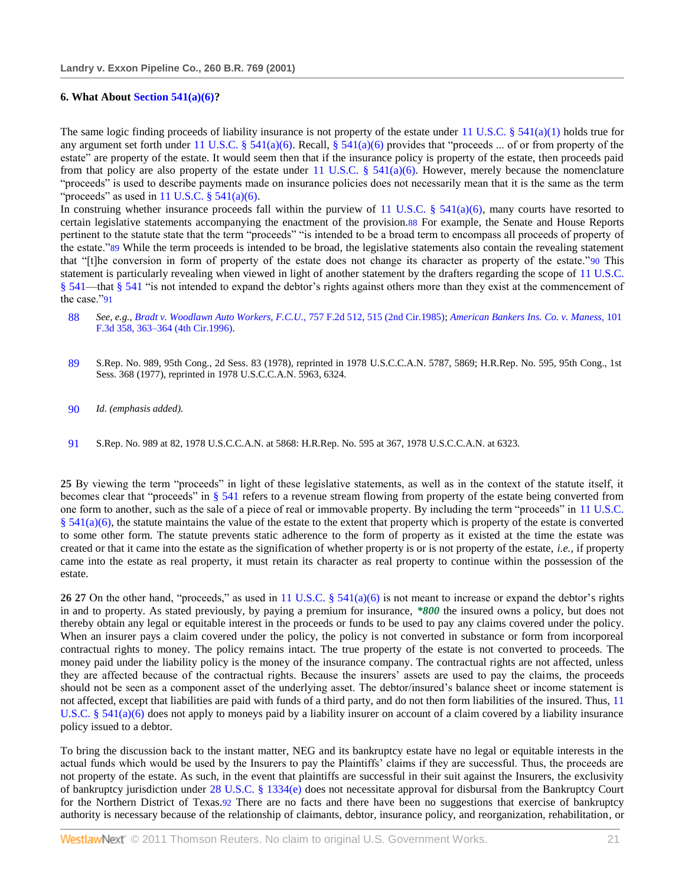### **6. What Abou[t Section 541\(a\)\(6\)?](http://www.westlaw.com/Link/Document/FullText?findType=L&pubNum=1000546&cite=11USCAS541&originatingDoc=I553831ad6e5211d98778bd0185d69771&refType=LQ&originationContext=document&vr=3.0&rs=cblt1.0&transitionType=DocumentItem&contextData=(sc.Search))**

The same logic finding proceeds of liability insurance is not property of the estate under [11 U.S.C. § 541\(a\)\(1\)](http://www.westlaw.com/Link/Document/FullText?findType=L&pubNum=1000546&cite=11USCAS541&originatingDoc=I553831ad6e5211d98778bd0185d69771&refType=LQ&originationContext=document&vr=3.0&rs=cblt1.0&transitionType=DocumentItem&contextData=(sc.Search)) holds true for any argument set forth under [11 U.S.C. § 541\(a\)\(6\).](http://www.westlaw.com/Link/Document/FullText?findType=L&pubNum=1000546&cite=11USCAS541&originatingDoc=I553831ad6e5211d98778bd0185d69771&refType=LQ&originationContext=document&vr=3.0&rs=cblt1.0&transitionType=DocumentItem&contextData=(sc.Search)) Recall, [§ 541\(a\)\(6\)](http://www.westlaw.com/Link/Document/FullText?findType=L&pubNum=1000546&cite=11USCAS541&originatingDoc=I553831ad6e5211d98778bd0185d69771&refType=LQ&originationContext=document&vr=3.0&rs=cblt1.0&transitionType=DocumentItem&contextData=(sc.Search)) provides that "proceeds ... of or from property of the estate" are property of the estate. It would seem then that if the insurance policy is property of the estate, then proceeds paid from that policy are also property of the estate under [11 U.S.C. § 541\(a\)\(6\).](http://www.westlaw.com/Link/Document/FullText?findType=L&pubNum=1000546&cite=11USCAS541&originatingDoc=I553831ad6e5211d98778bd0185d69771&refType=LQ&originationContext=document&vr=3.0&rs=cblt1.0&transitionType=DocumentItem&contextData=(sc.Search)) However, merely because the nomenclature ―proceeds‖ is used to describe payments made on insurance policies does not necessarily mean that it is the same as the term "proceeds" as used in 11 U.S.C.  $\S$  541(a)(6).

In construing whether insurance proceeds fall within the purview of 11 U.S.C. §  $541(a)(6)$ , many courts have resorted to certain legislative statements accompanying the enactment of the provision.88 For example, the Senate and House Reports pertinent to the statute state that the term "proceeds" "is intended to be a broad term to encompass all proceeds of property of the estate."89 While the term proceeds is intended to be broad, the legislative statements also contain the revealing statement that "[t]he conversion in form of property of the estate does not change its character as property of the estate."90 This statement is particularly revealing when viewed in light of another statement by the drafters regarding the scope of [11 U.S.C.](http://www.westlaw.com/Link/Document/FullText?findType=L&pubNum=1000546&cite=11USCAS541&originatingDoc=I553831ad6e5211d98778bd0185d69771&refType=LQ&originationContext=document&vr=3.0&rs=cblt1.0&transitionType=DocumentItem&contextData=(sc.Search))  [§ 541—](http://www.westlaw.com/Link/Document/FullText?findType=L&pubNum=1000546&cite=11USCAS541&originatingDoc=I553831ad6e5211d98778bd0185d69771&refType=LQ&originationContext=document&vr=3.0&rs=cblt1.0&transitionType=DocumentItem&contextData=(sc.Search))that [§ 541](http://www.westlaw.com/Link/Document/FullText?findType=L&pubNum=1000546&cite=11USCAS541&originatingDoc=I553831ad6e5211d98778bd0185d69771&refType=LQ&originationContext=document&vr=3.0&rs=cblt1.0&transitionType=DocumentItem&contextData=(sc.Search)) "is not intended to expand the debtor's rights against others more than they exist at the commencement of the case."91

- 88 *See, e.g.[, Bradt v. Woodlawn Auto Workers, F.C.U.,](http://www.westlaw.com/Link/Document/FullText?findType=Y&serNum=1985114990&pubNum=350&originationContext=document&vr=3.0&rs=cblt1.0&transitionType=DocumentItem&contextData=(sc.Search)#co_pp_sp_350_515)* 757 F.2d 512, 515 (2nd Cir.1985); *[American Bankers Ins. Co. v. Maness,](http://www.westlaw.com/Link/Document/FullText?findType=Y&serNum=1996264258&pubNum=506&originationContext=document&vr=3.0&rs=cblt1.0&transitionType=DocumentItem&contextData=(sc.Search)#co_pp_sp_506_363)* 101 [F.3d 358, 363–364 \(4th Cir.1996\).](http://www.westlaw.com/Link/Document/FullText?findType=Y&serNum=1996264258&pubNum=506&originationContext=document&vr=3.0&rs=cblt1.0&transitionType=DocumentItem&contextData=(sc.Search)#co_pp_sp_506_363)
- 89 S.Rep. No. 989, 95th Cong., 2d Sess. 83 (1978), reprinted in 1978 U.S.C.C.A.N. 5787, 5869; H.R.Rep. No. 595, 95th Cong., 1st Sess. 368 (1977), reprinted in 1978 U.S.C.C.A.N. 5963, 6324.
- 90 *Id. (emphasis added).*
- 91 S.Rep. No. 989 at 82, 1978 U.S.C.C.A.N. at 5868: H.R.Rep. No. 595 at 367, 1978 U.S.C.C.A.N. at 6323.

**25** By viewing the term "proceeds" in light of these legislative statements, as well as in the context of the statute itself, it becomes clear that "proceeds" in  $\S$  541 refers to a revenue stream flowing from property of the estate being converted from one form to another, such as the sale of a piece of real or immovable property. By including the term "proceeds" in 11 U.S.C.  $§$  541(a)(6), the statute maintains the value of the estate to the extent that property which is property of the estate is converted to some other form. The statute prevents static adherence to the form of property as it existed at the time the estate was created or that it came into the estate as the signification of whether property is or is not property of the estate, *i.e.,* if property came into the estate as real property, it must retain its character as real property to continue within the possession of the estate.

**26 27** On the other hand, "proceeds," as used in 11 U.S.C. §  $541(a)(6)$  is not meant to increase or expand the debtor's rights in and to property. As stated previously, by paying a premium for insurance, *\*800* the insured owns a policy, but does not thereby obtain any legal or equitable interest in the proceeds or funds to be used to pay any claims covered under the policy. When an insurer pays a claim covered under the policy, the policy is not converted in substance or form from incorporeal contractual rights to money. The policy remains intact. The true property of the estate is not converted to proceeds. The money paid under the liability policy is the money of the insurance company. The contractual rights are not affected, unless they are affected because of the contractual rights. Because the insurers' assets are used to pay the claims, the proceeds should not be seen as a component asset of the underlying asset. The debtor/insured's balance sheet or income statement is not affected, except that liabilities are paid with funds of a third party, and do not then form liabilities of the insured. Thus, [11](http://www.westlaw.com/Link/Document/FullText?findType=L&pubNum=1000546&cite=11USCAS541&originatingDoc=I553831ad6e5211d98778bd0185d69771&refType=LQ&originationContext=document&vr=3.0&rs=cblt1.0&transitionType=DocumentItem&contextData=(sc.Search))  U.S.C. §  $541(a)(6)$  does not apply to moneys paid by a liability insurer on account of a claim covered by a liability insurance policy issued to a debtor.

To bring the discussion back to the instant matter, NEG and its bankruptcy estate have no legal or equitable interests in the actual funds which would be used by the Insurers to pay the Plaintiffs' claims if they are successful. Thus, the proceeds are not property of the estate. As such, in the event that plaintiffs are successful in their suit against the Insurers, the exclusivity of bankruptcy jurisdiction under [28 U.S.C. § 1334\(e\)](http://www.westlaw.com/Link/Document/FullText?findType=L&pubNum=1000546&cite=28USCAS1334&originatingDoc=I553831ad6e5211d98778bd0185d69771&refType=LQ&originationContext=document&vr=3.0&rs=cblt1.0&transitionType=DocumentItem&contextData=(sc.Search)) does not necessitate approval for disbursal from the Bankruptcy Court for the Northern District of Texas.92 There are no facts and there have been no suggestions that exercise of bankruptcy authority is necessary because of the relationship of claimants, debtor, insurance policy, and reorganization, rehabilitation, or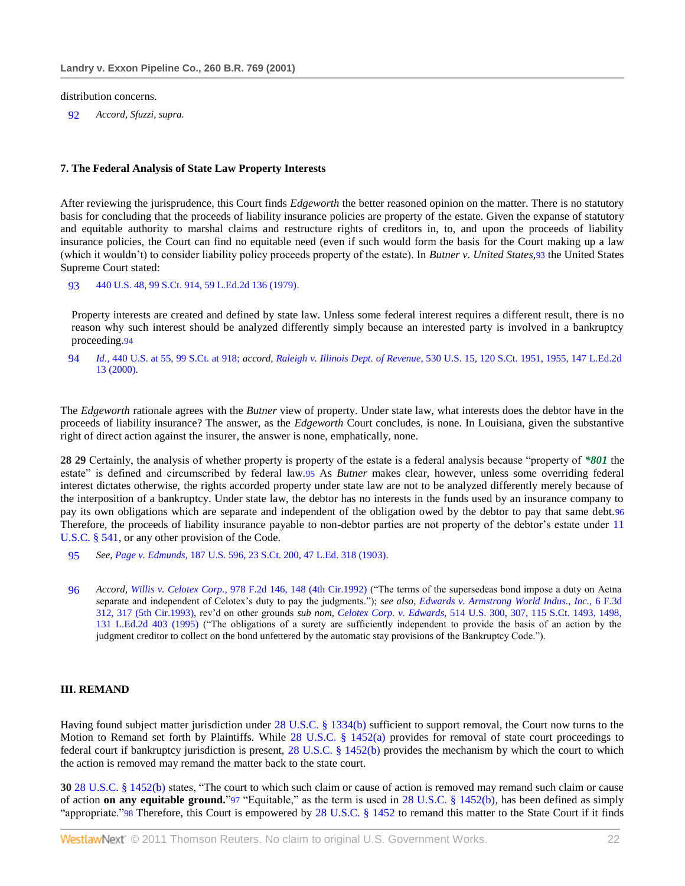#### distribution concerns.

92 *Accord, Sfuzzi, supra.*

### **7. The Federal Analysis of State Law Property Interests**

After reviewing the jurisprudence, this Court finds *Edgeworth* the better reasoned opinion on the matter. There is no statutory basis for concluding that the proceeds of liability insurance policies are property of the estate. Given the expanse of statutory and equitable authority to marshal claims and restructure rights of creditors in, to, and upon the proceeds of liability insurance policies, the Court can find no equitable need (even if such would form the basis for the Court making up a law (which it wouldn't) to consider liability policy proceeds property of the estate). In *Butner v. United States,*93 the United States Supreme Court stated:

93 [440 U.S. 48, 99 S.Ct. 914, 59 L.Ed.2d 136 \(1979\).](http://www.westlaw.com/Link/Document/FullText?findType=Y&serNum=1979108028&pubNum=708&originationContext=document&vr=3.0&rs=cblt1.0&transitionType=DocumentItem&contextData=(sc.Search))

Property interests are created and defined by state law. Unless some federal interest requires a different result, there is no reason why such interest should be analyzed differently simply because an interested party is involved in a bankruptcy proceeding.94

94 *Id.,* [440 U.S. at 55, 99 S.Ct. at 918;](http://www.westlaw.com/Link/Document/FullText?findType=Y&serNum=1979108028&pubNum=708&originationContext=document&vr=3.0&rs=cblt1.0&transitionType=DocumentItem&contextData=(sc.Search)#co_pp_sp_708_918) *accord, Raleigh v. Illinois Dept. of Revenue,* [530 U.S. 15, 120 S.Ct. 1951, 1955, 147 L.Ed.2d](http://www.westlaw.com/Link/Document/FullText?findType=Y&serNum=2000362632&pubNum=708&originationContext=document&vr=3.0&rs=cblt1.0&transitionType=DocumentItem&contextData=(sc.Search)#co_pp_sp_708_1955)  [13 \(2000\).](http://www.westlaw.com/Link/Document/FullText?findType=Y&serNum=2000362632&pubNum=708&originationContext=document&vr=3.0&rs=cblt1.0&transitionType=DocumentItem&contextData=(sc.Search)#co_pp_sp_708_1955)

The *Edgeworth* rationale agrees with the *Butner* view of property. Under state law, what interests does the debtor have in the proceeds of liability insurance? The answer, as the *Edgeworth* Court concludes, is none. In Louisiana, given the substantive right of direct action against the insurer, the answer is none, emphatically, none.

**28 29** Certainly, the analysis of whether property is property of the estate is a federal analysis because "property of \*801 the estate" is defined and circumscribed by federal law.95 As *Butner* makes clear, however, unless some overriding federal interest dictates otherwise, the rights accorded property under state law are not to be analyzed differently merely because of the interposition of a bankruptcy. Under state law, the debtor has no interests in the funds used by an insurance company to pay its own obligations which are separate and independent of the obligation owed by the debtor to pay that same debt.96 Therefore, the proceeds of liability insurance payable to non-debtor parties are not property of the debtor's estate under [11](http://www.westlaw.com/Link/Document/FullText?findType=L&pubNum=1000546&cite=11USCAS541&originatingDoc=I553831ad6e5211d98778bd0185d69771&refType=LQ&originationContext=document&vr=3.0&rs=cblt1.0&transitionType=DocumentItem&contextData=(sc.Search))  [U.S.C. § 541,](http://www.westlaw.com/Link/Document/FullText?findType=L&pubNum=1000546&cite=11USCAS541&originatingDoc=I553831ad6e5211d98778bd0185d69771&refType=LQ&originationContext=document&vr=3.0&rs=cblt1.0&transitionType=DocumentItem&contextData=(sc.Search)) or any other provision of the Code.

- 95 *See, Page v. Edmunds,* [187 U.S. 596, 23 S.Ct. 200, 47 L.Ed. 318 \(1903\).](http://www.westlaw.com/Link/Document/FullText?findType=Y&serNum=1903100438&pubNum=708&originationContext=document&vr=3.0&rs=cblt1.0&transitionType=DocumentItem&contextData=(sc.Search))
- 96 Accord, Willis v. Celotex Corp., [978 F.2d 146, 148 \(4th Cir.1992\)](http://www.westlaw.com/Link/Document/FullText?findType=Y&serNum=1992183630&pubNum=350&originationContext=document&vr=3.0&rs=cblt1.0&transitionType=DocumentItem&contextData=(sc.Search)#co_pp_sp_350_148) ("The terms of the supersedeas bond impose a duty on Aetna separate and independent of Celotex's duty to pay the judgments."); *see also, Edwards v. Armstrong World Indus., Inc.*, 6 F.3d [312, 317 \(5th Cir.1993\),](http://www.westlaw.com/Link/Document/FullText?findType=Y&serNum=1993201990&pubNum=506&originationContext=document&vr=3.0&rs=cblt1.0&transitionType=DocumentItem&contextData=(sc.Search)#co_pp_sp_506_317) rev'd on other grounds *sub nom, Celotex Corp. v. Edwards,* [514 U.S. 300, 307, 115 S.Ct. 1493, 1498,](http://www.westlaw.com/Link/Document/FullText?findType=Y&serNum=1995091686&pubNum=708&originationContext=document&vr=3.0&rs=cblt1.0&transitionType=DocumentItem&contextData=(sc.Search)#co_pp_sp_708_1498)  [131 L.Ed.2d 403 \(1995\)](http://www.westlaw.com/Link/Document/FullText?findType=Y&serNum=1995091686&pubNum=708&originationContext=document&vr=3.0&rs=cblt1.0&transitionType=DocumentItem&contextData=(sc.Search)#co_pp_sp_708_1498) ("The obligations of a surety are sufficiently independent to provide the basis of an action by the judgment creditor to collect on the bond unfettered by the automatic stay provisions of the Bankruptcy Code.").

## **III. REMAND**

Having found subject matter jurisdiction under [28 U.S.C. § 1334\(b\)](http://www.westlaw.com/Link/Document/FullText?findType=L&pubNum=1000546&cite=28USCAS1334&originatingDoc=I553831ad6e5211d98778bd0185d69771&refType=LQ&originationContext=document&vr=3.0&rs=cblt1.0&transitionType=DocumentItem&contextData=(sc.Search)) sufficient to support removal, the Court now turns to the Motion to Remand set forth by Plaintiffs. While [28 U.S.C. § 1452\(a\)](http://www.westlaw.com/Link/Document/FullText?findType=L&pubNum=1000546&cite=28USCAS1452&originatingDoc=I553831ad6e5211d98778bd0185d69771&refType=LQ&originationContext=document&vr=3.0&rs=cblt1.0&transitionType=DocumentItem&contextData=(sc.Search)) provides for removal of state court proceedings to federal court if bankruptcy jurisdiction is present, [28 U.S.C. § 1452\(b\)](http://www.westlaw.com/Link/Document/FullText?findType=L&pubNum=1000546&cite=28USCAS1452&originatingDoc=I553831ad6e5211d98778bd0185d69771&refType=LQ&originationContext=document&vr=3.0&rs=cblt1.0&transitionType=DocumentItem&contextData=(sc.Search)) provides the mechanism by which the court to which the action is removed may remand the matter back to the state court.

**30** [28 U.S.C. § 1452\(b\)](http://www.westlaw.com/Link/Document/FullText?findType=L&pubNum=1000546&cite=28USCAS1452&originatingDoc=I553831ad6e5211d98778bd0185d69771&refType=LQ&originationContext=document&vr=3.0&rs=cblt1.0&transitionType=DocumentItem&contextData=(sc.Search)) states, "The court to which such claim or cause of action is removed may remand such claim or cause of action **on any equitable ground.**"97 "Equitable," as the term is used in [28 U.S.C. § 1452\(b\),](http://www.westlaw.com/Link/Document/FullText?findType=L&pubNum=1000546&cite=28USCAS1452&originatingDoc=I553831ad6e5211d98778bd0185d69771&refType=LQ&originationContext=document&vr=3.0&rs=cblt1.0&transitionType=DocumentItem&contextData=(sc.Search)) has been defined as simply "appropriate." $98$  Therefore, this Court is empowered by [28 U.S.C. § 1452](http://www.westlaw.com/Link/Document/FullText?findType=L&pubNum=1000546&cite=28USCAS1452&originatingDoc=I553831ad6e5211d98778bd0185d69771&refType=LQ&originationContext=document&vr=3.0&rs=cblt1.0&transitionType=DocumentItem&contextData=(sc.Search)) to remand this matter to the State Court if it finds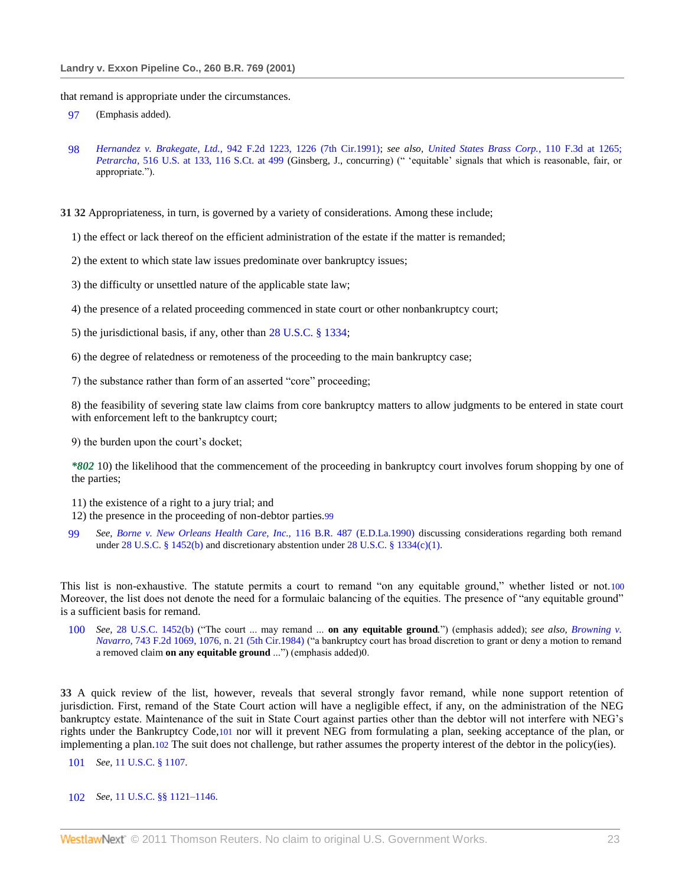that remand is appropriate under the circumstances.

- 97 (Emphasis added).
- 98 *Hernandez v. Brakegate, Ltd.,* [942 F.2d 1223, 1226 \(7th Cir.1991\);](http://www.westlaw.com/Link/Document/FullText?findType=Y&serNum=1991158428&pubNum=350&originationContext=document&vr=3.0&rs=cblt1.0&transitionType=DocumentItem&contextData=(sc.Search)#co_pp_sp_350_1226) *see also, [United States Brass Corp.,](http://www.westlaw.com/Link/Document/FullText?findType=Y&serNum=1997081906&pubNum=506&originationContext=document&vr=3.0&rs=cblt1.0&transitionType=DocumentItem&contextData=(sc.Search)#co_pp_sp_506_1265)* 110 F.3d at 1265; *Petrarcha,* [516 U.S. at 133, 116 S.Ct. at 499](http://www.westlaw.com/Link/Document/FullText?findType=Y&serNum=1995237693&pubNum=708&originationContext=document&vr=3.0&rs=cblt1.0&transitionType=DocumentItem&contextData=(sc.Search)#co_pp_sp_708_499) (Ginsberg, J., concurring) ("equitable' signals that which is reasonable, fair, or appropriate.").

**31 32** Appropriateness, in turn, is governed by a variety of considerations. Among these include;

1) the effect or lack thereof on the efficient administration of the estate if the matter is remanded;

2) the extent to which state law issues predominate over bankruptcy issues;

3) the difficulty or unsettled nature of the applicable state law;

- 4) the presence of a related proceeding commenced in state court or other nonbankruptcy court;
- 5) the jurisdictional basis, if any, other than [28 U.S.C. § 1334;](http://www.westlaw.com/Link/Document/FullText?findType=L&pubNum=1000546&cite=28USCAS1334&originatingDoc=I553831ad6e5211d98778bd0185d69771&refType=LQ&originationContext=document&vr=3.0&rs=cblt1.0&transitionType=DocumentItem&contextData=(sc.Search))
- 6) the degree of relatedness or remoteness of the proceeding to the main bankruptcy case;

7) the substance rather than form of an asserted "core" proceeding;

8) the feasibility of severing state law claims from core bankruptcy matters to allow judgments to be entered in state court with enforcement left to the bankruptcy court;

9) the burden upon the court's docket;

*\*802* 10) the likelihood that the commencement of the proceeding in bankruptcy court involves forum shopping by one of the parties;

11) the existence of a right to a jury trial; and

12) the presence in the proceeding of non-debtor parties.99

99 *See, [Borne v. New Orleans Health Care, Inc.,](http://www.westlaw.com/Link/Document/FullText?findType=Y&serNum=1990097793&pubNum=164&originationContext=document&vr=3.0&rs=cblt1.0&transitionType=DocumentItem&contextData=(sc.Search))* 116 B.R. 487 (E.D.La.1990) discussing considerations regarding both remand unde[r 28 U.S.C. § 1452\(b\)](http://www.westlaw.com/Link/Document/FullText?findType=L&pubNum=1000546&cite=28USCAS1452&originatingDoc=I553831ad6e5211d98778bd0185d69771&refType=LQ&originationContext=document&vr=3.0&rs=cblt1.0&transitionType=DocumentItem&contextData=(sc.Search)) and discretionary abstention unde[r 28 U.S.C. § 1334\(c\)\(1\).](http://www.westlaw.com/Link/Document/FullText?findType=L&pubNum=1000546&cite=28USCAS1334&originatingDoc=I553831ad6e5211d98778bd0185d69771&refType=LQ&originationContext=document&vr=3.0&rs=cblt1.0&transitionType=DocumentItem&contextData=(sc.Search))

This list is non-exhaustive. The statute permits a court to remand "on any equitable ground," whether listed or not.100 Moreover, the list does not denote the need for a formulaic balancing of the equities. The presence of "any equitable ground" is a sufficient basis for remand.

100 *See*, [28 U.S.C. 1452\(b\)](http://www.westlaw.com/Link/Document/FullText?findType=L&pubNum=1000546&cite=28USCAS1452&originatingDoc=I553831ad6e5211d98778bd0185d69771&refType=LQ&originationContext=document&vr=3.0&rs=cblt1.0&transitionType=DocumentItem&contextData=(sc.Search)) ("The court ... may remand ... **on any equitable ground**.") (emphasis added); *see also, Browning v. Navarro*, 743 [F.2d 1069, 1076, n. 21 \(5th Cir.1984\)](http://www.westlaw.com/Link/Document/FullText?findType=Y&serNum=1984145654&pubNum=350&originationContext=document&vr=3.0&rs=cblt1.0&transitionType=DocumentItem&contextData=(sc.Search)#co_pp_sp_350_1076) ("a bankruptcy court has broad discretion to grant or deny a motion to remand a removed claim on any equitable ground ...") (emphasis added)0.

**33** A quick review of the list, however, reveals that several strongly favor remand, while none support retention of jurisdiction. First, remand of the State Court action will have a negligible effect, if any, on the administration of the NEG bankruptcy estate. Maintenance of the suit in State Court against parties other than the debtor will not interfere with NEG's rights under the Bankruptcy Code,101 nor will it prevent NEG from formulating a plan, seeking acceptance of the plan, or implementing a plan.102 The suit does not challenge, but rather assumes the property interest of the debtor in the policy(ies).

101 *See,* [11 U.S.C. § 1107.](http://www.westlaw.com/Link/Document/FullText?findType=L&pubNum=1000546&cite=11USCAS1107&originatingDoc=I553831ad6e5211d98778bd0185d69771&refType=LQ&originationContext=document&vr=3.0&rs=cblt1.0&transitionType=DocumentItem&contextData=(sc.Search))

### 102 *See,* [11 U.S.C. §§ 1121](http://www.westlaw.com/Link/Document/FullText?findType=L&pubNum=1000546&cite=11USCAS1121&originatingDoc=I553831ad6e5211d98778bd0185d69771&refType=LQ&originationContext=document&vr=3.0&rs=cblt1.0&transitionType=DocumentItem&contextData=(sc.Search))[–1146.](http://www.westlaw.com/Link/Document/FullText?findType=L&pubNum=1000546&cite=11USCAS1146&originatingDoc=I553831ad6e5211d98778bd0185d69771&refType=LQ&originationContext=document&vr=3.0&rs=cblt1.0&transitionType=DocumentItem&contextData=(sc.Search))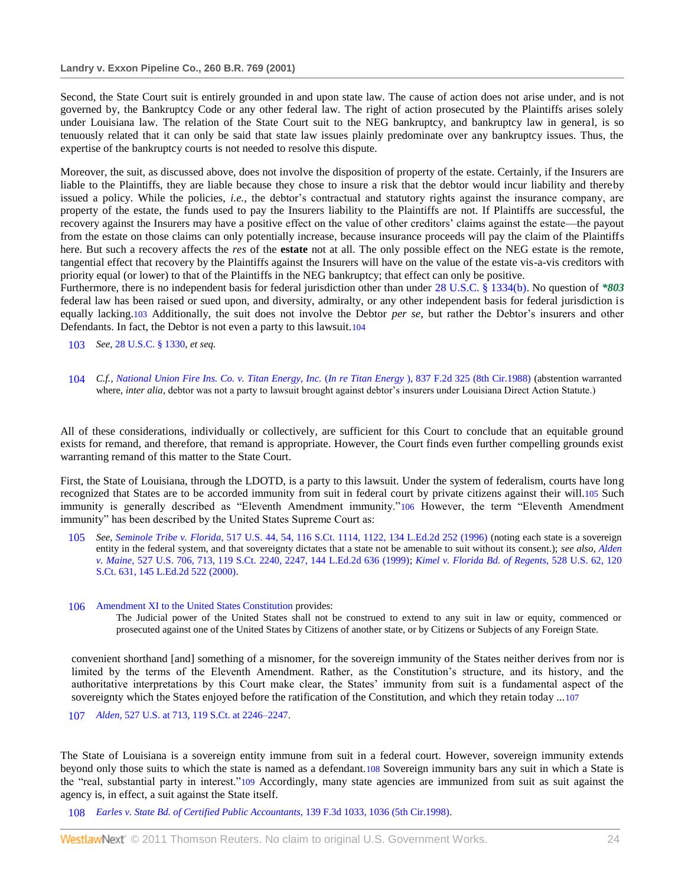Second, the State Court suit is entirely grounded in and upon state law. The cause of action does not arise under, and is not governed by, the Bankruptcy Code or any other federal law. The right of action prosecuted by the Plaintiffs arises solely under Louisiana law. The relation of the State Court suit to the NEG bankruptcy, and bankruptcy law in general, is so tenuously related that it can only be said that state law issues plainly predominate over any bankruptcy issues. Thus, the expertise of the bankruptcy courts is not needed to resolve this dispute.

Moreover, the suit, as discussed above, does not involve the disposition of property of the estate. Certainly, if the Insurers are liable to the Plaintiffs, they are liable because they chose to insure a risk that the debtor would incur liability and thereby issued a policy. While the policies, *i.e.,* the debtor's contractual and statutory rights against the insurance company, are property of the estate, the funds used to pay the Insurers liability to the Plaintiffs are not. If Plaintiffs are successful, the recovery against the Insurers may have a positive effect on the value of other creditors' claims against the estate—the payout from the estate on those claims can only potentially increase, because insurance proceeds will pay the claim of the Plaintiffs here. But such a recovery affects the *res* of the **estate** not at all. The only possible effect on the NEG estate is the remote, tangential effect that recovery by the Plaintiffs against the Insurers will have on the value of the estate vis-a-vis creditors with priority equal (or lower) to that of the Plaintiffs in the NEG bankruptcy; that effect can only be positive.

Furthermore, there is no independent basis for federal jurisdiction other than under [28 U.S.C. § 1334\(b\).](http://www.westlaw.com/Link/Document/FullText?findType=L&pubNum=1000546&cite=28USCAS1334&originatingDoc=I553831ad6e5211d98778bd0185d69771&refType=LQ&originationContext=document&vr=3.0&rs=cblt1.0&transitionType=DocumentItem&contextData=(sc.Search)) No question of *\*803* federal law has been raised or sued upon, and diversity, admiralty, or any other independent basis for federal jurisdiction is equally lacking.103 Additionally, the suit does not involve the Debtor *per se,* but rather the Debtor's insurers and other Defendants. In fact, the Debtor is not even a party to this lawsuit.104

103 *See,* [28 U.S.C. § 1330,](http://www.westlaw.com/Link/Document/FullText?findType=L&pubNum=1000546&cite=28USCAS1330&originatingDoc=I553831ad6e5211d98778bd0185d69771&refType=LQ&originationContext=document&vr=3.0&rs=cblt1.0&transitionType=DocumentItem&contextData=(sc.Search)) *et seq.*

104 *C.f., [National Union Fire Ins. Co. v. Titan Energy, Inc.](http://www.westlaw.com/Link/Document/FullText?findType=Y&serNum=1988010578&pubNum=350&originationContext=document&vr=3.0&rs=cblt1.0&transitionType=DocumentItem&contextData=(sc.Search))* (*In re Titan Energy* ), 837 F.2d 325 (8th Cir.1988) (abstention warranted where, *inter alia*, debtor was not a party to lawsuit brought against debtor's insurers under Louisiana Direct Action Statute.)

All of these considerations, individually or collectively, are sufficient for this Court to conclude that an equitable ground exists for remand, and therefore, that remand is appropriate. However, the Court finds even further compelling grounds exist warranting remand of this matter to the State Court.

First, the State of Louisiana, through the LDOTD, is a party to this lawsuit. Under the system of federalism, courts have long recognized that States are to be accorded immunity from suit in federal court by private citizens against their will.105 Such immunity is generally described as "Eleventh Amendment immunity."106 However, the term "Eleventh Amendment" immunity" has been described by the United States Supreme Court as:

- 105 *See, Seminole Tribe v. Florida,* [517 U.S. 44, 54, 116 S.Ct. 1114, 1122, 134 L.Ed.2d 252 \(1996\)](http://www.westlaw.com/Link/Document/FullText?findType=Y&serNum=1996077541&pubNum=708&originationContext=document&vr=3.0&rs=cblt1.0&transitionType=DocumentItem&contextData=(sc.Search)#co_pp_sp_708_1122) (noting each state is a sovereign entity in the federal system, and that sovereignty dictates that a state not be amenable to suit without its consent.); *see also, [Alden](http://www.westlaw.com/Link/Document/FullText?findType=Y&serNum=1999146865&pubNum=708&originationContext=document&vr=3.0&rs=cblt1.0&transitionType=DocumentItem&contextData=(sc.Search)#co_pp_sp_708_2247)  v. Maine,* [527 U.S. 706, 713, 119 S.Ct. 2240, 2247, 144 L.Ed.2d 636 \(1999\);](http://www.westlaw.com/Link/Document/FullText?findType=Y&serNum=1999146865&pubNum=708&originationContext=document&vr=3.0&rs=cblt1.0&transitionType=DocumentItem&contextData=(sc.Search)#co_pp_sp_708_2247) *[Kimel v. Florida Bd. of Regents,](http://www.westlaw.com/Link/Document/FullText?findType=Y&serNum=2000028881&pubNum=708&originationContext=document&vr=3.0&rs=cblt1.0&transitionType=DocumentItem&contextData=(sc.Search))* 528 U.S. 62, 120 [S.Ct. 631, 145 L.Ed.2d 522 \(2000\).](http://www.westlaw.com/Link/Document/FullText?findType=Y&serNum=2000028881&pubNum=708&originationContext=document&vr=3.0&rs=cblt1.0&transitionType=DocumentItem&contextData=(sc.Search))
- 106 [Amendment XI to the United States Constitution](http://www.westlaw.com/Link/Document/FullText?findType=L&pubNum=1000546&cite=USCOAMENDXI&originatingDoc=I553831ad6e5211d98778bd0185d69771&refType=LQ&originationContext=document&vr=3.0&rs=cblt1.0&transitionType=DocumentItem&contextData=(sc.Search)) provides:

The Judicial power of the United States shall not be construed to extend to any suit in law or equity, commenced or prosecuted against one of the United States by Citizens of another state, or by Citizens or Subjects of any Foreign State.

convenient shorthand [and] something of a misnomer, for the sovereign immunity of the States neither derives from nor is limited by the terms of the Eleventh Amendment. Rather, as the Constitution's structure, and its history, and the authoritative interpretations by this Court make clear, the States' immunity from suit is a fundamental aspect of the sovereignty which the States enjoyed before the ratification of the Constitution, and which they retain today ...107

107 *Alden,* [527 U.S. at 713, 119 S.Ct. at 2246–2247.](http://www.westlaw.com/Link/Document/FullText?findType=Y&serNum=1999146865&pubNum=708&originationContext=document&vr=3.0&rs=cblt1.0&transitionType=DocumentItem&contextData=(sc.Search)#co_pp_sp_708_2246)

The State of Louisiana is a sovereign entity immune from suit in a federal court. However, sovereign immunity extends beyond only those suits to which the state is named as a defendant.108 Sovereign immunity bars any suit in which a State is the "real, substantial party in interest."109 Accordingly, many state agencies are immunized from suit as suit against the agency is, in effect, a suit against the State itself.

108 *[Earles v. State Bd. of Certified Public Accountants,](http://www.westlaw.com/Link/Document/FullText?findType=Y&serNum=1998095582&pubNum=506&originationContext=document&vr=3.0&rs=cblt1.0&transitionType=DocumentItem&contextData=(sc.Search)#co_pp_sp_506_1036)* 139 F.3d 1033, 1036 (5th Cir.1998).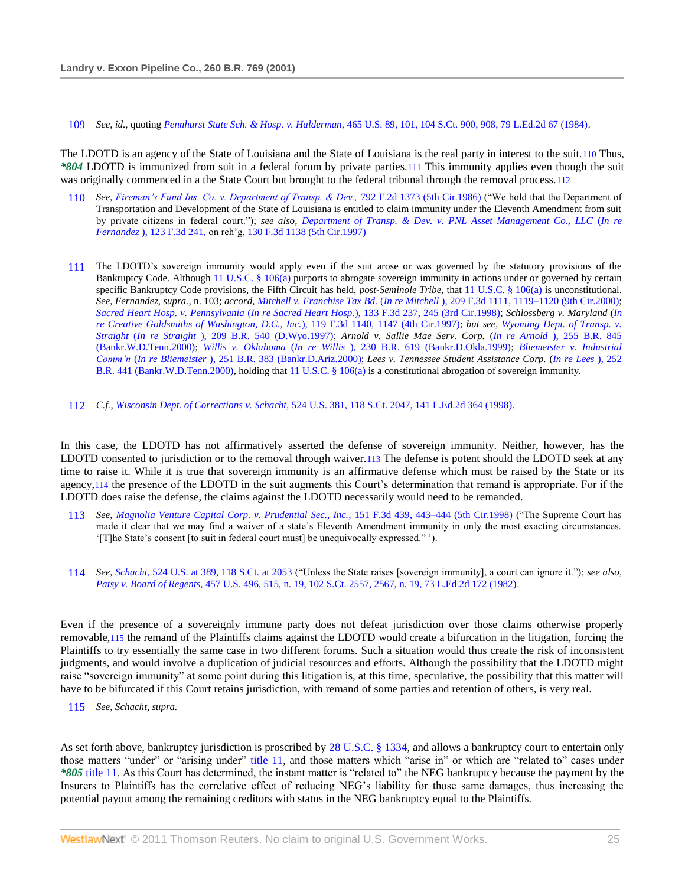109 *See, id.,* quoting *Pennhurst State Sch. & Hosp. v. Halderman,* [465 U.S. 89, 101, 104 S.Ct. 900, 908, 79 L.Ed.2d 67 \(1984\).](http://www.westlaw.com/Link/Document/FullText?findType=Y&serNum=1984104103&pubNum=708&originationContext=document&vr=3.0&rs=cblt1.0&transitionType=DocumentItem&contextData=(sc.Search)#co_pp_sp_708_908)

The LDOTD is an agency of the State of Louisiana and the State of Louisiana is the real party in interest to the suit.110 Thus, *\*804* LDOTD is immunized from suit in a federal forum by private parties.111 This immunity applies even though the suit was originally commenced in a the State Court but brought to the federal tribunal through the removal process.112

- 110 See, [Fireman's Fund Ins. Co. v. Department of Transp. & Dev.,](http://www.westlaw.com/Link/Document/FullText?findType=Y&serNum=1986134305&pubNum=350&originationContext=document&vr=3.0&rs=cblt1.0&transitionType=DocumentItem&contextData=(sc.Search)) 792 F.2d 1373 (5th Cir.1986) ("We hold that the Department of Transportation and Development of the State of Louisiana is entitled to claim immunity under the Eleventh Amendment from suit by private citizens in federal court."); see also, [Department of Transp. & Dev. v. PNL Asset Management Co., LLC](http://www.westlaw.com/Link/Document/FullText?findType=Y&serNum=1997189921&pubNum=506&originationContext=document&vr=3.0&rs=cblt1.0&transitionType=DocumentItem&contextData=(sc.Search)) (In re *Fernandez* [\), 123 F.3d 241,](http://www.westlaw.com/Link/Document/FullText?findType=Y&serNum=1997189921&pubNum=506&originationContext=document&vr=3.0&rs=cblt1.0&transitionType=DocumentItem&contextData=(sc.Search)) on reh'g, [130 F.3d 1138 \(5th Cir.1997\)](http://www.westlaw.com/Link/Document/FullText?findType=Y&serNum=1997241326&pubNum=506&originationContext=document&vr=3.0&rs=cblt1.0&transitionType=DocumentItem&contextData=(sc.Search))
- 111 The LDOTD's sovereign immunity would apply even if the suit arose or was governed by the statutory provisions of the Bankruptcy Code. Although [11 U.S.C. § 106\(a\)](http://www.westlaw.com/Link/Document/FullText?findType=L&pubNum=1000546&cite=11USCAS106&originatingDoc=I553831ad6e5211d98778bd0185d69771&refType=LQ&originationContext=document&vr=3.0&rs=cblt1.0&transitionType=DocumentItem&contextData=(sc.Search)) purports to abrogate sovereign immunity in actions under or governed by certain specific Bankruptcy Code provisions, the Fifth Circuit has held, *post-Seminole Tribe,* that [11 U.S.C. § 106\(a\)](http://www.westlaw.com/Link/Document/FullText?findType=L&pubNum=1000546&cite=11USCAS106&originatingDoc=I553831ad6e5211d98778bd0185d69771&refType=LQ&originationContext=document&vr=3.0&rs=cblt1.0&transitionType=DocumentItem&contextData=(sc.Search)) is unconstitutional. *See, Fernandez, supra.,* n. 103; *accord, Mitchell v. Franchise Tax Bd.* (*In re Mitchell* [\), 209 F.3d 1111, 1119–1120 \(9th Cir.2000\);](http://www.westlaw.com/Link/Document/FullText?findType=Y&serNum=2000109773&pubNum=506&originationContext=document&vr=3.0&rs=cblt1.0&transitionType=DocumentItem&contextData=(sc.Search)#co_pp_sp_506_1119) *[Sacred Heart Hosp. v. Pennsylvania](http://www.westlaw.com/Link/Document/FullText?findType=Y&serNum=1998028391&pubNum=506&originationContext=document&vr=3.0&rs=cblt1.0&transitionType=DocumentItem&contextData=(sc.Search)#co_pp_sp_506_245)* (*In re Sacred Heart Hosp.*), 133 F.3d 237, 245 (3rd Cir.1998); *Schlossberg v. Maryland* (*[In](http://www.westlaw.com/Link/Document/FullText?findType=Y&serNum=1997153842&pubNum=506&originationContext=document&vr=3.0&rs=cblt1.0&transitionType=DocumentItem&contextData=(sc.Search)#co_pp_sp_506_1147)  [re Creative Goldsmiths of Washington, D.C., Inc.](http://www.westlaw.com/Link/Document/FullText?findType=Y&serNum=1997153842&pubNum=506&originationContext=document&vr=3.0&rs=cblt1.0&transitionType=DocumentItem&contextData=(sc.Search)#co_pp_sp_506_1147)*), 119 F.3d 1140, 1147 (4th Cir.1997); *but see, [Wyoming Dept. of Transp. v.](http://www.westlaw.com/Link/Document/FullText?findType=Y&serNum=1997115910&pubNum=164&originationContext=document&vr=3.0&rs=cblt1.0&transitionType=DocumentItem&contextData=(sc.Search))  Straight* (*In re Straight* [\), 209 B.R. 540 \(D.Wyo.1997\);](http://www.westlaw.com/Link/Document/FullText?findType=Y&serNum=1997115910&pubNum=164&originationContext=document&vr=3.0&rs=cblt1.0&transitionType=DocumentItem&contextData=(sc.Search)) *Arnold v. Sallie Mae Serv. Corp.* (*In re Arnold* [\), 255 B.R. 845](http://www.westlaw.com/Link/Document/FullText?findType=Y&serNum=2000627371&pubNum=164&originationContext=document&vr=3.0&rs=cblt1.0&transitionType=DocumentItem&contextData=(sc.Search))  [\(Bankr.W.D.Tenn.2000\);](http://www.westlaw.com/Link/Document/FullText?findType=Y&serNum=2000627371&pubNum=164&originationContext=document&vr=3.0&rs=cblt1.0&transitionType=DocumentItem&contextData=(sc.Search)) *Willis v. Oklahoma* (*In re Willis* [\), 230 B.R. 619 \(Bankr.D.Okla.1999\);](http://www.westlaw.com/Link/Document/FullText?findType=Y&serNum=1999072134&pubNum=164&originationContext=document&vr=3.0&rs=cblt1.0&transitionType=DocumentItem&contextData=(sc.Search)) *[Bliemeister v. Industrial](http://www.westlaw.com/Link/Document/FullText?findType=Y&serNum=2000463763&pubNum=164&originationContext=document&vr=3.0&rs=cblt1.0&transitionType=DocumentItem&contextData=(sc.Search))  Comm'n* (*In re Bliemeister* [\), 251 B.R. 383 \(Bankr.D.Ariz.2000\);](http://www.westlaw.com/Link/Document/FullText?findType=Y&serNum=2000463763&pubNum=164&originationContext=document&vr=3.0&rs=cblt1.0&transitionType=DocumentItem&contextData=(sc.Search)) *Lees v. Tennessee Student Assistance Corp.* (*[In re Lees](http://www.westlaw.com/Link/Document/FullText?findType=Y&serNum=2000496437&pubNum=164&originationContext=document&vr=3.0&rs=cblt1.0&transitionType=DocumentItem&contextData=(sc.Search))* ), 252 [B.R. 441 \(Bankr.W.D.Tenn.2000\),](http://www.westlaw.com/Link/Document/FullText?findType=Y&serNum=2000496437&pubNum=164&originationContext=document&vr=3.0&rs=cblt1.0&transitionType=DocumentItem&contextData=(sc.Search)) holding that [11 U.S.C. § 106\(a\)](http://www.westlaw.com/Link/Document/FullText?findType=L&pubNum=1000546&cite=11USCAS106&originatingDoc=I553831ad6e5211d98778bd0185d69771&refType=LQ&originationContext=document&vr=3.0&rs=cblt1.0&transitionType=DocumentItem&contextData=(sc.Search)) is a constitutional abrogation of sovereign immunity.
- 112 *C.f., Wisconsin Dept. of Corrections v. Schacht,* [524 U.S. 381, 118 S.Ct. 2047, 141 L.Ed.2d 364 \(1998\).](http://www.westlaw.com/Link/Document/FullText?findType=Y&serNum=1998129476&pubNum=708&originationContext=document&vr=3.0&rs=cblt1.0&transitionType=DocumentItem&contextData=(sc.Search))

In this case, the LDOTD has not affirmatively asserted the defense of sovereign immunity. Neither, however, has the LDOTD consented to jurisdiction or to the removal through waiver.113 The defense is potent should the LDOTD seek at any time to raise it. While it is true that sovereign immunity is an affirmative defense which must be raised by the State or its agency,114 the presence of the LDOTD in the suit augments this Court's determination that remand is appropriate. For if the LDOTD does raise the defense, the claims against the LDOTD necessarily would need to be remanded.

- 113 See, [Magnolia Venture Capital Corp. v. Prudential Sec., Inc.,](http://www.westlaw.com/Link/Document/FullText?findType=Y&serNum=1998169578&pubNum=506&originationContext=document&vr=3.0&rs=cblt1.0&transitionType=DocumentItem&contextData=(sc.Search)#co_pp_sp_506_443) 151 F.3d 439, 443-444 (5th Cir.1998) ("The Supreme Court has made it clear that we may find a waiver of a state's Eleventh Amendment immunity in only the most exacting circumstances. ‗[T]he State's consent [to suit in federal court must] be unequivocally expressed.‖ ').
- 114 *See, Schacht,* [524 U.S. at 389, 118 S.Ct. at 2053](http://www.westlaw.com/Link/Document/FullText?findType=Y&serNum=1998129476&pubNum=708&originationContext=document&vr=3.0&rs=cblt1.0&transitionType=DocumentItem&contextData=(sc.Search)#co_pp_sp_708_2053) ("Unless the State raises [sovereign immunity], a court can ignore it."); *see also, Patsy v. Board of Regents,* [457 U.S. 496, 515, n. 19, 102 S.Ct. 2557, 2567, n. 19, 73 L.Ed.2d 172 \(1982\).](http://www.westlaw.com/Link/Document/FullText?findType=Y&serNum=1982127833&pubNum=708&originationContext=document&vr=3.0&rs=cblt1.0&transitionType=DocumentItem&contextData=(sc.Search)#co_pp_sp_708_2567)

Even if the presence of a sovereignly immune party does not defeat jurisdiction over those claims otherwise properly removable,115 the remand of the Plaintiffs claims against the LDOTD would create a bifurcation in the litigation, forcing the Plaintiffs to try essentially the same case in two different forums. Such a situation would thus create the risk of inconsistent judgments, and would involve a duplication of judicial resources and efforts. Although the possibility that the LDOTD might raise "sovereign immunity" at some point during this litigation is, at this time, speculative, the possibility that this matter will have to be bifurcated if this Court retains jurisdiction, with remand of some parties and retention of others, is very real.

115 *See, Schacht, supra.*

As set forth above, bankruptcy jurisdiction is proscribed by [28 U.S.C. § 1334,](http://www.westlaw.com/Link/Document/FullText?findType=L&pubNum=1000546&cite=28USCAS1334&originatingDoc=I553831ad6e5211d98778bd0185d69771&refType=LQ&originationContext=document&vr=3.0&rs=cblt1.0&transitionType=DocumentItem&contextData=(sc.Search)) and allows a bankruptcy court to entertain only those matters "under" or "arising under" [title 11,](http://www.westlaw.com/Link/Document/FullText?findType=L&pubNum=1000546&cite=11USCAS106&originatingDoc=I553831ad6e5211d98778bd0185d69771&refType=LQ&originationContext=document&vr=3.0&rs=cblt1.0&transitionType=DocumentItem&contextData=(sc.Search)) and those matters which "arise in" or which are "related to" cases under *\*805* [title 11.](http://www.westlaw.com/Link/Document/FullText?findType=L&pubNum=1000546&cite=11USCAS106&originatingDoc=I553831ad6e5211d98778bd0185d69771&refType=LQ&originationContext=document&vr=3.0&rs=cblt1.0&transitionType=DocumentItem&contextData=(sc.Search)) As this Court has determined, the instant matter is "related to" the NEG bankruptcy because the payment by the Insurers to Plaintiffs has the correlative effect of reducing NEG's liability for those same damages, thus increasing the potential payout among the remaining creditors with status in the NEG bankruptcy equal to the Plaintiffs.